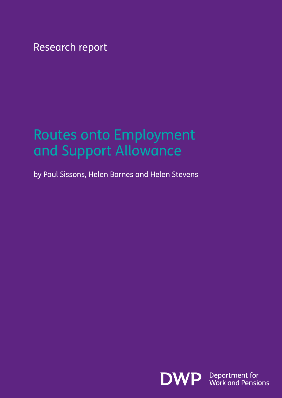Research report

# Routes onto Employment and Support Allowance

by Paul Sissons, Helen Barnes and Helen Stevens

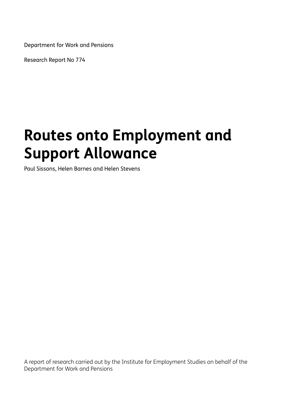Department for Work and Pensions

Research Report No 774

# **Routes onto Employment and Support Allowance**

Paul Sissons, Helen Barnes and Helen Stevens

A report of research carried out by the Institute for Employment Studies on behalf of the Department for Work and Pensions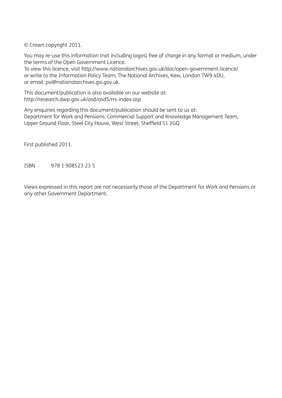© Crown copyright 2011.

You may re-use this information (not including logos) free of charge in any format or medium, under the terms of the Open Government Licence.

To view this licence, visit http://www.nationalarchives.gov.uk/doc/open-government-licence/ or write to the Information Policy Team, The National Archives, Kew, London TW9 4DU, or email: psi@nationalarchives.gsi.gov.uk.

This document/publication is also available on our website at: http://research.dwp.gov.uk/asd/asd5/rrs-index.asp

Any enquiries regarding this document/publication should be sent to us at: Department for Work and Pensions, Commercial Support and Knowledge Management Team, Upper Ground Floor, Steel City House, West Street, Sheffield S1 2GQ

First published 2011.

ISBN 978 1 908523 23 5

Views expressed in this report are not necessarily those of the Department for Work and Pensions or any other Government Department.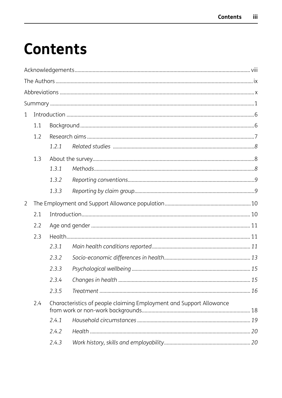# **Contents**

| $\mathbf{1}$   |     |       |                                                                     |  |  |  |  |
|----------------|-----|-------|---------------------------------------------------------------------|--|--|--|--|
|                | 1.1 |       |                                                                     |  |  |  |  |
|                | 1.2 |       |                                                                     |  |  |  |  |
|                |     | 1.2.1 |                                                                     |  |  |  |  |
|                | 1.3 |       |                                                                     |  |  |  |  |
|                |     | 1.3.1 |                                                                     |  |  |  |  |
|                |     | 1.3.2 |                                                                     |  |  |  |  |
|                |     | 1.3.3 |                                                                     |  |  |  |  |
| $\overline{2}$ |     |       |                                                                     |  |  |  |  |
|                | 2.1 |       |                                                                     |  |  |  |  |
|                | 2.2 |       |                                                                     |  |  |  |  |
|                | 2.3 |       |                                                                     |  |  |  |  |
|                |     | 2.3.1 |                                                                     |  |  |  |  |
|                |     | 2.3.2 |                                                                     |  |  |  |  |
|                |     | 2.3.3 |                                                                     |  |  |  |  |
|                |     | 2.3.4 |                                                                     |  |  |  |  |
|                |     | 2.3.5 |                                                                     |  |  |  |  |
|                | 2.4 |       | Characteristics of people claiming Employment and Support Allowance |  |  |  |  |
|                |     | 2.4.1 |                                                                     |  |  |  |  |
|                |     | 2.4.2 |                                                                     |  |  |  |  |
|                |     | 2.4.3 |                                                                     |  |  |  |  |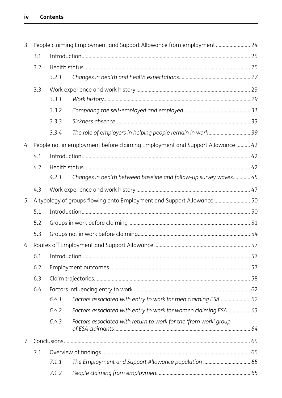| 3              |                                                                        |       | People claiming Employment and Support Allowance from employment 24           |  |  |  |  |  |
|----------------|------------------------------------------------------------------------|-------|-------------------------------------------------------------------------------|--|--|--|--|--|
|                | 3.1                                                                    |       |                                                                               |  |  |  |  |  |
|                | 3.2                                                                    |       |                                                                               |  |  |  |  |  |
|                |                                                                        | 3.2.1 |                                                                               |  |  |  |  |  |
|                | 3.3                                                                    |       |                                                                               |  |  |  |  |  |
|                |                                                                        | 3.3.1 |                                                                               |  |  |  |  |  |
|                |                                                                        | 3.3.2 |                                                                               |  |  |  |  |  |
|                |                                                                        | 3.3.3 |                                                                               |  |  |  |  |  |
|                |                                                                        | 3.3.4 | The role of employers in helping people remain in work 39                     |  |  |  |  |  |
| 4              |                                                                        |       | People not in employment before claiming Employment and Support Allowance  42 |  |  |  |  |  |
|                | 4.1                                                                    |       |                                                                               |  |  |  |  |  |
|                | 4.2                                                                    |       |                                                                               |  |  |  |  |  |
|                |                                                                        | 4.2.1 | Changes in health between baseline and follow-up survey waves 45              |  |  |  |  |  |
|                | 4.3                                                                    |       |                                                                               |  |  |  |  |  |
| 5              | A typology of groups flowing onto Employment and Support Allowance  50 |       |                                                                               |  |  |  |  |  |
|                | 5.1                                                                    |       |                                                                               |  |  |  |  |  |
|                | 5.2                                                                    |       |                                                                               |  |  |  |  |  |
|                | 5.3                                                                    |       |                                                                               |  |  |  |  |  |
| 6              |                                                                        |       |                                                                               |  |  |  |  |  |
|                | 6.1                                                                    |       |                                                                               |  |  |  |  |  |
|                | 6.2                                                                    |       |                                                                               |  |  |  |  |  |
|                | 6.3                                                                    |       |                                                                               |  |  |  |  |  |
|                | 6.4                                                                    |       |                                                                               |  |  |  |  |  |
|                |                                                                        | 6.4.1 | Factors associated with entry to work for men claiming ESA  62                |  |  |  |  |  |
|                |                                                                        | 6.4.2 | Factors associated with entry to work for women claiming ESA  63              |  |  |  |  |  |
|                |                                                                        | 6.4.3 | Factors associated with return to work for the 'from work' group              |  |  |  |  |  |
| $\overline{7}$ |                                                                        |       |                                                                               |  |  |  |  |  |
|                | 7.1                                                                    |       |                                                                               |  |  |  |  |  |
|                |                                                                        | 7.1.1 | The Employment and Support Allowance population  65                           |  |  |  |  |  |
|                |                                                                        | 7.1.2 |                                                                               |  |  |  |  |  |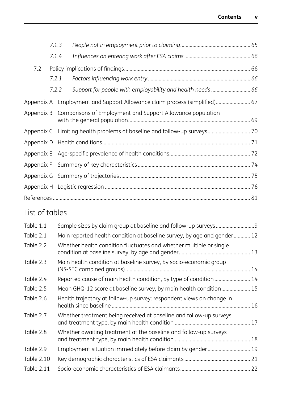|     | 7.1.3 |       |                                                                           |  |
|-----|-------|-------|---------------------------------------------------------------------------|--|
|     | 7.1.4 |       |                                                                           |  |
| 7.2 |       |       |                                                                           |  |
|     | 7.2.1 |       |                                                                           |  |
|     |       | 7.2.2 | Support for people with employability and health needs  66                |  |
|     |       |       | Appendix A Employment and Support Allowance claim process (simplified) 67 |  |
|     |       |       | Appendix B Comparisons of Employment and Support Allowance population     |  |
|     |       |       | Appendix C Limiting health problems at baseline and follow-up surveys 70  |  |
|     |       |       |                                                                           |  |
|     |       |       |                                                                           |  |
|     |       |       |                                                                           |  |
|     |       |       |                                                                           |  |
|     |       |       |                                                                           |  |
|     |       |       |                                                                           |  |
|     |       |       |                                                                           |  |

# List of tables

| Table 1.1         |                                                                         |  |
|-------------------|-------------------------------------------------------------------------|--|
| Table 2.1         | Main reported health condition at baseline survey, by age and gender 12 |  |
| Table 2.2         | Whether health condition fluctuates and whether multiple or single      |  |
| Table 2.3         | Main health condition at baseline survey, by socio-economic group       |  |
| Table 2.4         |                                                                         |  |
| Table 2.5         | Mean GHQ-12 score at baseline survey, by main health condition 15       |  |
| Table 2.6         | Health trajectory at follow-up survey: respondent views on change in    |  |
| Table 2.7         | Whether treatment being received at baseline and follow-up surveys      |  |
| Table 2.8         | Whether awaiting treatment at the baseline and follow-up surveys        |  |
| Table 2.9         | Employment situation immediately before claim by gender 19              |  |
| Table 2.10        |                                                                         |  |
| <b>Table 2.11</b> |                                                                         |  |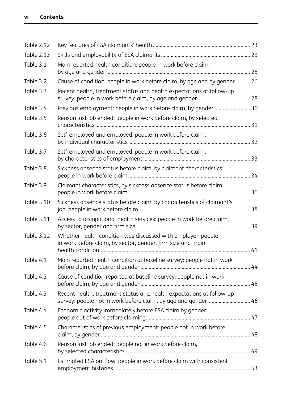| <b>Table 2.12</b> |                                                                                                                                        |  |
|-------------------|----------------------------------------------------------------------------------------------------------------------------------------|--|
| <b>Table 2.13</b> |                                                                                                                                        |  |
| Table 3.1         | Main reported health condition: people in work before claim,                                                                           |  |
| Table 3.2         | Cause of condition: people in work before claim, by age and by gender 26                                                               |  |
| Table 3.3         | Recent health, treatment status and health expectations at follow-up                                                                   |  |
| Table 3.4         | Previous employment: people in work before claim, by gender  30                                                                        |  |
| Table 3.5         | Reason last job ended: people in work before claim, by selected                                                                        |  |
| Table 3.6         | Self-employed and employed: people in work before claim,                                                                               |  |
| Table 3.7         | Self-employed and employed: people in work before claim,                                                                               |  |
| Table 3.8         | Sickness absence status before claim, by claimant characteristics:                                                                     |  |
| Table 3.9         | Claimant characteristics, by sickness absence status before claim:                                                                     |  |
| <b>Table 3.10</b> | Sickness absence status before claim, by characteristics of claimant's                                                                 |  |
| <b>Table 3.11</b> | Access to occupational health services: people in work before claim,                                                                   |  |
| Table 3.12        | Whether health condition was discussed with employer: people<br>in work before claim, by sector, gender, firm size and main            |  |
| Table 4.1         | Main reported health condition at baseline survey: people not in work                                                                  |  |
| Table 4.2         | Cause of condition reported at baseline survey: people not in work                                                                     |  |
| Table 4.3         | Recent health, treatment status and health expectations at follow-up<br>survey: people not in work before claim, by age and gender  46 |  |
| Table 4.4         | Economic activity immediately before ESA claim by gender:                                                                              |  |
| Table 4.5         | Characteristics of previous employment: people not in work before                                                                      |  |
| Table 4.6         | Reason last job ended: people not in work before claim,                                                                                |  |
| Table 5.1         | Estimated ESA on-flow: people in work before claim with consistent                                                                     |  |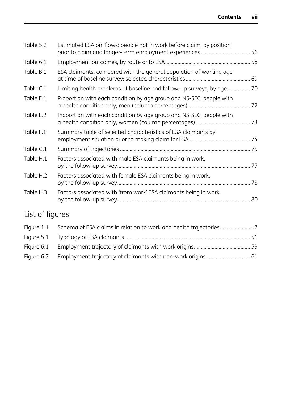| Table 5.2 | Estimated ESA on-flows: people not in work before claim, by position  |  |
|-----------|-----------------------------------------------------------------------|--|
| Table 6.1 |                                                                       |  |
| Table B.1 | ESA claimants, compared with the general population of working age    |  |
| Table C.1 | Limiting health problems at baseline and follow-up surveys, by age 70 |  |
| Table E.1 | Proportion with each condition by age group and NS-SEC, people with   |  |
| Table E.2 | Proportion with each condition by age group and NS-SEC, people with   |  |
| Table F.1 | Summary table of selected characteristics of ESA claimants by         |  |
| Table G.1 |                                                                       |  |
| Table H.1 | Factors associated with male ESA claimants being in work,             |  |
| Table H.2 | Factors associated with female ESA claimants being in work,           |  |
| Table H.3 | Factors associated with 'from work' ESA claimants being in work,      |  |
|           |                                                                       |  |

# List of figures

| Figure 1.1 Schema of ESA claims in relation to work and health trajectories |  |
|-----------------------------------------------------------------------------|--|
|                                                                             |  |
|                                                                             |  |
| Figure 6.2 Employment trajectory of claimants with non-work origins 61      |  |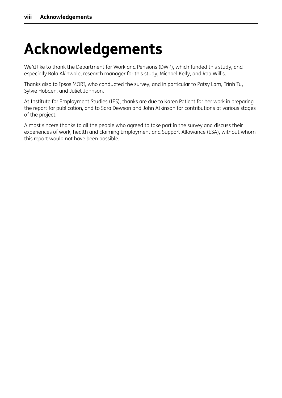# **Acknowledgements**

We'd like to thank the Department for Work and Pensions (DWP), which funded this study, and especially Bola Akinwale, research manager for this study, Michael Kelly, and Rob Willis.

Thanks also to Ipsos MORI, who conducted the survey, and in particular to Patsy Lam, Trinh Tu, Sylvie Hobden, and Juliet Johnson.

At Institute for Employment Studies (IES), thanks are due to Karen Patient for her work in preparing the report for publication, and to Sara Dewson and John Atkinson for contributions at various stages of the project.

A most sincere thanks to all the people who agreed to take part in the survey and discuss their experiences of work, health and claiming Employment and Support Allowance (ESA), without whom this report would not have been possible.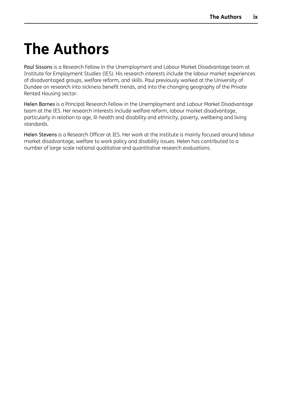# <span id="page-9-0"></span>**The Authors**

Paul Sissons is a Research Fellow in the Unemployment and Labour Market Disadvantage team at Institute for Employment Studies (IES). His research interests include the labour market experiences of disadvantaged groups, welfare reform, and skills. Paul previously worked at the University of Dundee on research into sickness benefit trends, and into the changing geography of the Private Rented Housing sector.

Helen Barnes is a Principal Research Fellow in the Unemployment and Labour Market Disadvantage team at the IES. Her research interests include welfare reform, labour market disadvantage, particularly in relation to age, ill-health and disability and ethnicity, poverty, wellbeing and living standards.

Helen Stevens is a Research Officer at IES. Her work at the institute is mainly focused around labour market disadvantage, welfare to work policy and disability issues. Helen has contributed to a number of large scale national qualitative and quantitative research evaluations.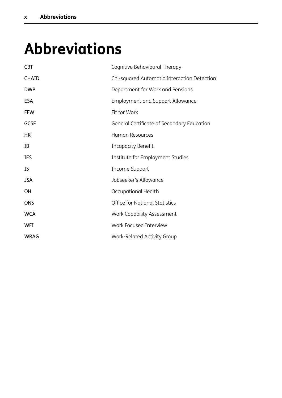# <span id="page-10-0"></span>**Abbreviations**

| <b>CBT</b>   | Cognitive Behavioural Therapy               |
|--------------|---------------------------------------------|
| <b>CHAID</b> | Chi-squared Automatic Interaction Detection |
| <b>DWP</b>   | Department for Work and Pensions            |
| <b>ESA</b>   | <b>Employment and Support Allowance</b>     |
| <b>FFW</b>   | Fit for Work                                |
| <b>GCSE</b>  | General Certificate of Secondary Education  |
| <b>HR</b>    | <b>Human Resources</b>                      |
| ΙB           | Incapacity Benefit                          |
| IES          | Institute for Employment Studies            |
| <b>IS</b>    | Income Support                              |
| <b>JSA</b>   | Jobseeker's Allowance                       |
| <b>OH</b>    | Occupational Health                         |
| <b>ONS</b>   | <b>Office for National Statistics</b>       |
| <b>WCA</b>   | Work Capability Assessment                  |
| <b>WFI</b>   | Work Focused Interview                      |
| <b>WRAG</b>  | <b>Work-Related Activity Group</b>          |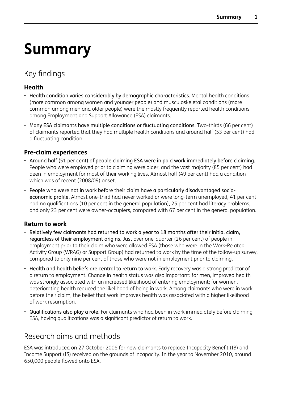# <span id="page-11-0"></span>**Summary**

## Key findings

### **Health**

- Health condition varies considerably by demographic characteristics. Mental health conditions (more common among women and younger people) and musculoskeletal conditions (more common among men and older people) were the mostly frequently reported health conditions among Employment and Support Allowance (ESA) claimants.
- Many ESA claimants have multiple conditions or fluctuating conditions. Two-thirds (66 per cent) of claimants reported that they had multiple health conditions and around half (53 per cent) had a fluctuating condition.

## **Pre-claim experiences**

- Around half (51 per cent) of people claiming ESA were in paid work immediately before claiming. People who were employed prior to claiming were older, and the vast majority (85 per cent) had been in employment for most of their working lives. Almost half (49 per cent) had a condition which was of recent (2008/09) onset.
- People who were not in work before their claim have a particularly disadvantaged socioeconomic profile. Almost one-third had never worked or were long-term unemployed, 41 per cent had no qualifications (10 per cent in the general population), 25 per cent had literacy problems, and only 23 per cent were owner-occupiers, compared with 67 per cent in the general population.

## **Return to work**

- Relatively few claimants had returned to work a year to 18 months after their initial claim, regardless of their employment origins. Just over one-quarter (26 per cent) of people in employment prior to their claim who were allowed ESA (those who were in the Work-Related Activity Group (WRAG) or Support Group) had returned to work by the time of the follow-up survey, compared to only nine per cent of those who were not in employment prior to claiming.
- Health and health beliefs are central to return to work. Early recovery was a strong predictor of a return to employment. Change in health status was also important: for men, improved health was strongly associated with an increased likelihood of entering employment; for women, deteriorating health reduced the likelihood of being in work. Among claimants who were in work before their claim, the belief that work improves health was associated with a higher likelihood of work resumption.
- Qualifications also play a role. For claimants who had been in work immediately before claiming ESA, having qualifications was a significant predictor of return to work.

## Research aims and methods

ESA was introduced on 27 October 2008 for new claimants to replace Incapacity Benefit (IB) and Income Support (IS) received on the grounds of incapacity. In the year to November 2010, around 650,000 people flowed onto ESA.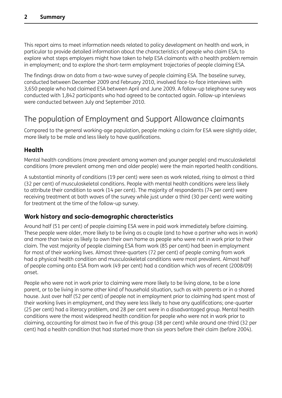This report aims to meet information needs related to policy development on health and work, in particular to provide detailed information about the characteristics of people who claim ESA; to explore what steps employers might have taken to help ESA claimants with a health problem remain in employment; and to explore the short-term employment trajectories of people claiming ESA.

The findings draw on data from a two-wave survey of people claiming ESA. The baseline survey, conducted between December 2009 and February 2010, involved face-to-face interviews with 3,650 people who had claimed ESA between April and June 2009. A follow-up telephone survey was conducted with 1,842 participants who had agreed to be contacted again. Follow-up interviews were conducted between July and September 2010.

## The population of Employment and Support Allowance claimants

Compared to the general working-age population, people making a claim for ESA were slightly older, more likely to be male and less likely to have qualifications.

### **Health**

Mental health conditions (more prevalent among women and younger people) and musculoskeletal conditions (more prevalent among men and older people) were the main reported health conditions.

A substantial minority of conditions (19 per cent) were seen as work related, rising to almost a third (32 per cent) of musculoskeletal conditions. People with mental health conditions were less likely to attribute their condition to work (14 per cent). The majority of respondents (74 per cent) were receiving treatment at both waves of the survey while just under a third (30 per cent) were waiting for treatment at the time of the follow-up survey.

### **Work history and socio-demographic characteristics**

Around half (51 per cent) of people claiming ESA were in paid work immediately before claiming. These people were older, more likely to be living as a couple (and to have a partner who was in work) and more than twice as likely to own their own home as people who were not in work prior to their claim. The vast majority of people claiming ESA from work (85 per cent) had been in employment for most of their working lives. Almost three-quarters (72 per cent) of people coming from work had a physical health condition and musculoskeletal conditions were most prevalent. Almost half of people coming onto ESA from work (49 per cent) had a condition which was of recent (2008/09) onset.

People who were not in work prior to claiming were more likely to be living alone, to be a lone parent, or to be living in some other kind of household situation, such as with parents or in a shared house. Just over half (52 per cent) of people not in employment prior to claiming had spent most of their working lives in employment, and they were less likely to have any qualifications; one-quarter (25 per cent) had a literacy problem, and 28 per cent were in a disadvantaged group. Mental health conditions were the most widespread health condition for people who were not in work prior to claiming, accounting for almost two in five of this group (38 per cent) while around one-third (32 per cent) had a health condition that had started more than six years before their claim (before 2004).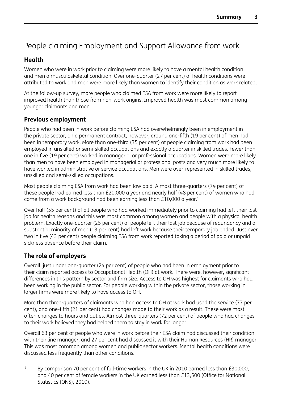# People claiming Employment and Support Allowance from work

## **Health**

Women who were in work prior to claiming were more likely to have a mental health condition and men a musculoskeletal condition. Over one-quarter (27 per cent) of health conditions were attributed to work and men were more likely than women to identify their condition as work related.

At the follow-up survey, more people who claimed ESA from work were more likely to report improved health than those from non-work origins. Improved health was most common among younger claimants and men.

## **Previous employment**

People who had been in work before claiming ESA had overwhelmingly been in employment in the private sector, on a permanent contract, however, around one-fifth (19 per cent) of men had been in temporary work. More than one-third (35 per cent) of people claiming from work had been employed in unskilled or semi-skilled occupations and exactly a quarter in skilled trades. Fewer than one in five (19 per cent) worked in managerial or professional occupations. Women were more likely than men to have been employed in managerial or professional posts and very much more likely to have worked in administrative or service occupations. Men were over-represented in skilled trades, unskilled and semi-skilled occupations.

Most people claiming ESA from work had been low paid. Almost three-quarters (74 per cent) of these people had earned less than £20,000 a year and nearly half (48 per cent) of women who had come from a work background had been earning less than £10,000 a year.<sup>1</sup>

Over half (55 per cent) of all people who had worked immediately prior to claiming had left their last job for health reasons and this was most common among women and people with a physical health problem. Exactly one-quarter (25 per cent) of people left their last job because of redundancy and a substantial minority of men (13 per cent) had left work because their temporary job ended. Just over two in five (43 per cent) people claiming ESA from work reported taking a period of paid or unpaid sickness absence before their claim.

## **The role of employers**

Overall, just under one-quarter (24 per cent) of people who had been in employment prior to their claim reported access to Occupational Health (OH) at work. There were, however, significant differences in this pattern by sector and firm size. Access to OH was highest for claimants who had been working in the public sector. For people working within the private sector, those working in larger firms were more likely to have access to OH.

More than three-quarters of claimants who had access to OH at work had used the service (77 per cent), and one-fifth (21 per cent) had changes made to their work as a result. These were most often changes to hours and duties. Almost three-quarters (72 per cent) of people who had changes to their work believed they had helped them to stay in work for longer.

Overall 63 per cent of people who were in work before their ESA claim had discussed their condition with their line manager, and 27 per cent had discussed it with their Human Resources (HR) manager. This was most common among women and public sector workers. Mental health conditions were discussed less frequently than other conditions.

<sup>&</sup>lt;sup>1</sup> By comparison 70 per cent of full-time workers in the UK in 2010 earned less than £30,000, and 40 per cent of female workers in the UK earned less than £13,500 (Office for National Statistics (ONS), 2010).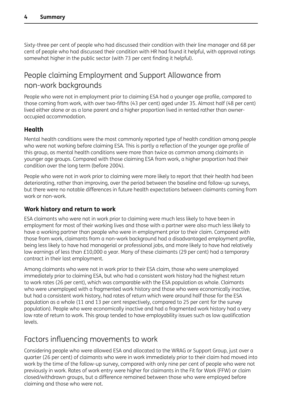Sixty-three per cent of people who had discussed their condition with their line manager and 68 per cent of people who had discussed their condition with HR had found it helpful, with approval ratings somewhat higher in the public sector (with 73 per cent finding it helpful).

## People claiming Employment and Support Allowance from non-work backgrounds

People who were not in employment prior to claiming ESA had a younger age profile, compared to those coming from work, with over two-fifths (43 per cent) aged under 35. Almost half (48 per cent) lived either alone or as a lone parent and a higher proportion lived in rented rather than owneroccupied accommodation.

## **Health**

Mental health conditions were the most commonly reported type of health condition among people who were not working before claiming ESA. This is partly a reflection of the younger age profile of this group, as mental health conditions were more than twice as common among claimants in younger age groups. Compared with those claiming ESA from work, a higher proportion had their condition over the long term (before 2004).

People who were not in work prior to claiming were more likely to report that their health had been deteriorating, rather than improving, over the period between the baseline and follow-up surveys, but there were no notable differences in future health expectations between claimants coming from work or non-work.

## **Work history and return to work**

ESA claimants who were not in work prior to claiming were much less likely to have been in employment for most of their working lives and those with a partner were also much less likely to have a working partner than people who were in employment prior to their claim. Compared with those from work, claimants from a non-work background had a disadvantaged employment profile, being less likely to have had managerial or professional jobs, and more likely to have had relatively low earnings of less than £10,000 a year. Many of these claimants (29 per cent) had a temporary contract in their last employment.

Among claimants who were not in work prior to their ESA claim, those who were unemployed immediately prior to claiming ESA, but who had a consistent work history had the highest return to work rates (26 per cent), which was comparable with the ESA population as whole. Claimants who were unemployed with a fragmented work history and those who were economically inactive, but had a consistent work history, had rates of return which were around half those for the ESA population as a whole (11 and 13 per cent respectively, compared to 25 per cent for the survey population). People who were economically inactive and had a fragmented work history had a very low rate of return to work. This group tended to have employability issues such as low qualification levels.

## Factors influencing movements to work

Considering people who were allowed ESA and allocated to the WRAG or Support Group, just over a quarter (26 per cent) of claimants who were in work immediately prior to their claim had moved into work by the time of the follow-up survey, compared with only nine per cent of people who were not previously in work. Rates of work entry were higher for claimants in the Fit for Work (FFW) or claim closed/withdrawn groups, but a difference remained between those who were employed before claiming and those who were not.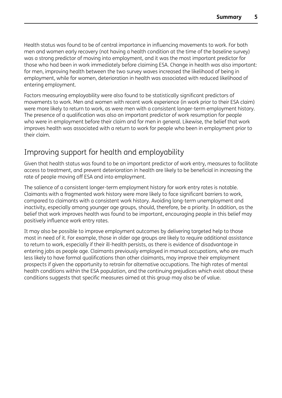Health status was found to be of central importance in influencing movements to work. For both men and women early recovery (not having a health condition at the time of the baseline survey) was a strong predictor of moving into employment, and it was the most important predictor for those who had been in work immediately before claiming ESA. Change in health was also important: for men, improving health between the two survey waves increased the likelihood of being in employment, while for women, deterioration in health was associated with reduced likelihood of entering employment.

Factors measuring employability were also found to be statistically significant predictors of movements to work. Men and women with recent work experience (in work prior to their ESA claim) were more likely to return to work, as were men with a consistent longer-term employment history. The presence of a qualification was also an important predictor of work resumption for people who were in employment before their claim and for men in general. Likewise, the belief that work improves health was associated with a return to work for people who been in employment prior to their claim.

## Improving support for health and employability

Given that health status was found to be an important predictor of work entry, measures to facilitate access to treatment, and prevent deterioration in health are likely to be beneficial in increasing the rate of people moving off ESA and into employment.

The salience of a consistent longer-term employment history for work entry rates is notable. Claimants with a fragmented work history were more likely to face significant barriers to work, compared to claimants with a consistent work history. Avoiding long-term unemployment and inactivity, especially among younger age groups, should, therefore, be a priority. In addition, as the belief that work improves health was found to be important, encouraging people in this belief may positively influence work entry rates.

It may also be possible to improve employment outcomes by delivering targeted help to those most in need of it. For example, those in older age groups are likely to require additional assistance to return to work, especially if their ill-health persists, as there is evidence of disadvantage in entering jobs as people age. Claimants previously employed in manual occupations, who are much less likely to have formal qualifications than other claimants, may improve their employment prospects if given the opportunity to retrain for alternative occupations. The high rates of mental health conditions within the ESA population, and the continuing prejudices which exist about these conditions suggests that specific measures aimed at this group may also be of value.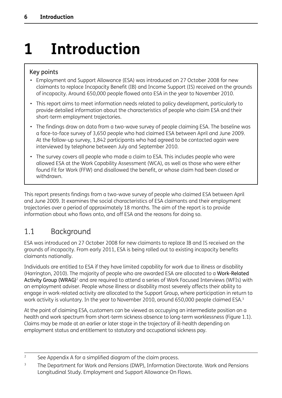# <span id="page-16-0"></span>**1 Introduction**

## Key points

- Employment and Support Allowance (ESA) was introduced on 27 October 2008 for new claimants to replace Incapacity Benefit (IB) and Income Support (IS) received on the grounds of incapacity. Around 650,000 people flowed onto ESA in the year to November 2010.
- This report aims to meet information needs related to policy development, particularly to provide detailed information about the characteristics of people who claim ESA and their short-term employment trajectories.
- The findings draw on data from a two-wave survey of people claiming ESA. The baseline was a face-to-face survey of 3,650 people who had claimed ESA between April and June 2009. At the follow-up survey, 1,842 participants who had agreed to be contacted again were interviewed by telephone between July and September 2010.
- The survey covers all people who made a claim to ESA. This includes people who were allowed ESA at the Work Capability Assessment (WCA), as well as those who were either found Fit for Work (FFW) and disallowed the benefit, or whose claim had been closed or withdrawn.

This report presents findings from a two-wave survey of people who claimed ESA between April and June 2009. It examines the social characteristics of ESA claimants and their employment trajectories over a period of approximately 18 months. The aim of the report is to provide information about who flows onto, and off ESA and the reasons for doing so.

## 1.1 Background

ESA was introduced on 27 October 2008 for new claimants to replace IB and IS received on the grounds of incapacity. From early 2011, ESA is being rolled out to existing incapacity benefits claimants nationally.

Individuals are entitled to ESA if they have limited capability for work due to illness or disability (Harrington, 2010). The majority of people who are awarded ESA are allocated to a Work-Related Activity Group (WRAG)<sup>2</sup> and are required to attend a series of Work Focused Interviews (WFIs) with an employment adviser. People whose illness or disability most severely affects their ability to engage in work-related activity are allocated to the Support Group, where participation in return to work activity is voluntary. In the year to November 2010, around 650,000 people claimed ESA.<sup>3</sup>

At the point of claiming ESA, customers can be viewed as occupying an intermediate position on a health and work spectrum from short-term sickness absence to long-term worklessness (Figure 1.1). Claims may be made at an earlier or later stage in the trajectory of ill-health depending on employment status and entitlement to statutory and occupational sickness pay.

<sup>&</sup>lt;sup>2</sup> See Appendix A for a simplified diagram of the claim process.

<sup>&</sup>lt;sup>3</sup> The Department for Work and Pensions (DWP), Information Directorate. Work and Pensions Longitudinal Study. Employment and Support Allowance On Flows.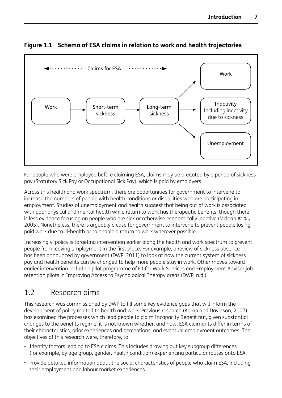

## <span id="page-17-0"></span>**Figure 1.1 Schema of ESA claims in relation to work and health trajectories**

For people who were employed before claiming ESA, claims may be predated by a period of sickness pay (Statutory Sick Pay or Occupational Sick Pay), which is paid by employers.

Across this health and work spectrum, there are opportunities for government to intervene to increase the numbers of people with health conditions or disabilities who are participating in employment. Studies of unemployment and health suggest that being out of work is associated with poor physical and mental health while return to work has therapeutic benefits, though there is less evidence focusing on people who are sick or otherwise economically inactive (Mclean *et al.*, 2005). Nonetheless, there is arguably a case for government to intervene to prevent people losing paid work due to ill-health or to enable a return to work wherever possible.

Increasingly, policy is targeting intervention earlier along the health and work spectrum to prevent people from leaving employment in the first place. For example, a review of sickness absence has been announced by government (DWP, 2011) to look at how the current system of sickness pay and health benefits can be changed to help more people stay in work. Other moves toward earlier intervention include a pilot programme of Fit for Work Services and Employment Adviser job retention pilots in Improving Access to Psychological Therapy areas (DWP, n.d.).

## 1.2 Research aims

This research was commissioned by DWP to fill some key evidence gaps that will inform the development of policy related to health and work. Previous research (Kemp and Davidson, 2007) has examined the processes which lead people to claim Incapacity Benefit but, given substantial changes to the benefits regime, it is not known whether, and how, ESA claimants differ in terms of their characteristics, prior experiences and perceptions, and eventual employment outcomes. The objectives of this research were, therefore, to:

- Identify factors leading to ESA claims. This includes drawing out key subgroup differences (for example, by age group, gender, health condition) experiencing particular routes onto ESA.
- Provide detailed information about the social characteristics of people who claim ESA, including their employment and labour market experiences.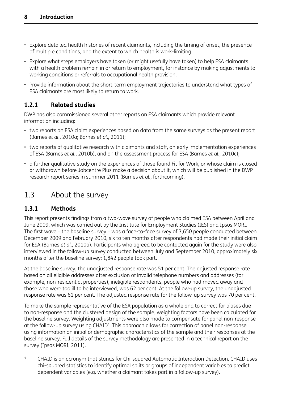- <span id="page-18-0"></span>• Explore detailed health histories of recent claimants, including the timing of onset, the presence of multiple conditions, and the extent to which health is work-limiting.
- Explore what steps employers have taken (or might usefully have taken) to help ESA claimants with a health problem remain in or return to employment, for instance by making adjustments to working conditions or referrals to occupational health provision.
- Provide information about the short-term employment trajectories to understand what types of ESA claimants are most likely to return to work.

## **1.2.1 Related studies**

DWP has also commissioned several other reports on ESA claimants which provide relevant information including:

- two reports on ESA claim experiences based on data from the same surveys as the present report (Barnes *et al.*, 2010a; Barnes *et al.*, 2011);
- two reports of qualitative research with claimants and staff, on early implementation experiences of ESA (Barnes *et al.*, 2010b), and on the assessment process for ESA (Barnes *et al.*, 2010c);
- a further qualitative study on the experiences of those found Fit for Work, or whose claim is closed or withdrawn before Jobcentre Plus make a decision about it, which will be published in the DWP research report series in summer 2011 (Barnes *et al.*, forthcoming).

## 1.3 About the survey

## **1.3.1 Methods**

This report presents findings from a two-wave survey of people who claimed ESA between April and June 2009, which was carried out by the Institute for Employment Studies (IES) and Ipsos MORI. The first wave – the baseline survey – was a face-to-face survey of 3,650 people conducted between December 2009 and February 2010, six to ten months after respondents had made their initial claim for ESA (Barnes *et al.*, 2010a). Participants who agreed to be contacted again for the study were also interviewed in the follow-up survey conducted between July and September 2010, approximately six months after the baseline survey; 1,842 people took part.

At the baseline survey, the unadjusted response rate was 51 per cent. The adjusted response rate based on all eligible addresses after exclusion of invalid telephone numbers and addresses (for example, non-residential properties), ineligible respondents, people who had moved away and those who were too ill to be interviewed, was 62 per cent. At the follow-up survey, the unadjusted response rate was 61 per cent. The adjusted response rate for the follow-up survey was 70 per cent.

To make the sample representative of the ESA population as a whole and to correct for biases due to non-response and the clustered design of the sample, weighting factors have been calculated for the baseline survey. Weighting adjustments were also made to compensate for panel non-response at the follow-up survey using CHAID<sup>4</sup>. This approach allows for correction of panel non-response using information on initial or demographic characteristics of the sample and their responses at the baseline survey. Full details of the survey methodology are presented in a technical report on the survey (Ipsos MORI, 2011).

<sup>4</sup> CHAID is an acronym that stands for Chi-squared Automatic Interaction Detection. CHAID uses chi-squared statistics to identify optimal splits or groups of independent variables to predict dependent variables (e.g. whether a claimant takes part in a follow-up survey).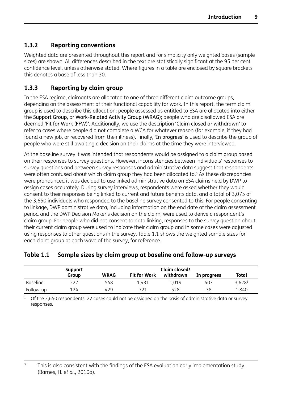## <span id="page-19-0"></span>**1.3.2 Reporting conventions**

Weighted data are presented throughout this report and for simplicity only weighted bases (sample sizes) are shown. All differences described in the text are statistically significant at the 95 per cent confidence level, unless otherwise stated. Where figures in a table are enclosed by square brackets this denotes a base of less than 30.

## **1.3.3 Reporting by claim group**

In the ESA regime, claimants are allocated to one of three different claim outcome groups, depending on the assessment of their functional capability for work. In this report, the term claim group is used to describe this allocation: people assessed as entitled to ESA are allocated into either the Support Group, or Work-Related Activity Group (WRAG); people who are disallowed ESA are deemed 'Fit for Work (FFW)'. Additionally, we use the description 'Claim closed or withdrawn' to refer to cases where people did not complete a WCA for whatever reason (for example, if they had found a new job, or recovered from their illness). Finally, 'In progress' is used to describe the group of people who were still awaiting a decision on their claims at the time they were interviewed.

At the baseline survey it was intended that respondents would be assigned to a claim group based on their responses to survey questions. However, inconsistencies between individuals' responses to survey questions and between survey responses and administrative data suggest that respondents were often confused about which claim group they had been allocated to.<sup>5</sup> As these discrepancies were pronounced it was decided to use linked administrative data on ESA claims held by DWP to assign cases accurately. During survey interviews, respondents were asked whether they would consent to their responses being linked to current and future benefits data, and a total of 3,075 of the 3,650 individuals who responded to the baseline survey consented to this. For people consenting to linkage, DWP administrative data, including information on the end date of the claim assessment period and the DWP Decision Maker's decision on the claim, were used to derive a respondent's claim group. For people who did not consent to data linking, responses to the survey question about their current claim group were used to indicate their claim group and in some cases were adjusted using responses to other questions in the survey. Table 1.1 shows the weighted sample sizes for each claim group at each wave of the survey, for reference.

## **Table 1.1 Sample sizes by claim group at baseline and follow-up surveys**

|                 | Support | Claim closed/ |                     |           |             |                    |  |
|-----------------|---------|---------------|---------------------|-----------|-------------|--------------------|--|
|                 | Group   | <b>WRAG</b>   | <b>Fit for Work</b> | withdrawn | In progress | Total              |  |
| <b>Baseline</b> | 227     | 548           | 1.431               | 1.019     | 403         | 3,628 <sup>1</sup> |  |
| Follow-up       | 124     | 429           | 721                 | 528       | 38          | 1,840              |  |

 $1$  Of the 3,650 respondents, 22 cases could not be assigned on the basis of administrative data or survey responses.

<sup>&</sup>lt;sup>5</sup> This is also consistent with the findings of the ESA evaluation early implementation study. (Barnes, H. *et al.*, 2010a).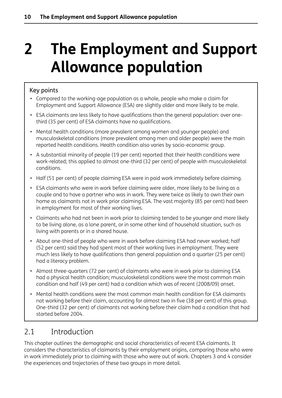# <span id="page-20-0"></span>**2 The Employment and Support Allowance population**

## Key points

- Compared to the working-age population as a whole, people who make a claim for Employment and Support Allowance (ESA) are slightly older and more likely to be male.
- ESA claimants are less likely to have qualifications than the general population: over onethird (35 per cent) of ESA claimants have no qualifications.
- Mental health conditions (more prevalent among women and younger people) and musculoskeletal conditions (more prevalent among men and older people) were the main reported health conditions. Health condition also varies by socio-economic group.
- A substantial minority of people (19 per cent) reported that their health conditions were work-related; this applied to almost one-third (32 per cent) of people with musculoskeletal conditions.
- Half (51 per cent) of people claiming ESA were in paid work immediately before claiming.
- ESA claimants who were in work before claiming were older, more likely to be living as a couple and to have a partner who was in work. They were twice as likely to own their own home as claimants not in work prior claiming ESA. The vast majority (85 per cent) had been in employment for most of their working lives.
- Claimants who had not been in work prior to claiming tended to be younger and more likely to be living alone, as a lone parent, or in some other kind of household situation, such as living with parents or in a shared house.
- About one-third of people who were in work before claiming ESA had never worked; half (52 per cent) said they had spent most of their working lives in employment. They were much less likely to have qualifications than general population and a quarter (25 per cent) had a literacy problem.
- Almost three-quarters (72 per cent) of claimants who were in work prior to claiming ESA had a physical health condition; musculoskeletal conditions were the most common main condition and half (49 per cent) had a condition which was of recent (2008/09) onset.
- Mental health conditions were the most common main health condition for ESA claimants not working before their claim, accounting for almost two in five (38 per cent) of this group. One-third (32 per cent) of claimants not working before their claim had a condition that had started before 2004.

## 2.1 Introduction

This chapter outlines the demographic and social characteristics of recent ESA claimants. It considers the characteristics of claimants by their employment origins, comparing those who were in work immediately prior to claiming with those who were out of work. Chapters 3 and 4 consider the experiences and trajectories of these two groups in more detail.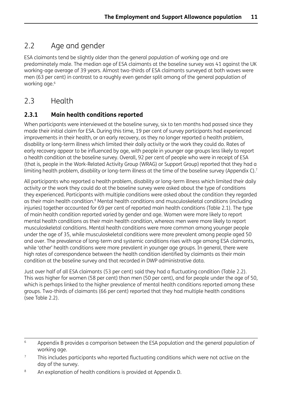## <span id="page-21-0"></span>2.2 Age and gender

ESA claimants tend be slightly older than the general population of working age and are predominately male. The median age of ESA claimants at the baseline survey was 41 against the UK working-age average of 39 years. Almost two-thirds of ESA claimants surveyed at both waves were men (63 per cent) in contrast to a roughly even gender split among of the general population of working age.<sup>6</sup>

## 2.3 Health

## **2.3.1 Main health conditions reported**

When participants were interviewed at the baseline survey, six to ten months had passed since they made their initial claim for ESA. During this time, 19 per cent of survey participants had experienced improvements in their health, or an early recovery, as they no longer reported a health problem, disability or long-term illness which limited their daily activity or the work they could do. Rates of early recovery appear to be influenced by age, with people in younger age groups less likely to report a health condition at the baseline survey. Overall, 92 per cent of people who were in receipt of ESA (that is, people in the Work-Related Activity Group (WRAG) or Support Group) reported that they had a limiting health problem, disability or long-term illness at the time of the baseline survey (Appendix C).<sup>7</sup>

All participants who reported a health problem, disability or long-term illness which limited their daily activity or the work they could do at the baseline survey were asked about the type of conditions they experienced. Participants with multiple conditions were asked about the condition they regarded as their main health condition.<sup>8</sup> Mental health conditions and musculoskeletal conditions (including injuries) together accounted for 69 per cent of reported main health conditions (Table 2.1). The type of main health condition reported varied by gender and age. Women were more likely to report mental health conditions as their main health condition, whereas men were more likely to report musculoskeletal conditions. Mental health conditions were more common among younger people under the age of 35, while musculoskeletal conditions were more prevalent among people aged 50 and over. The prevalence of long-term and systemic conditions rises with age among ESA claimants, while 'other' health conditions were more prevalent in younger age groups. In general, there were high rates of correspondence between the health condition identified by claimants as their main condition at the baseline survey and that recorded in DWP administrative data.

Just over half of all ESA claimants (53 per cent) said they had a fluctuating condition (Table 2.2). This was higher for women (58 per cent) than men (50 per cent), and for people under the age of 50, which is perhaps linked to the higher prevalence of mental health conditions reported among these groups. Two-thirds of claimants (66 per cent) reported that they had multiple health conditions (see Table 2.2).

<sup>&</sup>lt;sup>6</sup> Appendix B provides a comparison between the ESA population and the general population of working age.

 $7$  This includes participants who reported fluctuating conditions which were not active on the day of the survey.

<sup>&</sup>lt;sup>8</sup> An explanation of health conditions is provided at Appendix D.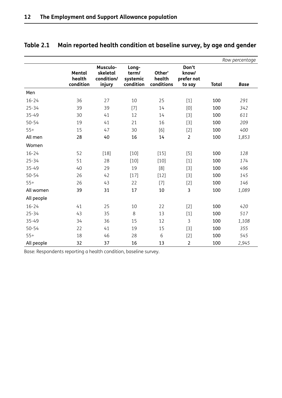|            |                               |                                              |                                         |                                |                                        |              | Row percentage |
|------------|-------------------------------|----------------------------------------------|-----------------------------------------|--------------------------------|----------------------------------------|--------------|----------------|
|            | Mental<br>health<br>condition | Musculo-<br>skeletal<br>condition/<br>injury | Long-<br>term/<br>systemic<br>condition | Other'<br>health<br>conditions | Don't<br>know/<br>prefer not<br>to say | <b>Total</b> | <b>Base</b>    |
| Men        |                               |                                              |                                         |                                |                                        |              |                |
| $16 - 24$  | 36                            | 27                                           | 10                                      | 25                             | $[1]$                                  | 100          | 291            |
| $25 - 34$  | 39                            | 39                                           | $[7]$                                   | 14                             | [0]                                    | 100          | 342            |
| 35-49      | 30                            | 41                                           | 12                                      | 14                             | $[3]$                                  | 100          | 611            |
| $50 - 54$  | 19                            | 41                                           | 21                                      | 16                             | $[3]$                                  | 100          | 209            |
| $55+$      | 15                            | 47                                           | 30                                      | [6]                            | $[2]$                                  | 100          | 400            |
| All men    | 28                            | 40                                           | 16                                      | 14                             | $\overline{2}$                         | 100          | 1,853          |
| Women      |                               |                                              |                                         |                                |                                        |              |                |
| $16 - 24$  | 52                            | $[18]$                                       | $[10]$                                  | $[15]$                         | $[5]$                                  | 100          | 128            |
| $25 - 34$  | 51                            | 28                                           | $[10]$                                  | $[10]$                         | $[1]$                                  | 100          | 174            |
| 35-49      | 40                            | 29                                           | 19                                      | [8]                            | $[3]$                                  | 100          | 496            |
| $50 - 54$  | 26                            | 42                                           | $[17]$                                  | $[12]$                         | $[3]$                                  | 100          | 145            |
| $55+$      | 26                            | 43                                           | 22                                      | $[7]$                          | $[2]$                                  | 100          | 146            |
| All women  | 39                            | 31                                           | 17                                      | 10                             | 3                                      | 100          | 1,089          |
| All people |                               |                                              |                                         |                                |                                        |              |                |
| $16 - 24$  | 41                            | 25                                           | 10                                      | 22                             | $[2]$                                  | 100          | 420            |
| $25 - 34$  | 43                            | 35                                           | $\,8\,$                                 | 13                             | $[1]$                                  | 100          | 517            |
| 35-49      | 34                            | 36                                           | 15                                      | 12                             | 3                                      | 100          | 1,108          |
| $50 - 54$  | 22                            | 41                                           | 19                                      | 15                             | $[3]$                                  | 100          | 355            |
| $55+$      | 18                            | 46                                           | 28                                      | 6                              | $[2]$                                  | 100          | 545            |
| All people | 32                            | 37                                           | 16                                      | 13                             | $\overline{2}$                         | 100          | 2,945          |

## <span id="page-22-0"></span>**Table 2.1 Main reported health condition at baseline survey, by age and gender**

Base: Respondents reporting a health condition, baseline survey.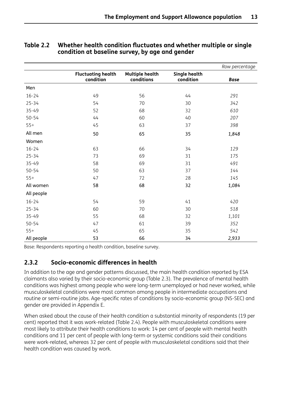|            |                                        |                                      |                                   | Row percentage |
|------------|----------------------------------------|--------------------------------------|-----------------------------------|----------------|
|            | <b>Fluctuating health</b><br>condition | <b>Multiple health</b><br>conditions | <b>Single health</b><br>condition | <b>Base</b>    |
| Men        |                                        |                                      |                                   |                |
| $16 - 24$  | 49                                     | 56                                   | 44                                | 291            |
| $25 - 34$  | 54                                     | 70                                   | 30                                | 342            |
| $35 - 49$  | 52                                     | 68                                   | 32                                | 610            |
| $50 - 54$  | 44                                     | 60                                   | 40                                | 207            |
| $55+$      | 45                                     | 63                                   | 37                                | 398            |
| All men    | 50                                     | 65                                   | 35                                | 1,848          |
| Women      |                                        |                                      |                                   |                |
| $16 - 24$  | 63                                     | 66                                   | 34                                | 129            |
| $25 - 34$  | 73                                     | 69                                   | 31                                | 175            |
| $35 - 49$  | 58                                     | 69                                   | 31                                | 491            |
| $50 - 54$  | 50                                     | 63                                   | 37                                | 144            |
| $55+$      | 47                                     | 72                                   | 28                                | 145            |
| All women  | 58                                     | 68                                   | 32                                | 1,084          |
| All people |                                        |                                      |                                   |                |
| $16 - 24$  | 54                                     | 59                                   | 41                                | 420            |
| $25 - 34$  | 60                                     | 70                                   | 30                                | 518            |
| 35-49      | 55                                     | 68                                   | 32                                | 1,101          |
| $50 - 54$  | 47                                     | 61                                   | 39                                | 352            |
| $55+$      | 45                                     | 65                                   | 35                                | 542            |
| All people | 53                                     | 66                                   | 34                                | 2,933          |

#### <span id="page-23-0"></span>**Table 2.2 Whether health condition fluctuates and whether multiple or single condition at baseline survey, by age and gender**

Base: Respondents reporting a health condition, baseline survey.

### **2.3.2 Socio-economic differences in health**

In addition to the age and gender patterns discussed, the main health condition reported by ESA claimants also varied by their socio-economic group (Table 2.3). The prevalence of mental health conditions was highest among people who were long-term unemployed or had never worked, while musculoskeletal conditions were most common among people in intermediate occupations and routine or semi-routine jobs. Age-specific rates of conditions by socio-economic group (NS-SEC) and gender are provided in Appendix E.

When asked about the cause of their health condition a substantial minority of respondents (19 per cent) reported that it was work-related (Table 2.4). People with musculoskeletal conditions were most likely to attribute their health conditions to work: 14 per cent of people with mental health conditions and 11 per cent of people with long-term or systemic conditions said their conditions were work-related, whereas 32 per cent of people with musculoskeletal conditions said that their health condition was caused by work.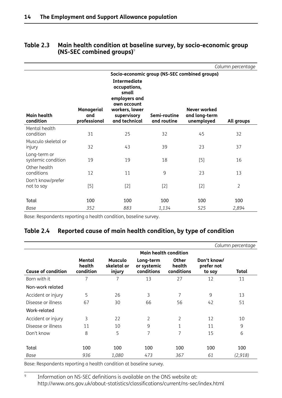|                                    |                                   |                                                                                                                                |                             |                                               | Column percentage |
|------------------------------------|-----------------------------------|--------------------------------------------------------------------------------------------------------------------------------|-----------------------------|-----------------------------------------------|-------------------|
|                                    |                                   |                                                                                                                                |                             | Socio-economic group (NS-SEC combined groups) |                   |
| Main health<br>condition           | Managerial<br>and<br>professional | <b>Intermediate</b><br>occupations,<br>small<br>employers and<br>own account<br>workers, lower<br>supervisory<br>and technical | Semi-routine<br>and routine | Never worked<br>and long-term<br>unemployed   | All groups        |
| Mental health<br>condition         | 31                                | 25                                                                                                                             | 32                          | 45                                            | 32                |
| Musculo skeletal or<br>injury      | 32                                | 43                                                                                                                             | 39                          | 23                                            | 37                |
| Long-term or<br>systemic condition | 19                                | 19                                                                                                                             | 18                          | $[5]$                                         | 16                |
| Other health<br>conditions         | 12                                | 11                                                                                                                             | 9                           | 23                                            | 13                |
| Don't know/prefer<br>not to say    | [5]                               | $[2]$                                                                                                                          | $[2]$                       | $[2]$                                         | $\overline{2}$    |
| Total                              | 100                               | 100                                                                                                                            | 100                         | 100                                           | 100               |
| Base                               | 352                               | 883                                                                                                                            | 1,134                       | 525                                           | 2,894             |

#### <span id="page-24-0"></span>**Table 2.3 Main health condition at baseline survey, by socio-economic group (NS-SEC combined groups)**<sup>9</sup>

Base: Respondents reporting a health condition, baseline survey.

### **Table 2.4 Reported cause of main health condition, by type of condition**

|                           |                               |                                         |                                        |                                      |                                     | Column percentage |  |  |  |
|---------------------------|-------------------------------|-----------------------------------------|----------------------------------------|--------------------------------------|-------------------------------------|-------------------|--|--|--|
|                           | <b>Main health condition</b>  |                                         |                                        |                                      |                                     |                   |  |  |  |
| <b>Cause of condition</b> | Mental<br>health<br>condition | <b>Musculo</b><br>skeletal or<br>injury | Long-term<br>or systemic<br>conditions | <b>Other</b><br>health<br>conditions | Don't know/<br>prefer not<br>to say | Total             |  |  |  |
| Born with it              | 7                             | 7                                       | 13                                     | 27                                   | 12                                  | 11                |  |  |  |
| Non-work related          |                               |                                         |                                        |                                      |                                     |                   |  |  |  |
| Accident or injury        | 5                             | 26                                      | 3                                      | 7                                    | 9                                   | 13                |  |  |  |
| Disease or illness        | 67                            | 30                                      | 66                                     | 56                                   | 42                                  | 51                |  |  |  |
| Work-related              |                               |                                         |                                        |                                      |                                     |                   |  |  |  |
| Accident or injury        | 3                             | 22                                      | $\overline{2}$                         | $\overline{2}$                       | 12                                  | 10                |  |  |  |
| Disease or illness        | 11                            | 10                                      | 9                                      | 1                                    | 11                                  | 9                 |  |  |  |
| Don't know                | 8                             | 5                                       | 7                                      | 7                                    | 15                                  | 6                 |  |  |  |
|                           |                               |                                         |                                        |                                      |                                     |                   |  |  |  |
| Total                     | 100                           | 100                                     | 100                                    | 100                                  | 100                                 | 100               |  |  |  |
| Base                      | 936                           | 1,080                                   | 473                                    | 367                                  | 61                                  | (2,918)           |  |  |  |

Base: Respondents reporting a health condition at baseline survey.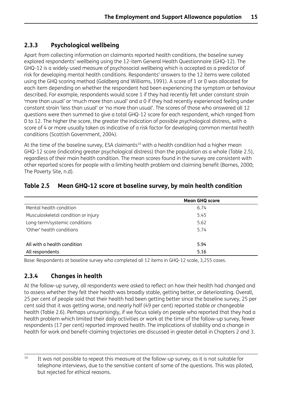## <span id="page-25-0"></span>**2.3.3 Psychological wellbeing**

Apart from collecting information on claimants reported health conditions, the baseline survey explored respondents' wellbeing using the 12-item General Health Questionnaire (GHQ-12). The GHQ-12 is a widely-used measure of psychosocial wellbeing which is accepted as a predictor of risk for developing mental health conditions. Respondents' answers to the 12 items were collated using the GHQ scoring method (Goldberg and Williams, 1991). A score of 1 or 0 was allocated for each item depending on whether the respondent had been experiencing the symptom or behaviour described. For example, respondents would score 1 if they had recently felt under constant strain 'more than usual' or 'much more than usual' and a 0 if they had recently experienced feeling under constant strain 'less than usual' or 'no more than usual'. The scores of those who answered all 12 questions were then summed to give a total GHQ-12 score for each respondent, which ranged from 0 to 12. The higher the score, the greater the indication of possible psychological distress, with a score of 4 or more usually taken as indicative of a risk factor for developing common mental health conditions (Scottish Government, 2004).

At the time of the baseline survey, ESA claimants<sup>10</sup> with a health condition had a higher mean GHQ-12 score (indicating greater psychological distress) than the population as a whole (Table 2.5), regardless of their main health condition. The mean scores found in the survey are consistent with other reported scores for people with a limiting health problem and claiming benefit (Barnes, 2000; The Poverty Site, n.d).

|                                     | <b>Mean GHQ score</b> |  |
|-------------------------------------|-----------------------|--|
| Mental health condition             | 6.74                  |  |
| Musculoskeletal condition or injury | 5.45                  |  |
| Long-term/systemic conditions       | 5.62                  |  |
| 'Other' health conditions           | 5.74                  |  |
|                                     |                       |  |
| All with a health condition         | 5.94                  |  |
| All respondents                     | 5.16                  |  |

### **Table 2.5 Mean GHQ-12 score at baseline survey, by main health condition**

Base: Respondents at baseline survey who completed all 12 items in GHQ-12 scale, 3,255 cases.

## **2.3.4 Changes in health**

At the follow-up survey, all respondents were asked to reflect on how their health had changed and to assess whether they felt their health was broadly stable, getting better, or deteriorating. Overall, 25 per cent of people said that their health had been getting better since the baseline survey, 25 per cent said that it was getting worse, and nearly half (49 per cent) reported stable or changeable health (Table 2.6). Perhaps unsurprisingly, if we focus solely on people who reported that they had a health problem which limited their daily activities or work at the time of the follow-up survey, fewer respondents (17 per cent) reported improved health. The implications of stability and a change in health for work and benefit-claiming trajectories are discussed in greater detail in Chapters 2 and 3.

<sup>&</sup>lt;sup>10</sup> It was not possible to repeat this measure at the follow-up survey, as it is not suitable for telephone interviews, due to the sensitive content of some of the questions. This was piloted, but rejected for ethical reasons.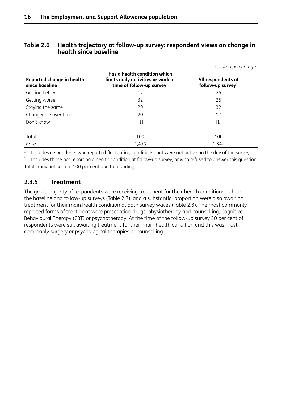#### <span id="page-26-0"></span>**Table 2.6 Health trajectory at follow-up survey: respondent views on change in health since baseline**

|                                             |                                                                                                             | Column percentage                                   |
|---------------------------------------------|-------------------------------------------------------------------------------------------------------------|-----------------------------------------------------|
| Reported change in health<br>since baseline | Has a health condition which<br>limits daily activities or work at<br>time of follow-up survey <sup>1</sup> | All respondents at<br>follow-up survey <sup>2</sup> |
| Getting better                              | 17                                                                                                          | 25                                                  |
| Getting worse                               | 32                                                                                                          | 25                                                  |
| Staying the same                            | 29                                                                                                          | 32                                                  |
| Changeable over time                        | 20                                                                                                          | 17                                                  |
| Don't know                                  | $[1]$                                                                                                       | $[1]$                                               |
| Total                                       | 100                                                                                                         | 100                                                 |
| Base                                        | 1,430                                                                                                       | 1,842                                               |

<sup>1</sup> Includes respondents who reported fluctuating conditions that were not active on the day of the survey.

<sup>2</sup> Includes those not reporting a health condition at follow-up survey, or who refused to answer this question. Totals may not sum to 100 per cent due to rounding.

### **2.3.5 Treatment**

The great majority of respondents were receiving treatment for their health conditions at both the baseline and follow-up surveys (Table 2.7), and a substantial proportion were also awaiting treatment for their main health condition at both survey waves (Table 2.8). The most commonlyreported forms of treatment were prescription drugs, physiotherapy and counselling, Cognitive Behavioural Therapy (CBT) or psychotherapy. At the time of the follow-up survey 30 per cent of respondents were still awaiting treatment for their main health condition and this was most commonly surgery or psychological therapies or counselling.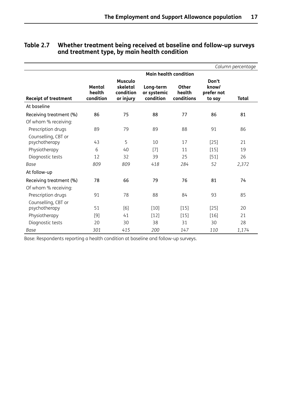|                                      |                               |                                                      |                                       |                                      |                                        | Column percentage |
|--------------------------------------|-------------------------------|------------------------------------------------------|---------------------------------------|--------------------------------------|----------------------------------------|-------------------|
|                                      |                               |                                                      | <b>Main health condition</b>          |                                      |                                        |                   |
| <b>Receipt of treatment</b>          | Mental<br>health<br>condition | <b>Musculo</b><br>skeletal<br>condition<br>or injury | Long-term<br>or systemic<br>condition | <b>Other</b><br>health<br>conditions | Don't<br>know/<br>prefer not<br>to say | <b>Total</b>      |
| At baseline                          |                               |                                                      |                                       |                                      |                                        |                   |
| Receiving treatment (%)              | 86                            | 75                                                   | 88                                    | 77                                   | 86                                     | 81                |
| Of whom % receiving:                 |                               |                                                      |                                       |                                      |                                        |                   |
| Prescription drugs                   | 89                            | 79                                                   | 89                                    | 88                                   | 91                                     | 86                |
| Counselling, CBT or<br>psychotherapy | 43                            | 5                                                    | 10                                    | 17                                   | $[25]$                                 | 21                |
| Physiotherapy                        | 6                             | 40                                                   | $[7]$                                 | 11                                   | $[15]$                                 | 19                |
| Diagnostic tests                     | 12                            | 32                                                   | 39                                    | 25                                   | $[51]$                                 | 26                |
| Base                                 | 809                           | 809                                                  | 418                                   | 284                                  | 52                                     | 2,372             |
| At follow-up                         |                               |                                                      |                                       |                                      |                                        |                   |
| Receiving treatment (%)              | 78                            | 66                                                   | 79                                    | 76                                   | 81                                     | 74                |
| Of whom % receiving:                 |                               |                                                      |                                       |                                      |                                        |                   |
| Prescription drugs                   | 91                            | 78                                                   | 88                                    | 84                                   | 93                                     | 85                |
| Counselling, CBT or<br>psychotherapy | 51                            | [6]                                                  | $[10]$                                | $[15]$                               | $[25]$                                 | 20                |
| Physiotherapy                        | $[9]$                         | 41                                                   | $[12]$                                | $[15]$                               | [16]                                   | 21                |
| Diagnostic tests                     | 20                            | 30                                                   | 38                                    | 31                                   | 30                                     | 28                |
| Base                                 | 301                           | 415                                                  | 200                                   | 147                                  | 110                                    | 1,174             |

#### <span id="page-27-0"></span>**Table 2.7 Whether treatment being received at baseline and follow-up surveys and treatment type, by main health condition**

Base: Respondents reporting a health condition at baseline and follow-up surveys.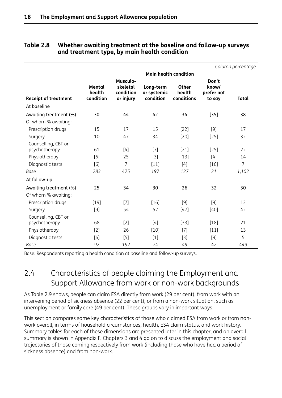|                                               |                               |                                                       |                                       |                               |                                        | Column percentage |
|-----------------------------------------------|-------------------------------|-------------------------------------------------------|---------------------------------------|-------------------------------|----------------------------------------|-------------------|
|                                               |                               |                                                       | <b>Main health condition</b>          |                               |                                        |                   |
| <b>Receipt of treatment</b>                   | Mental<br>health<br>condition | <b>Musculo-</b><br>skeletal<br>condition<br>or injury | Long-term<br>or systemic<br>condition | Other<br>health<br>conditions | Don't<br>know/<br>prefer not<br>to say | <b>Total</b>      |
| At baseline                                   |                               |                                                       |                                       |                               |                                        |                   |
| Awaiting treatment (%)<br>Of whom % awaiting: | 30                            | 44                                                    | 42                                    | 34                            | $[35]$                                 | 38                |
| Prescription drugs                            | 15                            | 17                                                    | 15                                    | $[22]$                        | [9]                                    | 17                |
| Surgery                                       | 10                            | 47                                                    | 34                                    | $[20]$                        | $[25]$                                 | 32                |
| Counselling, CBT or<br>psychotherapy          | 61                            | $[4]$                                                 | $[7]$                                 | $[21]$                        | $[25]$                                 | 22                |
| Physiotherapy                                 | [6]                           | 25                                                    | $[3]$                                 | $[13]$                        | $[4]$                                  | 14                |
| Diagnostic tests                              | [6]                           | 7                                                     | $[11]$                                | $[4]$                         | $[16]$                                 | $\overline{7}$    |
| Base                                          | 283                           | 475                                                   | 197                                   | 127                           | 21                                     | 1,102             |
| At follow-up                                  |                               |                                                       |                                       |                               |                                        |                   |
| Awaiting treatment (%)                        | 25                            | 34                                                    | 30                                    | 26                            | 32                                     | 30                |
| Of whom % awaiting:                           |                               |                                                       |                                       |                               |                                        |                   |
| Prescription drugs                            | $[19]$                        | [7]                                                   | $[16]$                                | [9]                           | $[9]$                                  | 12                |
| Surgery                                       | $[9]$                         | 54                                                    | 52                                    | $[47]$                        | $[40]$                                 | 42                |
| Counselling, CBT or<br>psychotherapy          | 68                            | [2]                                                   | [4]                                   | [33]                          | $[18]$                                 | 21                |
| Physiotherapy                                 | $[2]$                         | 26                                                    | $[10]$                                | $[7]$                         | $[11]$                                 | 13                |
| Diagnostic tests                              | [6]                           | $[5]$                                                 | $[1]$                                 | [3]                           | $[9]$                                  | 5                 |
| <b>Base</b>                                   | 92                            | 192                                                   | 74                                    | 49                            | 42                                     | 449               |

#### <span id="page-28-0"></span>**Table 2.8 Whether awaiting treatment at the baseline and follow-up surveys and treatment type, by main health condition**

Base: Respondents reporting a health condition at baseline and follow-up surveys.

## 2.4 Characteristics of people claiming the Employment and Support Allowance from work or non-work backgrounds

As Table 2.9 shows, people can claim ESA directly from work (29 per cent), from work with an intervening period of sickness absence (22 per cent), or from a non-work situation, such as unemployment or family care (49 per cent). These groups vary in important ways.

This section compares some key characteristics of those who claimed ESA from work or from nonwork overall, in terms of household circumstances, health, ESA claim status, and work history. Summary tables for each of these dimensions are presented later in this chapter, and an overall summary is shown in Appendix F. Chapters 3 and 4 go on to discuss the employment and social trajectories of those coming respectively from work (including those who have had a period of sickness absence) and from non-work.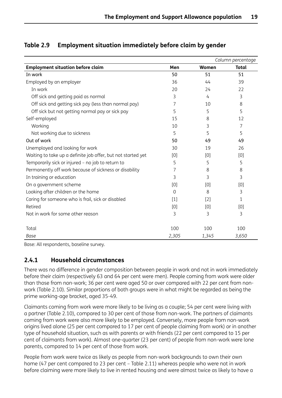|                                                              |       |       | Column percentage |
|--------------------------------------------------------------|-------|-------|-------------------|
| <b>Employment situation before claim</b>                     | Men   | Women | <b>Total</b>      |
| In work                                                      | 50    | 51    | 51                |
| Employed by an employer                                      | 36    | 44    | 39                |
| In work                                                      | 20    | 24    | 22                |
| Off sick and getting paid as normal                          | 3     | 4     | 3                 |
| Off sick and getting sick pay (less than normal pay)         | 7     | 10    | 8                 |
| Off sick but not getting normal pay or sick pay              | 5     | 5     | 5                 |
| Self-employed                                                | 15    | 8     | 12                |
| Working                                                      | 10    | 3     | 7                 |
| Not working due to sickness                                  | 5     | 5     | 5                 |
| Out of work                                                  | 50    | 49    | 49                |
| Unemployed and looking for work                              | 30    | 19    | 26                |
| Waiting to take up a definite job offer, but not started yet | [0]   | [0]   | [0]               |
| Temporarily sick or injured - no job to return to            | 5     | 5     | 5                 |
| Permanently off work because of sickness or disability       | 7     | 8     | 8                 |
| In training or education                                     | 3     | 3     | 3                 |
| On a government scheme                                       | [0]   | [0]   | [0]               |
| Looking after children or the home                           | 0     | 8     | 3                 |
| Caring for someone who is frail, sick or disabled            | $[1]$ | $[2]$ | 1                 |
| Retired                                                      | [0]   | [0]   | [0]               |
| Not in work for some other reason                            | 3     | 3     | 3                 |
|                                                              |       |       |                   |
| Total                                                        | 100   | 100   | 100               |
| Base                                                         | 2,305 | 1,345 | 3,650             |

## <span id="page-29-0"></span>**Table 2.9 Employment situation immediately before claim by gender**

Base: All respondents, baseline survey.

## **2.4.1 Household circumstances**

There was no difference in gender composition between people in work and not in work immediately before their claim (respectively 63 and 64 per cent were men). People coming from work were older than those from non-work; 36 per cent were aged 50 or over compared with 22 per cent from nonwork (Table 2.10). Similar proportions of both groups were in what might be regarded as being the prime working-age bracket, aged 35-49.

Claimants coming from work were more likely to be living as a couple; 54 per cent were living with a partner (Table 2.10), compared to 30 per cent of those from non-work. The partners of claimants coming from work were also more likely to be employed. Conversely, more people from non-work origins lived alone (25 per cent compared to 17 per cent of people claiming from work) or in another type of household situation, such as with parents or with friends (22 per cent compared to 15 per cent of claimants from work). Almost one-quarter (23 per cent) of people from non-work were lone parents, compared to 14 per cent of those from work.

People from work were twice as likely as people from non-work backgrounds to own their own home (47 per cent compared to 23 per cent – Table 2.11) whereas people who were not in work before claiming were more likely to live in rented housing and were almost twice as likely to have a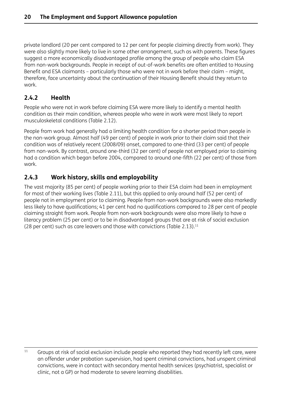<span id="page-30-0"></span>private landlord (20 per cent compared to 12 per cent for people claiming directly from work). They were also slightly more likely to live in some other arrangement, such as with parents. These figures suggest a more economically disadvantaged profile among the group of people who claim ESA from non-work backgrounds. People in receipt of out-of-work benefits are often entitled to Housing Benefit and ESA claimants – particularly those who were not in work before their claim – might, therefore, face uncertainty about the continuation of their Housing Benefit should they return to work.

## **2.4.2 Health**

People who were not in work before claiming ESA were more likely to identify a mental health condition as their main condition, whereas people who were in work were most likely to report musculoskeletal conditions (Table 2.12).

People from work had generally had a limiting health condition for a shorter period than people in the non-work group. Almost half (49 per cent) of people in work prior to their claim said that their condition was of relatively recent (2008/09) onset, compared to one-third (33 per cent) of people from non-work. By contrast, around one-third (32 per cent) of people not employed prior to claiming had a condition which began before 2004, compared to around one-fifth (22 per cent) of those from work.

## **2.4.3 Work history, skills and employability**

The vast majority (85 per cent) of people working prior to their ESA claim had been in employment for most of their working lives (Table 2.11), but this applied to only around half (52 per cent) of people not in employment prior to claiming. People from non-work backgrounds were also markedly less likely to have qualifications; 41 per cent had no qualifications compared to 28 per cent of people claiming straight from work. People from non-work backgrounds were also more likely to have a literacy problem (25 per cent) or to be in disadvantaged groups that are at risk of social exclusion (28 per cent) such as care leavers and those with convictions (Table 2.13). $^{11}$ 

<sup>&</sup>lt;sup>11</sup> Groups at risk of social exclusion include people who reported they had recently left care, were an offender under probation supervision, had spent criminal convictions, had unspent criminal convictions, were in contact with secondary mental health services (psychiatrist, specialist or clinic, not a GP) or had moderate to severe learning disabilities.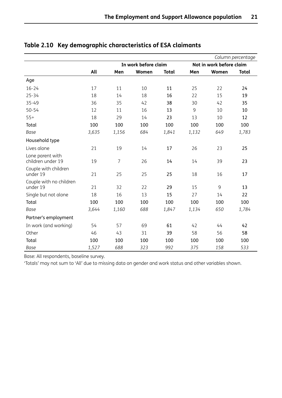|                                       |       |                |                      |              |       |                          | Column percentage |
|---------------------------------------|-------|----------------|----------------------|--------------|-------|--------------------------|-------------------|
|                                       |       |                | In work before claim |              |       | Not in work before claim |                   |
|                                       | All   | Men            | Women                | <b>Total</b> | Men   | Women                    | <b>Total</b>      |
| Age                                   |       |                |                      |              |       |                          |                   |
| $16 - 24$                             | 17    | 11             | 10                   | 11           | 25    | 22                       | 24                |
| $25 - 34$                             | 18    | 14             | 18                   | 16           | 22    | 15                       | 19                |
| 35-49                                 | 36    | 35             | 42                   | 38           | 30    | 42                       | 35                |
| $50 - 54$                             | 12    | 11             | 16                   | 13           | 9     | 10                       | 10                |
| $55+$                                 | 18    | 29             | 14                   | 23           | 13    | 10                       | 12                |
| Total                                 | 100   | 100            | 100                  | 100          | 100   | 100                      | 100               |
| Base                                  | 3,635 | 1,156          | 684                  | 1,841        | 1,132 | 649                      | 1,783             |
| Household type                        |       |                |                      |              |       |                          |                   |
| Lives alone                           | 21    | 19             | 14                   | 17           | 26    | 23                       | 25                |
| Lone parent with<br>children under 19 | 19    | $\overline{7}$ | 26                   | 14           | 14    | 39                       | 23                |
| Couple with children<br>under 19      | 21    | 25             | 25                   | 25           | 18    | 16                       | 17                |
| Couple with no children<br>under 19   | 21    | 32             | 22                   | 29           | 15    | 9                        | 13                |
| Single but not alone                  | 18    | 16             | 13                   | 15           | 27    | 14                       | 22                |
| Total                                 | 100   | 100            | 100                  | 100          | 100   | 100                      | 100               |
| Base                                  | 3,644 | 1,160          | 688                  | 1,847        | 1,134 | 650                      | 1,784             |
| Partner's employment                  |       |                |                      |              |       |                          |                   |
| In work (and working)                 | 54    | 57             | 69                   | 61           | 42    | 44                       | 42                |
| Other                                 | 46    | 43             | 31                   | 39           | 58    | 56                       | 58                |
| Total                                 | 100   | 100            | 100                  | 100          | 100   | 100                      | 100               |
| Base                                  | 1,527 | 688            | 323                  | 992          | 375   | 158                      | 533               |

## **Table 2.10 Key demographic characteristics of ESA claimants**

Base: All respondents, baseline survey.

'Totals' may not sum to 'All' due to missing data on gender and work status and other variables shown.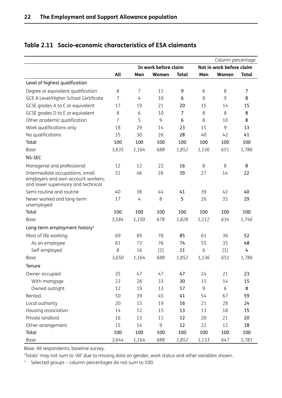|                                           |                      |       |       |              |       | Column percentage        |                |  |
|-------------------------------------------|----------------------|-------|-------|--------------|-------|--------------------------|----------------|--|
|                                           | In work before claim |       |       |              |       | Not in work before claim |                |  |
|                                           | All                  | Men   | Women | <b>Total</b> | Men   | Women                    | <b>Total</b>   |  |
| Level of highest qualification            |                      |       |       |              |       |                          |                |  |
| Degree or equivalent qualification        | 8                    | 7     | 11    | 9            | 6     | 8                        | $\overline{7}$ |  |
| GCE A Level/Higher School Certificate     | $\overline{7}$       | 4     | 10    | 6            | 8     | 9                        | 8              |  |
| GCSE grades A to C or equivalent          | 17                   | 19    | 21    | 20           | 15    | 14                       | 15             |  |
| GCSE grades D to E or equivalent          | 8                    | 6     | 10    | 7            | 8     | 8                        | 8              |  |
| Other academic qualification              | 7                    | 5     | 9     | 6            | 8     | 10                       | 8              |  |
| Work qualifications only                  | 18                   | 29    | 14    | 23           | 15    | $\mathsf 9$              | 13             |  |
| No qualifications                         | 35                   | 30    | 26    | 28           | 40    | 42                       | 41             |  |
| Total                                     | 100                  | 100   | 100   | 100          | 100   | 100                      | 100            |  |
| Base                                      | 3,635                | 1,164 | 688   | 1,852        | 1,136 | 651                      | 1,786          |  |
| NS-SEC                                    |                      |       |       |              |       |                          |                |  |
| Managerial and professional               | 12                   | 12    | 22    | 16           | 8     | 8                        | 8              |  |
| Intermediate occupations, small           | 31                   | 46    | 26    | 39           | 27    | 14                       | 22             |  |
| employers and own account workers,        |                      |       |       |              |       |                          |                |  |
| and lower supervisory and technical       |                      |       |       |              |       |                          |                |  |
| Semi-routine and routine                  | 40                   | 38    | 44    | 41           | 39    | 42                       | 40             |  |
| Never worked and long-term<br>unemployed  | 17                   | 4     | 8     | 5            | 26    | 35                       | 29             |  |
| Total                                     | 100                  | 100   | 100   | 100          | 100   | 100                      | 100            |  |
| Base                                      | 3,584                | 1,150 | 678   | 1,828        | 1,112 | 634                      | 1,746          |  |
|                                           |                      |       |       |              |       |                          |                |  |
| Long-term employment history <sup>1</sup> |                      |       |       |              |       |                          |                |  |
| Most of life working:                     | 69                   | 89    | 78    | 85           | 61    | 36                       | 52             |  |
| As an employee                            | 61                   | 73    | 76    | 74           | 55    | 35                       | 48             |  |
| Self-employed                             | 8                    | 16    | $[2]$ | 11           | 6     | $[1]$                    | 4              |  |
| Base                                      | 3,650                | 1,164 | 688   | 1,852        | 1,136 | 651                      | 1,786          |  |
| Tenure                                    |                      |       |       |              |       |                          |                |  |
| Owner-occupied                            | 35                   | 47    | 47    | 47           | 24    | 21                       | 23             |  |
| With mortgage                             | 23                   | 28    | 33    | 30           | 15    | 14                       | 15             |  |
| Owned outright                            | 12                   | 19    | 13    | 17           | 9     | 6                        | 8              |  |
| Rented                                    | 50                   | 39    | 45    | 41           | 54    | 67                       | 59             |  |
| Local authority                           | 20                   | 15    | 19    | 16           | 21    | 28                       | 24             |  |
| Housing association                       | 14                   | 12    | 15    | 13           | 13    | 18                       | 15             |  |
| Private landlord                          | 16                   | 13    | 11    | 12           | 20    | 21                       | 20             |  |
| Other arrangement                         | 15                   | 14    | 9     | 12           | 22    | 12                       | 18             |  |
| Total                                     | 100                  | 100   | 100   | 100          | 100   | 100                      | 100            |  |
| Base                                      | 3,644                | 1,164 | 688   | 1,852        | 1,133 | 647                      | 1,781          |  |

## <span id="page-32-0"></span>**Table 2.11 Socio-economic characteristics of ESA claimants**

Base: All respondents, baseline survey.

'Totals' may not sum to 'All' due to missing data on gender, work status and other variables shown.

<sup>1</sup> Selected groups – column percentages do not sum to 100.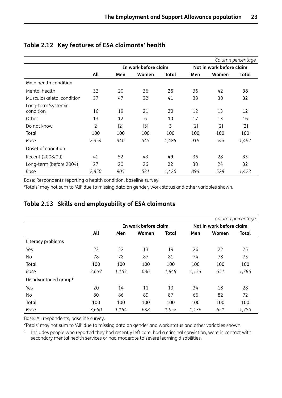|                                 |       |                      |       |       |                          |       | Column percentage |
|---------------------------------|-------|----------------------|-------|-------|--------------------------|-------|-------------------|
|                                 |       | In work before claim |       |       | Not in work before claim |       |                   |
|                                 | All   | Men                  | Women | Total | Men                      | Women | Total             |
| Main health condition           |       |                      |       |       |                          |       |                   |
| Mental health                   | 32    | 20                   | 36    | 26    | 36                       | 42    | 38                |
| Musculoskeletal condition       | 37    | 47                   | 32    | 41    | 33                       | 30    | 32                |
| Long-term/systemic<br>condition | 16    | 19                   | 21    | 20    | 12                       | 13    | 12                |
| Other                           | 13    | 12                   | 6     | 10    | 17                       | 13    | 16                |
| Do not know                     | 2     | $[2]$                | $[5]$ | 3     | $[2]$                    | $[2]$ | $[2]$             |
| Total                           | 100   | 100                  | 100   | 100   | 100                      | 100   | 100               |
| Base                            | 2,954 | 940                  | 545   | 1,485 | 918                      | 544   | 1,462             |
| Onset of condition              |       |                      |       |       |                          |       |                   |
| Recent (2008/09)                | 41    | 52                   | 43    | 49    | 36                       | 28    | 33                |
| Long-term (before 2004)         | 27    | 20                   | 26    | 22    | 30                       | 24    | 32                |
| Base                            | 2,850 | 905                  | 521   | 1,426 | 894                      | 528   | 1,422             |

### <span id="page-33-0"></span>**Table 2.12 Key features of ESA claimants' health**

Base: Respondents reporting a health condition, baseline survey.

'Totals' may not sum to 'All' due to missing data on gender, work status and other variables shown.

### **Table 2.13 Skills and employability of ESA claimants**

|                                  |       |       |                      |              |       |                          | Column percentage |  |
|----------------------------------|-------|-------|----------------------|--------------|-------|--------------------------|-------------------|--|
|                                  |       |       | In work before claim |              |       | Not in work before claim |                   |  |
|                                  | All   | Men   | Women                | <b>Total</b> | Men   | Women                    | <b>Total</b>      |  |
| Literacy problems                |       |       |                      |              |       |                          |                   |  |
| Yes                              | 22    | 22    | 13                   | 19           | 26    | 22                       | 25                |  |
| No                               | 78    | 78    | 87                   | 81           | 74    | 78                       | 75                |  |
| Total                            | 100   | 100   | 100                  | 100          | 100   | 100                      | 100               |  |
| Base                             | 3,647 | 1,163 | 686                  | 1,849        | 1,134 | 651                      | 1,786             |  |
| Disadvantaged group <sup>1</sup> |       |       |                      |              |       |                          |                   |  |
| Yes                              | 20    | 14    | 11                   | 13           | 34    | 18                       | 28                |  |
| No                               | 80    | 86    | 89                   | 87           | 66    | 82                       | 72                |  |
| Total                            | 100   | 100   | 100                  | 100          | 100   | 100                      | 100               |  |
| Base                             | 3,650 | 1,164 | 688                  | 1,852        | 1,136 | 651                      | 1,785             |  |

Base: All respondents, baseline survey.

'Totals' may not sum to 'All' due to missing data on gender and work status and other variables shown.

<sup>1</sup> Includes people who reported they had recently left care, had a criminal conviction, were in contact with secondary mental health services or had moderate to severe learning disabilities.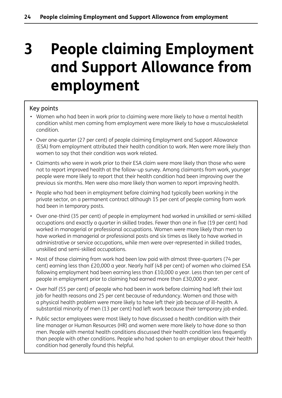# <span id="page-34-0"></span>**3 People claiming Employment and Support Allowance from employment**

### Key points

- Women who had been in work prior to claiming were more likely to have a mental health condition whilst men coming from employment were more likely to have a musculoskeletal condition.
- Over one-quarter (27 per cent) of people claiming Employment and Support Allowance (ESA) from employment attributed their health condition to work. Men were more likely than women to say that their condition was work related.
- Claimants who were in work prior to their ESA claim were more likely than those who were not to report improved health at the follow-up survey. Among claimants from work, younger people were more likely to report that their health condition had been improving over the previous six months. Men were also more likely than women to report improving health.
- People who had been in employment before claiming had typically been working in the private sector, on a permanent contract although 15 per cent of people coming from work had been in temporary posts.
- Over one-third (35 per cent) of people in employment had worked in unskilled or semi-skilled occupations and exactly a quarter in skilled trades. Fewer than one in five (19 per cent) had worked in managerial or professional occupations. Women were more likely than men to have worked in managerial or professional posts and six times as likely to have worked in administrative or service occupations, while men were over-represented in skilled trades, unskilled and semi-skilled occupations.
- Most of those claiming from work had been low paid with almost three-quarters (74 per cent) earning less than £20,000 a year. Nearly half (48 per cent) of women who claimed ESA following employment had been earning less than £10,000 a year. Less than ten per cent of people in employment prior to claiming had earned more than £30,000 a year.
- Over half (55 per cent) of people who had been in work before claiming had left their last job for health reasons and 25 per cent because of redundancy. Women and those with a physical health problem were more likely to have left their job because of ill-health. A substantial minority of men (13 per cent) had left work because their temporary job ended.
- Public sector employees were most likely to have discussed a health condition with their line manager or Human Resources (HR) and women were more likely to have done so than men. People with mental health conditions discussed their health condition less frequently than people with other conditions. People who had spoken to an employer about their health condition had generally found this helpful.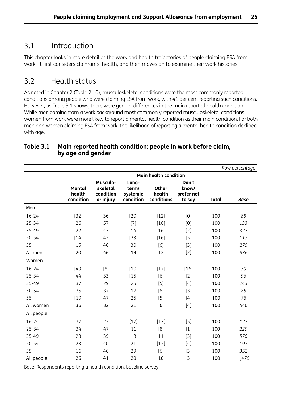## <span id="page-35-0"></span>3.1 Introduction

This chapter looks in more detail at the work and health trajectories of people claiming ESA from work. It first considers claimants' health, and then moves on to examine their work histories.

## 3.2 Health status

As noted in Chapter 2 (Table 2.10), musculoskeletal conditions were the most commonly reported conditions among people who were claiming ESA from work, with 41 per cent reporting such conditions. However, as Table 3.1 shows, there were gender differences in the main reported health condition. While men coming from a work background most commonly reported musculoskeletal conditions, women from work were more likely to report a mental health condition as their main condition. For both men and women claiming ESA from work, the likelihood of reporting a mental health condition declined with age.

|            |                               |                                                |                                         |                                      |                                        |              | Row percentage |
|------------|-------------------------------|------------------------------------------------|-----------------------------------------|--------------------------------------|----------------------------------------|--------------|----------------|
|            |                               |                                                |                                         | <b>Main health condition</b>         |                                        |              |                |
|            | Mental<br>health<br>condition | Musculo-<br>skeletal<br>condition<br>or injury | Long-<br>term/<br>systemic<br>condition | <b>Other</b><br>health<br>conditions | Don't<br>know/<br>prefer not<br>to say | <b>Total</b> | <b>Base</b>    |
| Men        |                               |                                                |                                         |                                      |                                        |              |                |
| $16 - 24$  | $[32]$                        | 36                                             | $[20]$                                  | $[12]$                               | [0]                                    | 100          | 88             |
| $25 - 34$  | 26                            | 57                                             | $[7]$                                   | $[10]$                               | [0]                                    | 100          | 133            |
| 35-49      | 22                            | 47                                             | 14                                      | 16                                   | $[2]$                                  | 100          | 327            |
| $50 - 54$  | $[14]$                        | 42                                             | $[23]$                                  | $[16]$                               | $[5]$                                  | 100          | 113            |
| $55+$      | 15                            | 46                                             | 30                                      | [6]                                  | $[3]$                                  | 100          | 275            |
| All men    | 20                            | 46                                             | 19                                      | 12                                   | $[2]$                                  | 100          | 936            |
| Women      |                               |                                                |                                         |                                      |                                        |              |                |
| $16 - 24$  | $[49]$                        | [8]                                            | $[10]$                                  | $[17]$                               | $[16]$                                 | 100          | 39             |
| $25 - 34$  | 44                            | 33                                             | $[15]$                                  | [6]                                  | $[2]$                                  | 100          | 96             |
| 35-49      | 37                            | 29                                             | 25                                      | $[5]$                                | $[4]$                                  | 100          | 243            |
| $50 - 54$  | 35                            | 37                                             | $[17]$                                  | [8]                                  | $[3]$                                  | 100          | 85             |
| $55+$      | $[19]$                        | 47                                             | $[25]$                                  | $[5]$                                | $[4]$                                  | 100          | 78             |
| All women  | 36                            | 32                                             | 21                                      | 6                                    | $[4]$                                  | 100          | 540            |
| All people |                               |                                                |                                         |                                      |                                        |              |                |
| $16 - 24$  | 37                            | 27                                             | $[17]$                                  | $[13]$                               | $[5]$                                  | 100          | 127            |
| $25 - 34$  | 34                            | 47                                             | $[11]$                                  | [8]                                  | $[1]$                                  | 100          | 229            |
| 35-49      | 28                            | 39                                             | 18                                      | 11                                   | $[3]$                                  | 100          | 570            |
| $50 - 54$  | 23                            | 40                                             | 21                                      | $[12]$                               | $[4]$                                  | 100          | 197            |
| $55+$      | 16                            | 46                                             | 29                                      | [6]                                  | $[3]$                                  | 100          | 352            |
| All people | 26                            | 41                                             | 20                                      | 10                                   | 3                                      | 100          | 1,476          |

### **Table 3.1 Main reported health condition: people in work before claim, by age and gender**

Base: Respondents reporting a health condition, baseline survey.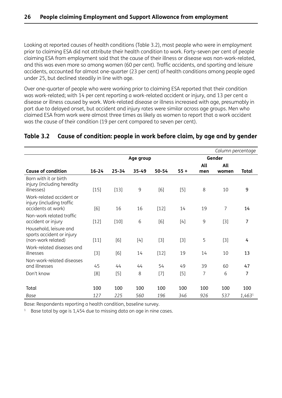Looking at reported causes of health conditions (Table 3.2), most people who were in employment prior to claiming ESA did not attribute their health condition to work. Forty-seven per cent of people claiming ESA from employment said that the cause of their illness or disease was non-work-related, and this was even more so among women (60 per cent). Traffic accidents, and sporting and leisure accidents, accounted for almost one-quarter (23 per cent) of health conditions among people aged under 25, but declined steadily in line with age.

Over one-quarter of people who were working prior to claiming ESA reported that their condition was work-related; with 14 per cent reporting a work-related accident or injury, and 13 per cent a disease or illness caused by work. Work-related disease or illness increased with age, presumably in part due to delayed onset, but accident and injury rates were similar across age groups. Men who claimed ESA from work were almost three times as likely as women to report that a work accident was the cause of their condition (19 per cent compared to seven per cent).

## **Table 3.2 Cause of condition: people in work before claim, by age and by gender**

|                                                                             |           |           |           |        |        |            | Column percentage |              |
|-----------------------------------------------------------------------------|-----------|-----------|-----------|--------|--------|------------|-------------------|--------------|
|                                                                             |           |           | Age group |        |        |            | Gender            |              |
| <b>Cause of condition</b>                                                   | $16 - 24$ | $25 - 34$ | 35-49     | 50-54  | $55 +$ | All<br>men | All<br>women      | <b>Total</b> |
| Born with it or birth<br>injury (including heredity<br>illnesses)           | $[15]$    | $[13]$    | 9         | [6]    | $[5]$  | 8          | 10                | 9            |
| Work-related accident or<br>injury (including traffic<br>accidents at work) | [6]       | 16        | 16        | $[12]$ | 14     | 19         | $\overline{7}$    | 14           |
| Non-work related traffic<br>accident or injury                              | $[12]$    | $[10]$    | 6         | [6]    | $[4]$  | 9          | $[3]$             | 7            |
| Household, leisure and<br>sports accident or injury<br>(non-work related)   | $[11]$    | [6]       | $[4]$     | $[3]$  | $[3]$  | 5          | $[3]$             | 4            |
| Work-related diseases and<br>illnesses                                      | $[3]$     | [6]       | 14        | $[12]$ | 19     | 14         | 10                | 13           |
| Non-work-related diseases<br>and illnesses                                  | 45        | 44        | 44        | 54     | 49     | 39         | 60                | 47           |
| Don't know                                                                  | [8]       | $[5]$     | 8         | $[7]$  | $[5]$  | 7          | 6                 | 7            |
| Total                                                                       | 100       | 100       | 100       | 100    | 100    | 100        | 100               | 100          |
| Base                                                                        | 127       | 225       | 560       | 196    | 346    | 926        | 537               | 1,4631       |

Base: Respondents reporting a health condition, baseline survey.

 $1$  Base total by age is 1,454 due to missing data on age in nine cases.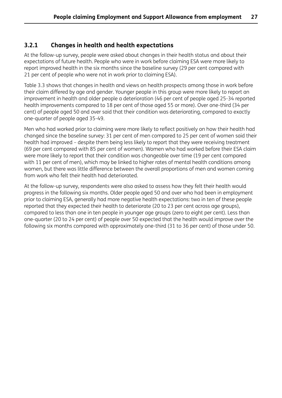#### **3.2.1 Changes in health and health expectations**

At the follow-up survey, people were asked about changes in their health status and about their expectations of future health. People who were in work before claiming ESA were more likely to report improved health in the six months since the baseline survey (29 per cent compared with 21 per cent of people who were not in work prior to claiming ESA).

Table 3.3 shows that changes in health and views on health prospects among those in work before their claim differed by age and gender. Younger people in this group were more likely to report an improvement in health and older people a deterioration (46 per cent of people aged 25-34 reported health improvements compared to 18 per cent of those aged 55 or more). Over one-third (34 per cent) of people aged 50 and over said that their condition was deteriorating, compared to exactly one-quarter of people aged 35-49.

Men who had worked prior to claiming were more likely to reflect positively on how their health had changed since the baseline survey: 31 per cent of men compared to 25 per cent of women said their health had improved – despite them being less likely to report that they were receiving treatment (69 per cent compared with 85 per cent of women). Women who had worked before their ESA claim were more likely to report that their condition was changeable over time (19 per cent compared with 11 per cent of men), which may be linked to higher rates of mental health conditions among women, but there was little difference between the overall proportions of men and women coming from work who felt their health had deteriorated.

At the follow-up survey, respondents were also asked to assess how they felt their health would progress in the following six months. Older people aged 50 and over who had been in employment prior to claiming ESA, generally had more negative health expectations: two in ten of these people reported that they expected their health to deteriorate (20 to 23 per cent across age groups), compared to less than one in ten people in younger age groups (zero to eight per cent). Less than one-quarter (20 to 24 per cent) of people over 50 expected that the health would improve over the following six months compared with approximately one-third (31 to 36 per cent) of those under 50.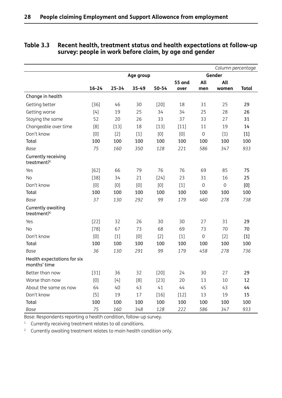|                                               |                                                                                                                                                                                                                                                                                                                                                                                                                                                                                                                                                                                                    |           |           |           |               |                | Column percentage |              |
|-----------------------------------------------|----------------------------------------------------------------------------------------------------------------------------------------------------------------------------------------------------------------------------------------------------------------------------------------------------------------------------------------------------------------------------------------------------------------------------------------------------------------------------------------------------------------------------------------------------------------------------------------------------|-----------|-----------|-----------|---------------|----------------|-------------------|--------------|
|                                               |                                                                                                                                                                                                                                                                                                                                                                                                                                                                                                                                                                                                    |           | Age group |           |               |                | Gender            |              |
|                                               |                                                                                                                                                                                                                                                                                                                                                                                                                                                                                                                                                                                                    |           |           |           | <b>55 and</b> | All            | All               |              |
|                                               | $16 - 24$                                                                                                                                                                                                                                                                                                                                                                                                                                                                                                                                                                                          | $25 - 34$ | $35 - 49$ | $50 - 54$ | over          | men            | women             | <b>Total</b> |
| Change in health                              |                                                                                                                                                                                                                                                                                                                                                                                                                                                                                                                                                                                                    |           |           |           |               |                |                   |              |
| Getting better                                | $[36]$                                                                                                                                                                                                                                                                                                                                                                                                                                                                                                                                                                                             | 46        | 30        | $[20]$    | 18            | 31             | 25                | 29           |
| Getting worse                                 | $[4]$                                                                                                                                                                                                                                                                                                                                                                                                                                                                                                                                                                                              | 19        | 25        | 34        | 34            | 25             | 28                | 26           |
| Staying the same                              | 52                                                                                                                                                                                                                                                                                                                                                                                                                                                                                                                                                                                                 | 20        | 26        | 33        | 37            | 33             | 27                | 31           |
| Changeable over time                          | [8]                                                                                                                                                                                                                                                                                                                                                                                                                                                                                                                                                                                                | $[13]$    | 18        | $[13]$    | $[11]$        | 11             | 19                | 14           |
| Don't know                                    | [0]                                                                                                                                                                                                                                                                                                                                                                                                                                                                                                                                                                                                | $[2]$     | $[1]$     | [0]       | [0]           | 0              | $[1]$             | $[1]$        |
| Total                                         | 100                                                                                                                                                                                                                                                                                                                                                                                                                                                                                                                                                                                                | 100       | 100       | 100       | 100           | 100            | 100               | 100          |
| Base                                          | 75                                                                                                                                                                                                                                                                                                                                                                                                                                                                                                                                                                                                 | 160       | 350       | 128       | 221           | 586            | 347               | 933          |
| Currently receiving<br>treatment?1            |                                                                                                                                                                                                                                                                                                                                                                                                                                                                                                                                                                                                    |           |           |           |               |                |                   |              |
| Yes                                           | $[62]$                                                                                                                                                                                                                                                                                                                                                                                                                                                                                                                                                                                             | 66        | 79        | 76        | 76            | 69             | 85                | 75           |
| No                                            | $[38]$                                                                                                                                                                                                                                                                                                                                                                                                                                                                                                                                                                                             | 34        | 21        | $[24]$    | 23            | 31             | 16                | 25           |
| Don't know                                    | [0]                                                                                                                                                                                                                                                                                                                                                                                                                                                                                                                                                                                                | [0]       | [0]       | [0]       | $[1]$         | $\overline{0}$ | $\mathbf 0$       | [0]          |
| Total                                         | 100                                                                                                                                                                                                                                                                                                                                                                                                                                                                                                                                                                                                | 100       | 100       | 100       | 100           | 100            | 100               | 100          |
| Base                                          | 37                                                                                                                                                                                                                                                                                                                                                                                                                                                                                                                                                                                                 | 130       | 292       | 99        | 179           | 460            | 278               | 738          |
| Currently awaiting<br>treatment? <sup>2</sup> |                                                                                                                                                                                                                                                                                                                                                                                                                                                                                                                                                                                                    |           |           |           |               |                |                   |              |
| Yes                                           | $[22]$                                                                                                                                                                                                                                                                                                                                                                                                                                                                                                                                                                                             | 32        | 26        | 30        | 30            | 27             | 31                | 29           |
| <b>No</b>                                     | $[78]$                                                                                                                                                                                                                                                                                                                                                                                                                                                                                                                                                                                             | 67        | 73        | 68        | 69            | 73             | 70                | 70           |
| Don't know                                    | [0]                                                                                                                                                                                                                                                                                                                                                                                                                                                                                                                                                                                                | $[1]$     | [0]       | $[2]$     | $[1]$         | $\mathbf 0$    | $[2]$             | $[1]$        |
| Total                                         | 100                                                                                                                                                                                                                                                                                                                                                                                                                                                                                                                                                                                                | 100       | 100       | 100       | 100           | 100            | 100               | 100          |
| Base                                          | 36                                                                                                                                                                                                                                                                                                                                                                                                                                                                                                                                                                                                 | 130       | 291       | 99        | 179           | 458            | 278               | 736          |
| Health expectations for six<br>months' time   |                                                                                                                                                                                                                                                                                                                                                                                                                                                                                                                                                                                                    |           |           |           |               |                |                   |              |
| Better than now                               | $[31]$                                                                                                                                                                                                                                                                                                                                                                                                                                                                                                                                                                                             | 36        | 32        | $[20]$    | 24            | 30             | 27                | 29           |
| Worse than now                                | $[0] % \begin{center} % \includegraphics[width=\linewidth]{imagesSupplemental_3.png} % \end{center} % \caption { % Our method can be used for the use of the image. % Note that the \emph{DefNet}~\cite{bib30} as a function of the \emph{DefNet}~\cite{bib30} as a function of the \emph{DefNet}~\cite{bib30} as a function of the \emph{DefNet}~\cite{bib30} as a function of the \emph{DefNet}~\cite{bib30} as a function of the \emph{DefNet}~\cite{bib30} as a function of the \emph{DefNet}~\cite{bib30} as a function of the \emph{DefNet}~\cite{bib30} as a function of the \emph{DefNet}$ | $[4]$     | [8]       | $[23]$    | 20            | 13             | 10                | 12           |
| About the same as now                         | 64                                                                                                                                                                                                                                                                                                                                                                                                                                                                                                                                                                                                 | 40        | 43        | 41        | 44            | 45             | 43                | 44           |
| Don't know                                    | [5]                                                                                                                                                                                                                                                                                                                                                                                                                                                                                                                                                                                                | 19        | 17        | $[16]$    | $[12]$        | 13             | 19                | 15           |
| Total                                         | 100                                                                                                                                                                                                                                                                                                                                                                                                                                                                                                                                                                                                | 100       | 100       | 100       | 100           | 100            | 100               | 100          |
| Base                                          | 75                                                                                                                                                                                                                                                                                                                                                                                                                                                                                                                                                                                                 | 160       | 348       | 128       | 222           | 586            | 347               | 933          |

#### **Table 3.3 Recent health, treatment status and health expectations at follow-up survey: people in work before claim, by age and gender**

Base: Respondents reporting a health condition, follow-up survey.

<sup>1</sup> Currently receiving treatment relates to all conditions.

<sup>2</sup> Currently awaiting treatment relates to main health condition only.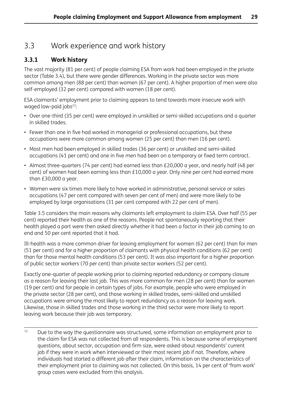# 3.3 Work experience and work history

## **3.3.1 Work history**

The vast majority (81 per cent) of people claiming ESA from work had been employed in the private sector (Table 3.4), but there were gender differences. Working in the private sector was more common among men (88 per cent) than women (67 per cent). A higher proportion of men were also self-employed (32 per cent) compared with women (18 per cent).

ESA claimants' employment prior to claiming appears to tend towards more insecure work with waged low-paid jobs<sup>12</sup>:

- Over one-third (35 per cent) were employed in unskilled or semi-skilled occupations and a quarter in skilled trades.
- Fewer than one in five had worked in managerial or professional occupations, but these occupations were more common among women (25 per cent) than men (16 per cent).
- Most men had been employed in skilled trades (36 per cent) or unskilled and semi-skilled occupations (41 per cent) and one in five men had been on a temporary or fixed term contract.
- Almost three-quarters (74 per cent) had earned less than £20,000 a year, and nearly half (48 per cent) of women had been earning less than £10,000 a year. Only nine per cent had earned more than £30,000 a year.
- Women were six times more likely to have worked in administrative, personal service or sales occupations (47 per cent compared with seven per cent of men) and were more likely to be employed by large organisations (31 per cent compared with 22 per cent of men).

Table 3.5 considers the main reasons why claimants left employment to claim ESA. Over half (55 per cent) reported their health as one of the reasons. People not spontaneously reporting that their health played a part were then asked directly whether it had been a factor in their job coming to an end and 50 per cent reported that it had.

Ill-health was a more common driver for leaving employment for women (62 per cent) than for men (51 per cent) and for a higher proportion of claimants with physical health conditions (62 per cent) than for those mental health conditions (53 per cent). It was also important for a higher proportion of public sector workers (70 per cent) than private sector workers (52 per cent).

Exactly one-quarter of people working prior to claiming reported redundancy or company closure as a reason for leaving their last job. This was more common for men (28 per cent) than for women (19 per cent) and for people in certain types of jobs. For example, people who were employed in the private sector (28 per cent), and those working in skilled trades, semi-skilled and unskilled occupations were among the most likely to report redundancy as a reason for leaving work. Likewise, those in skilled trades and those working in the third sector were more likely to report leaving work because their job was temporary.

<sup>12</sup> Due to the way the questionnaire was structured, some information on employment prior to the claim for ESA was not collected from all respondents. This is because some of employment questions, about sector, occupation and firm size, were asked about respondents' current job if they were in work when interviewed or their most recent job if not. Therefore, where individuals had started a different job after their claim, information on the characteristics of their employment prior to claiming was not collected. On this basis, 14 per cent of 'from work' group cases were excluded from this analysis.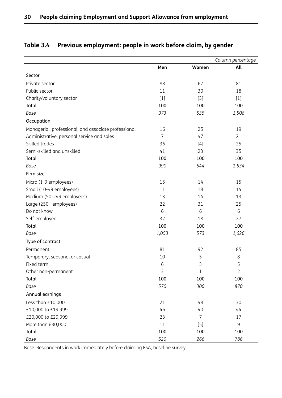|                                                      |       |              | Column percentage |
|------------------------------------------------------|-------|--------------|-------------------|
|                                                      | Men   | Women        | All               |
| Sector                                               |       |              |                   |
| Private sector                                       | 88    | 67           | 81                |
| Public sector                                        | 11    | 30           | 18                |
| Charity/voluntary sector                             | $[1]$ | $[3]$        | $[1]$             |
| Total                                                | 100   | 100          | 100               |
| Base                                                 | 973   | 535          | 1,508             |
| Occupation                                           |       |              |                   |
| Managerial, professional, and associate professional | 16    | 25           | 19                |
| Administrative, personal service and sales           | 7     | 47           | 21                |
| Skilled trades                                       | 36    | $[4]$        | 25                |
| Semi-skilled and unskilled                           | 41    | 23           | 35                |
| Total                                                | 100   | 100          | 100               |
| Base                                                 | 990   | 544          | 1,534             |
| Firm size                                            |       |              |                   |
| Micro (1-9 employees)                                | 15    | 14           | 15                |
| Small (10-49 employees)                              | 11    | 18           | 14                |
| Medium (50-249 employees)                            | 13    | 14           | 13                |
| Large (250+ employees)                               | 22    | 31           | 25                |
| Do not know                                          | 6     | 6            | 6                 |
| Self-employed                                        | 32    | 18           | 27                |
| Total                                                | 100   | 100          | 100               |
| Base                                                 | 1,053 | 573          | 1,626             |
| Type of contract                                     |       |              |                   |
| Permanent                                            | 81    | 92           | 85                |
| Temporary, seasonal or casual                        | 10    | 5            | 8                 |
| Fixed term                                           | 6     | 3            | 5                 |
| Other non-permanent                                  | 3     | $\mathbf{1}$ | $\overline{2}$    |
| Total                                                | 100   | 100          | 100               |
| Base                                                 | 570   | 300          | 870               |
| Annual earnings                                      |       |              |                   |
| Less than £10,000                                    | 21    | 48           | 30                |
| £10,000 to £19,999                                   | 46    | 40           | 44                |
| £20,000 to £29,999                                   | 23    | 7            | 17                |
| More than £30,000                                    | 11    | $[5]$        | 9                 |
| Total                                                | 100   | 100          | 100               |
| Base                                                 | 520   | 266          | 786               |

## **Table 3.4 Previous employment: people in work before claim, by gender**

Base: Respondents in work immediately before claiming ESA, baseline survey.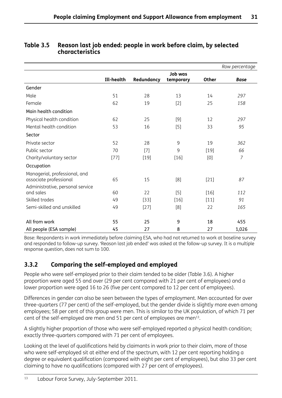|                                                         |            |            |           |              | Row percentage |
|---------------------------------------------------------|------------|------------|-----------|--------------|----------------|
|                                                         |            |            | Job was   |              |                |
|                                                         | Ill-health | Redundancy | temporary | <b>Other</b> | <b>Base</b>    |
| Gender                                                  |            |            |           |              |                |
| Male                                                    | 51         | 28         | 13        | 14           | 297            |
| Female                                                  | 62         | 19         | $[2]$     | 25           | 158            |
| Main health condition                                   |            |            |           |              |                |
| Physical health condition                               | 62         | 25         | [9]       | 12           | 297            |
| Mental health condition                                 | 53         | 16         | $[5]$     | 33           | 95             |
| Sector                                                  |            |            |           |              |                |
| Private sector                                          | 52         | 28         | 9         | 19           | 362            |
| Public sector                                           | 70         | $[7]$      | 9         | [19]         | 66             |
| Charity/voluntary sector                                | $[77]$     | $[19]$     | $[16]$    | [0]          | $\overline{7}$ |
| Occupation                                              |            |            |           |              |                |
| Managerial, professional, and<br>associate professional | 65         | 15         | [8]       | $[21]$       | 87             |
| Administrative, personal service<br>and sales           | 60         | 22         | [5]       | [16]         | 112            |
| Skilled trades                                          | 49         | $[33]$     | [16]      | [11]         | 91             |
| Semi-skilled and unskilled                              | 49         | $[27]$     | [8]       | 22           | 165            |
| All from work                                           | 55         | 25         | 9         | 18           | 455            |
| All people (ESA sample)                                 | 45         | 27         | 8         | 27           | 1,026          |

## **Table 3.5 Reason last job ended: people in work before claim, by selected characteristics**

Base: Respondents in work immediately before claiming ESA, who had not returned to work at baseline survey and responded to follow-up survey. 'Reason last job ended' was asked at the follow-up survey. It is a multiple response question, does not sum to 100.

## **3.3.2 Comparing the self-employed and employed**

People who were self-employed prior to their claim tended to be older (Table 3.6). A higher proportion were aged 55 and over (29 per cent compared with 21 per cent of employees) and a lower proportion were aged 16 to 26 (five per cent compared to 12 per cent of employees).

Differences in gender can also be seen between the types of employment. Men accounted for over three-quarters (77 per cent) of the self-employed, but the gender divide is slightly more even among employees; 58 per cent of this group were men. This is similar to the UK population, of which 71 per cent of the self-employed are men and 51 per cent of employees are men<sup>13</sup>.

A slightly higher proportion of those who were self-employed reported a physical health condition; exactly three-quarters compared with 71 per cent of employees.

Looking at the level of qualifications held by claimants in work prior to their claim, more of those who were self-employed sit at either end of the spectrum, with 12 per cent reporting holding a degree or equivalent qualification (compared with eight per cent of employees), but also 33 per cent claiming to have no qualifications (compared with 27 per cent of employees).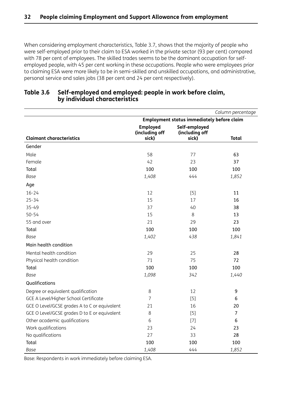When considering employment characteristics, Table 3.7, shows that the majority of people who were self-employed prior to their claim to ESA worked in the private sector (93 per cent) compared with 78 per cent of employees. The skilled trades seems to be the dominant occupation for selfemployed people, with 45 per cent working in these occupations. People who were employees prior to claiming ESA were more likely to be in semi-skilled and unskilled occupations, and administrative, personal service and sales jobs (38 per cent and 24 per cent respectively).

|                                              |                                                   |                                          | Column percentage |  |  |  |
|----------------------------------------------|---------------------------------------------------|------------------------------------------|-------------------|--|--|--|
|                                              | <b>Employment status immediately before claim</b> |                                          |                   |  |  |  |
| <b>Claimant characteristics</b>              | <b>Employed</b><br>(including off<br>sick)        | Self-employed<br>(including off<br>sick) | <b>Total</b>      |  |  |  |
| Gender                                       |                                                   |                                          |                   |  |  |  |
| Male                                         | 58                                                | 77                                       | 63                |  |  |  |
| Female                                       | 42                                                | 23                                       | 37                |  |  |  |
| Total                                        | 100                                               | 100                                      | 100               |  |  |  |
| Base                                         | 1,408                                             | 444                                      | 1,852             |  |  |  |
| Age                                          |                                                   |                                          |                   |  |  |  |
| $16 - 24$                                    | 12                                                | $[5]$                                    | 11                |  |  |  |
| $25 - 34$                                    | 15                                                | 17                                       | 16                |  |  |  |
| 35-49                                        | 37                                                | 40                                       | 38                |  |  |  |
| $50 - 54$                                    | 15                                                | 8                                        | 13                |  |  |  |
| 55 and over                                  | 21                                                | 29                                       | 23                |  |  |  |
| Total                                        | 100                                               | 100                                      | 100               |  |  |  |
| Base                                         | 1,402                                             | 438                                      | 1,841             |  |  |  |
| Main health condition                        |                                                   |                                          |                   |  |  |  |
| Mental health condition                      | 29                                                | 25                                       | 28                |  |  |  |
| Physical health condition                    | 71                                                | 75                                       | 72                |  |  |  |
| Total                                        | 100                                               | 100                                      | 100               |  |  |  |
| Base                                         | 1,098                                             | 342                                      | 1,440             |  |  |  |
| Qualifications                               |                                                   |                                          |                   |  |  |  |
| Degree or equivalent qualification           | 8                                                 | 12                                       | 9                 |  |  |  |
| GCE A Level/Higher School Certificate        | 7                                                 | $[5]$                                    | 6                 |  |  |  |
| GCE O Level/GCSE grades A to C or equivalent | 21                                                | 16                                       | 20                |  |  |  |
| GCE O Level/GCSE grades D to E or equivalent | 8                                                 | $[5]$                                    | $\overline{7}$    |  |  |  |
| Other academic qualifications                | 6                                                 | $[7]$                                    | 6                 |  |  |  |
| Work qualifications                          | 23                                                | 24                                       | 23                |  |  |  |
| No qualifications                            | 27                                                | 33                                       | 28                |  |  |  |
| Total                                        | 100                                               | 100                                      | 100               |  |  |  |
| Base                                         | 1,408                                             | 444                                      | 1,852             |  |  |  |

#### **Table 3.6 Self-employed and employed: people in work before claim, by individual characteristics**

Base: Respondents in work immediately before claiming ESA.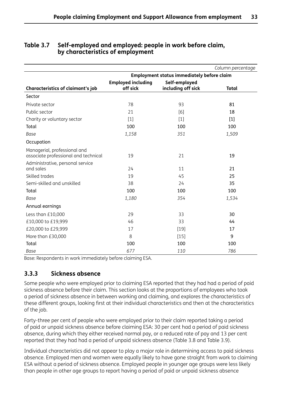|                                                                      |                                       |                                                   | Column percentage |
|----------------------------------------------------------------------|---------------------------------------|---------------------------------------------------|-------------------|
|                                                                      |                                       | <b>Employment status immediately before claim</b> |                   |
| <b>Characteristics of claimant's job</b>                             | <b>Employed including</b><br>off sick | Self-employed<br>including off sick               | <b>Total</b>      |
| Sector                                                               |                                       |                                                   |                   |
| Private sector                                                       | 78                                    | 93                                                | 81                |
| Public sector                                                        | 21                                    | [6]                                               | 18                |
| Charity or voluntary sector                                          | $[1]$                                 | $[1]$                                             | $[1]$             |
| Total                                                                | 100                                   | 100                                               | 100               |
| Base                                                                 | 1,158                                 | 351                                               | 1,509             |
| Occupation                                                           |                                       |                                                   |                   |
| Managerial, professional and<br>associate professional and technical | 19                                    | 21                                                | 19                |
| Administrative, personal service<br>and sales                        | 24                                    | 11                                                | 21                |
| Skilled trades                                                       | 19                                    | 45                                                | 25                |
| Semi-skilled and unskilled                                           | 38                                    | 24                                                | 35                |
| Total                                                                | 100                                   | 100                                               | 100               |
| Base                                                                 | 1,180                                 | 354                                               | 1,534             |
| Annual earnings                                                      |                                       |                                                   |                   |
| Less than £10,000                                                    | 29                                    | 33                                                | 30                |
| £10,000 to £19,999                                                   | 46                                    | 33                                                | 44                |
| £20,000 to £29,999                                                   | 17                                    | $[19]$                                            | 17                |
| More than £30,000                                                    | 8                                     | $[15]$                                            | 9                 |
| Total                                                                | 100                                   | 100                                               | 100               |
| <b>Base</b>                                                          | 677                                   | 110                                               | 786               |

#### **Table 3.7 Self-employed and employed: people in work before claim, by characteristics of employment**

Base: Respondents in work immediately before claiming ESA.

## **3.3.3 Sickness absence**

Some people who were employed prior to claiming ESA reported that they had had a period of paid sickness absence before their claim. This section looks at the proportions of employees who took a period of sickness absence in between working and claiming, and explores the characteristics of these different groups, looking first at their individual characteristics and then at the characteristics of the job.

Forty-three per cent of people who were employed prior to their claim reported taking a period of paid or unpaid sickness absence before claiming ESA: 30 per cent had a period of paid sickness absence, during which they either received normal pay, or a reduced rate of pay and 13 per cent reported that they had had a period of unpaid sickness absence (Table 3.8 and Table 3.9).

Individual characteristics did not appear to play a major role in determining access to paid sickness absence. Employed men and women were equally likely to have gone straight from work to claiming ESA without a period of sickness absence. Employed people in younger age groups were less likely than people in other age groups to report having a period of paid or unpaid sickness absence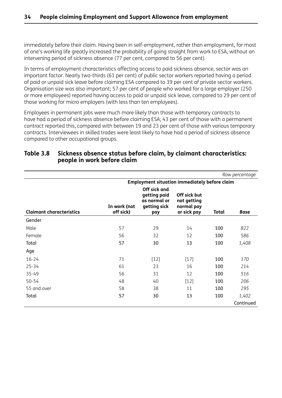immediately before their claim. Having been in self-employment, rather than employment, for most of one's working life greatly increased the probability of going straight from work to ESA, without an intervening period of sickness absence (77 per cent, compared to 56 per cent).

In terms of employment characteristics affecting access to paid sickness absence, sector was an important factor. Nearly two-thirds (61 per cent) of public sector workers reported having a period of paid or unpaid sick leave before claiming ESA compared to 39 per cent of private sector workers. Organisation size was also important; 57 per cent of people who worked for a large employer (250 or more employees) reported having access to paid or unpaid sick leave, compared to 29 per cent of those working for micro employers (with less than ten employees).

Employees in permanent jobs were much more likely than those with temporary contracts to have had a period of sickness absence before claiming ESA; 43 per cent of those with a permanent contract reported this, compared with between 19 and 23 per cent of those with various temporary contracts. Interviewees in skilled trades were least likely to have had a period of sickness absence compared to other occupational groups.

|                                 |                                                      |                                                                     |                                                          |              | Row percentage |  |  |
|---------------------------------|------------------------------------------------------|---------------------------------------------------------------------|----------------------------------------------------------|--------------|----------------|--|--|
|                                 | <b>Employment situation immediately before claim</b> |                                                                     |                                                          |              |                |  |  |
| <b>Claimant characteristics</b> | In work (not<br>off sick)                            | Off sick and<br>getting paid<br>as normal or<br>getting sick<br>pay | Off sick but<br>not getting<br>normal pay<br>or sick pay | <b>Total</b> | <b>Base</b>    |  |  |
| Gender                          |                                                      |                                                                     |                                                          |              |                |  |  |
| Male                            | 57                                                   | 29                                                                  | 14                                                       | 100          | 822            |  |  |
| Female                          | 56                                                   | 32                                                                  | 12                                                       | 100          | 586            |  |  |
| Total                           | 57                                                   | 30                                                                  | 13                                                       | 100          | 1,408          |  |  |
| Age                             |                                                      |                                                                     |                                                          |              |                |  |  |
| $16 - 24$                       | 71                                                   | $[12]$                                                              | $[17]$                                                   | 100          | 170            |  |  |
| $25 - 34$                       | 61                                                   | 23                                                                  | 16                                                       | 100          | 214            |  |  |
| 35-49                           | 56                                                   | 31                                                                  | 12                                                       | 100          | 516            |  |  |
| $50 - 54$                       | 48                                                   | 40                                                                  | $[12]$                                                   | 100          | 206            |  |  |
| 55 and over                     | 58                                                   | 38                                                                  | 11                                                       | 100          | 295            |  |  |
| Total                           | 57                                                   | 30                                                                  | 13                                                       | 100          | 1,402          |  |  |
|                                 |                                                      |                                                                     |                                                          |              | Continued      |  |  |

#### **Table 3.8 Sickness absence status before claim, by claimant characteristics: people in work before claim**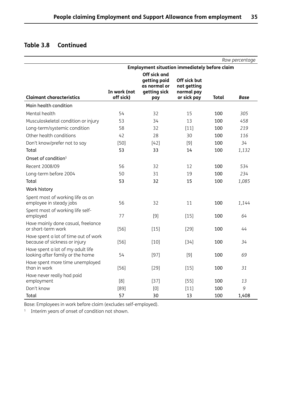## **Table 3.8 Continued**

|                                                                       |              |                                                      |                           |              | Row percentage |
|-----------------------------------------------------------------------|--------------|------------------------------------------------------|---------------------------|--------------|----------------|
|                                                                       |              | <b>Employment situation immediately before claim</b> |                           |              |                |
|                                                                       |              | Off sick and                                         |                           |              |                |
|                                                                       |              | getting paid<br>as normal or                         | Off sick but              |              |                |
|                                                                       | In work (not | getting sick                                         | not getting<br>normal pay |              |                |
| <b>Claimant characteristics</b>                                       | off sick)    | pay                                                  | or sick pay               | <b>Total</b> | Base           |
| Main health condition                                                 |              |                                                      |                           |              |                |
| Mental health                                                         | 54           | 32                                                   | 15                        | 100          | 305            |
| Musculoskeletal condition or injury                                   | 53           | 34                                                   | 13                        | 100          | 458            |
| Long-term/systemic condition                                          | 58           | 32                                                   | $[11]$                    | 100          | 219            |
| Other health conditions                                               | 42           | 28                                                   | 30                        | 100          | 116            |
| Don't know/prefer not to say                                          | $[50]$       | $[42]$                                               | [9]                       | 100          | 34             |
| Total                                                                 | 53           | 33                                                   | 14                        | 100          | 1,132          |
| Onset of condition <sup>1</sup>                                       |              |                                                      |                           |              |                |
| Recent 2008/09                                                        | 56           | 32                                                   | 12                        | 100          | 534            |
| Long-term before 2004                                                 | 50           | 31                                                   | 19                        | 100          | 234            |
| Total                                                                 | 53           | 32                                                   | 15                        | 100          | 1,085          |
| Work history                                                          |              |                                                      |                           |              |                |
| Spent most of working life as an<br>employee in steady jobs           | 56           | 32                                                   | 11                        | 100          | 1,144          |
| Spent most of working life self-<br>employed                          | 77           | [9]                                                  | $[15]$                    | 100          | 64             |
| Have mainly done casual, freelance<br>or short-term work              | $[56]$       | $[15]$                                               | $[29]$                    | 100          | 44             |
| Have spent a lot of time out of work<br>because of sickness or injury | $[56]$       | $[10]$                                               | $[34]$                    | 100          | 34             |
| Have spent a lot of my adult life<br>looking after family or the home | 54           | $[97]$                                               | [9]                       | 100          | 69             |
| Have spent more time unemployed<br>than in work                       | $[56]$       | $[29]$                                               | $[15]$                    | 100          | 31             |
| Have never really had paid                                            |              |                                                      |                           |              |                |
| employment                                                            | [8]          | $[37]$                                               | $[55]$                    | 100          | 13             |
| Don't know                                                            | [89]         | [0]                                                  | $[11]$                    | 100          | 9              |
| Total                                                                 | 57           | 30                                                   | 13                        | 100          | 1,408          |

Base: Employees in work before claim (excludes self-employed).

<sup>1</sup> Interim years of onset of condition not shown.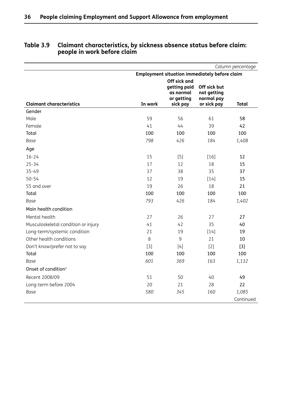|                                     |                                                      |                                                         |                                           | Column percentage |  |  |  |
|-------------------------------------|------------------------------------------------------|---------------------------------------------------------|-------------------------------------------|-------------------|--|--|--|
|                                     | <b>Employment situation immediately before claim</b> |                                                         |                                           |                   |  |  |  |
|                                     |                                                      | Off sick and<br>getting paid<br>as normal<br>or getting | Off sick but<br>not getting<br>normal pay |                   |  |  |  |
| <b>Claimant characteristics</b>     | In work                                              | sick pay                                                | or sick pay                               | <b>Total</b>      |  |  |  |
| Gender                              |                                                      |                                                         |                                           |                   |  |  |  |
| Male                                | 59                                                   | 56                                                      | 61                                        | 58                |  |  |  |
| Female                              | 41                                                   | 44                                                      | 39                                        | 42                |  |  |  |
| Total                               | 100                                                  | 100                                                     | 100                                       | 100               |  |  |  |
| Base                                | 798                                                  | 426                                                     | 184                                       | 1,408             |  |  |  |
| Age                                 |                                                      |                                                         |                                           |                   |  |  |  |
| $16 - 24$                           | 15                                                   | $[5]$                                                   | $[16]$                                    | 12                |  |  |  |
| $25 - 34$                           | 17                                                   | 12                                                      | 18                                        | 15                |  |  |  |
| 35-49                               | 37                                                   | 38                                                      | 35                                        | 37                |  |  |  |
| $50 - 54$                           | 12                                                   | 19                                                      | $[14]$                                    | 15                |  |  |  |
| 55 and over                         | 19                                                   | 26                                                      | 18                                        | 21                |  |  |  |
| Total                               | 100                                                  | 100                                                     | 100                                       | 100               |  |  |  |
| <b>Base</b>                         | 793                                                  | 426                                                     | 184                                       | 1,402             |  |  |  |
| Main health condition               |                                                      |                                                         |                                           |                   |  |  |  |
| Mental health                       | 27                                                   | 26                                                      | 27                                        | 27                |  |  |  |
| Musculoskeletal condition or injury | 41                                                   | 42                                                      | 35                                        | 40                |  |  |  |
| Long-term/systemic condition        | 21                                                   | 19                                                      | $[14]$                                    | 19                |  |  |  |
| Other health conditions             | 8                                                    | 9                                                       | 21                                        | 10                |  |  |  |
| Don't know/prefer not to say        | $[3]$                                                | $[4]$                                                   | $[2]$                                     | $[3]$             |  |  |  |
| Total                               | 100                                                  | 100                                                     | 100                                       | 100               |  |  |  |
| Base                                | 601                                                  | 369                                                     | 163                                       | 1,132             |  |  |  |
| Onset of condition <sup>1</sup>     |                                                      |                                                         |                                           |                   |  |  |  |
| Recent 2008/09                      | 51                                                   | 50                                                      | 40                                        | 49                |  |  |  |
| Long-term before 2004               | 20                                                   | 21                                                      | 28                                        | 22                |  |  |  |
| Base                                | 580                                                  | 345                                                     | 160                                       | 1,085             |  |  |  |
|                                     |                                                      |                                                         |                                           | Continued         |  |  |  |

#### **Table 3.9 Claimant characteristics, by sickness absence status before claim: people in work before claim**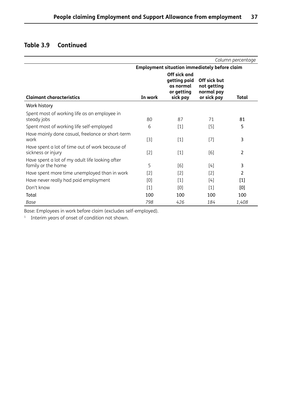## **Table 3.9 Continued**

|                                                                       |         |                                                                     |                                                          | Column percentage |
|-----------------------------------------------------------------------|---------|---------------------------------------------------------------------|----------------------------------------------------------|-------------------|
|                                                                       |         | <b>Employment situation immediately before claim</b>                |                                                          |                   |
| <b>Claimant characteristics</b>                                       | In work | Off sick and<br>getting paid<br>as normal<br>or getting<br>sick pay | Off sick but<br>not getting<br>normal pay<br>or sick pay | Total             |
| Work history                                                          |         |                                                                     |                                                          |                   |
| Spent most of working life as an employee in<br>steady jobs           | 80      | 87                                                                  | 71                                                       | 81                |
| Spent most of working life self-employed                              | 6       | $[1]$                                                               | [5]                                                      | 5                 |
| Have mainly done casual, freelance or short-term<br>work              | $[3]$   | $[1]$                                                               | $[7]$                                                    | 3                 |
| Have spent a lot of time out of work because of<br>sickness or injury | $[2]$   | $[1]$                                                               | [6]                                                      | 2                 |
| Have spent a lot of my adult life looking after<br>family or the home | 5       | [6]                                                                 | $[4]$                                                    | 3                 |
| Have spent more time unemployed than in work                          | $[2]$   | $[2]$                                                               | [2]                                                      | 2                 |
| Have never really had paid employment                                 | [0]     | $[1]$                                                               | [4]                                                      | $[1]$             |
| Don't know                                                            | $[1]$   | [0]                                                                 | $[1]$                                                    | [0]               |
| Total                                                                 | 100     | 100                                                                 | 100                                                      | 100               |
| Base                                                                  | 798     | 426                                                                 | 184                                                      | 1,408             |

Base: Employees in work before claim (excludes self-employed).

<sup>1</sup> Interim years of onset of condition not shown.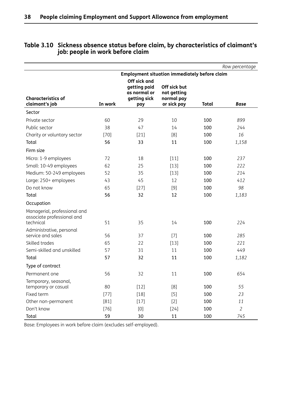|                                                                         |         |                                                                     |                                                          |              | Row percentage |
|-------------------------------------------------------------------------|---------|---------------------------------------------------------------------|----------------------------------------------------------|--------------|----------------|
|                                                                         |         | <b>Employment situation immediately before claim</b>                |                                                          |              |                |
| <b>Characteristics of</b><br>claimant's job                             | In work | Off sick and<br>getting paid<br>as normal or<br>getting sick<br>pay | Off sick but<br>not getting<br>normal pay<br>or sick pay | <b>Total</b> | <b>Base</b>    |
| Sector                                                                  |         |                                                                     |                                                          |              |                |
| Private sector                                                          | 60      | 29                                                                  | 10                                                       | 100          | 899            |
| Public sector                                                           | 38      | 47                                                                  | 14                                                       | 100          | 244            |
| Charity or voluntary sector                                             | $[70]$  | $[21]$                                                              | [8]                                                      | 100          | 16             |
| Total                                                                   | 56      | 33                                                                  | 11                                                       | 100          | 1,158          |
| Firm size                                                               |         |                                                                     |                                                          |              |                |
| Micro: 1-9 employees                                                    | 72      | 18                                                                  | $[11]$                                                   | 100          | 237            |
| Small: 10-49 employees                                                  | 62      | 25                                                                  | $[13]$                                                   | 100          | 222            |
| Medium: 50-249 employees                                                | 52      | 35                                                                  | $[13]$                                                   | 100          | 214            |
| Large: 250+ employees                                                   | 43      | 45                                                                  | 12                                                       | 100          | 412            |
| Do not know                                                             | 65      | $[27]$                                                              | $[9]$                                                    | 100          | 98             |
| Total                                                                   | 56      | 32                                                                  | 12                                                       | 100          | 1,183          |
| Occupation                                                              |         |                                                                     |                                                          |              |                |
| Managerial, professional and<br>associate professional and<br>technical | 51      | 35                                                                  | 14                                                       | 100          | 224            |
| Administrative, personal                                                |         |                                                                     |                                                          |              |                |
| service and sales                                                       | 56      | 37                                                                  | $[7]$                                                    | 100          | 285            |
| Skilled trades                                                          | 65      | 22                                                                  | $[13]$                                                   | 100          | 221            |
| Semi-skilled and unskilled                                              | 57      | 31                                                                  | 11                                                       | 100          | 449            |
| Total                                                                   | 57      | 32                                                                  | 11                                                       | 100          | 1,182          |
| Type of contract                                                        |         |                                                                     |                                                          |              |                |
| Permanent one                                                           | 56      | 32                                                                  | 11                                                       | 100          | 654            |
| Temporary, seasonal,<br>temporary or casual                             | 80      | $[12]$                                                              | [8]                                                      | 100          | 55             |
| Fixed term                                                              | $[77]$  | $[18]$                                                              | $[5]$                                                    | 100          | 23             |
| Other non-permanent                                                     | [81]    | $[17]$                                                              | $[2]$                                                    | 100          | 11             |
| Don't know                                                              | $[76]$  | $[0]$                                                               | $[24]$                                                   | 100          | $\overline{2}$ |
| Total                                                                   | 59      | 30                                                                  | 11                                                       | 100          | 745            |

#### **Table 3.10 Sickness absence status before claim, by characteristics of claimant's job: people in work before claim**

Base: Employees in work before claim (excludes self-employed).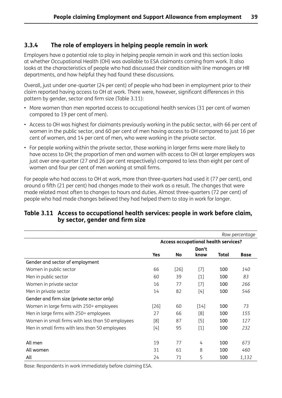#### **3.3.4 The role of employers in helping people remain in work**

Employers have a potential role to play in helping people remain in work and this section looks at whether Occupational Health (OH) was available to ESA claimants coming from work. It also looks at the characteristics of people who had discussed their condition with line managers or HR departments, and how helpful they had found these discussions.

Overall, just under one-quarter (24 per cent) of people who had been in employment prior to their claim reported having access to OH at work. There were, however, significant differences in this pattern by gender, sector and firm size (Table 3.11):

- More women than men reported access to occupational health services (31 per cent of women compared to 19 per cent of men).
- Access to OH was highest for claimants previously working in the public sector, with 66 per cent of women in the public sector, and 60 per cent of men having access to OH compared to just 16 per cent of women, and 14 per cent of men, who were working in the private sector.
- For people working within the private sector, those working in larger firms were more likely to have access to OH; the proportion of men and women with access to OH at larger employers was just over one-quarter (27 and 26 per cent respectively) compared to less than eight per cent of women and four per cent of men working at small firms.

For people who had access to OH at work, more than three-quarters had used it (77 per cent), and around a fifth (21 per cent) had changes made to their work as a result. The changes that were made related most often to changes to hours and duties. Almost three-quarters (72 per cent) of people who had made changes believed they had helped them to stay in work for longer.

#### **Table 3.11 Access to occupational health services: people in work before claim, by sector, gender and firm size**

|                                                  |                                      |        |                   |       | Row percentage |  |  |
|--------------------------------------------------|--------------------------------------|--------|-------------------|-------|----------------|--|--|
|                                                  | Access occupational health services? |        |                   |       |                |  |  |
|                                                  |                                      |        | Don't             |       |                |  |  |
|                                                  | Yes                                  | No     | know              | Total | <b>Base</b>    |  |  |
| Gender and sector of employment                  |                                      |        |                   |       |                |  |  |
| Women in public sector                           | 66                                   | $[26]$ | $[7]$             | 100   | 140            |  |  |
| Men in public sector                             | 60                                   | 39     | $\lceil 1 \rceil$ | 100   | 83             |  |  |
| Women in private sector                          | 16                                   | 77     | $[7]$             | 100   | 266            |  |  |
| Men in private sector                            | 14                                   | 82     | $[4]$             | 100   | 546            |  |  |
| Gender and firm size (private sector only)       |                                      |        |                   |       |                |  |  |
| Women in large firms with 250+ employees         | [26]                                 | 60     | $[14]$            | 100   | 73             |  |  |
| Men in large firms with 250+ employees           | 27                                   | 66     | [8]               | 100   | 155            |  |  |
| Women in small firms with less than 50 employees | [8]                                  | 87     | $[5]$             | 100   | 127            |  |  |
| Men in small firms with less than 50 employees   | [4]                                  | 95     | $[1]$             | 100   | 232            |  |  |
|                                                  |                                      |        |                   |       |                |  |  |
| All men                                          | 19                                   | 77     | 4                 | 100   | 673            |  |  |
| All women                                        | 31                                   | 61     | 8                 | 100   | 460            |  |  |
| All                                              | 24                                   | 71     | 5                 | 100   | 1,132          |  |  |

Base: Respondents in work immediately before claiming ESA.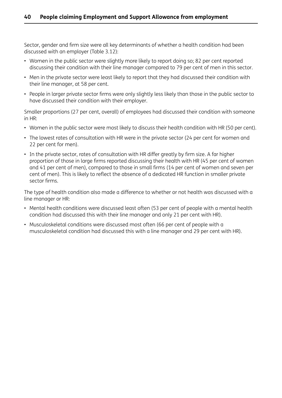Sector, gender and firm size were all key determinants of whether a health condition had been discussed with an employer (Table 3.12):

- Women in the public sector were slightly more likely to report doing so; 82 per cent reported discussing their condition with their line manager compared to 79 per cent of men in this sector.
- Men in the private sector were least likely to report that they had discussed their condition with their line manager, at 58 per cent.
- People in larger private sector firms were only slightly less likely than those in the public sector to have discussed their condition with their employer.

Smaller proportions (27 per cent, overall) of employees had discussed their condition with someone in HR:

- Women in the public sector were most likely to discuss their health condition with HR (50 per cent).
- The lowest rates of consultation with HR were in the private sector (24 per cent for women and 22 per cent for men).
- In the private sector, rates of consultation with HR differ greatly by firm size. A far higher proportion of those in large firms reported discussing their health with HR (45 per cent of women and 41 per cent of men), compared to those in small firms (14 per cent of women and seven per cent of men). This is likely to reflect the absence of a dedicated HR function in smaller private sector firms.

The type of health condition also made a difference to whether or not health was discussed with a line manager or HR:

- Mental health conditions were discussed least often (53 per cent of people with a mental health condition had discussed this with their line manager and only 21 per cent with HR).
- Musculoskeletal conditions were discussed most often (66 per cent of people with a musculoskeletal condition had discussed this with a line manager and 29 per cent with HR).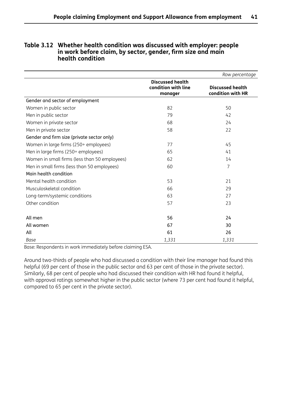|                                               |                                                           | Row percentage                               |
|-----------------------------------------------|-----------------------------------------------------------|----------------------------------------------|
|                                               | <b>Discussed health</b><br>condition with line<br>manager | <b>Discussed health</b><br>condition with HR |
| Gender and sector of employment               |                                                           |                                              |
| Women in public sector                        | 82                                                        | 50                                           |
| Men in public sector                          | 79                                                        | 42                                           |
| Women in private sector                       | 68                                                        | 24                                           |
| Men in private sector                         | 58                                                        | 22                                           |
| Gender and firm size (private sector only)    |                                                           |                                              |
| Women in large firms (250+ employees)         | 77                                                        | 45                                           |
| Men in large firms (250+ employees)           | 65                                                        | 41                                           |
| Women in small firms (less than 50 employees) | 62                                                        | 14                                           |
| Men in small firms (less than 50 employees)   | 60                                                        | $\overline{7}$                               |
| Main health condition                         |                                                           |                                              |
| Mental health condition                       | 53                                                        | 21                                           |
| Musculoskeletal condition                     | 66                                                        | 29                                           |
| Long-term/systemic conditions                 | 63                                                        | 27                                           |
| Other condition                               | 57                                                        | 23                                           |
| All men                                       | 56                                                        | 24                                           |
| All women                                     | 67                                                        | 30                                           |
| All                                           | 61                                                        | 26                                           |
| Base                                          | 1,331                                                     | 1,331                                        |

#### **Table 3.12 Whether health condition was discussed with employer: people in work before claim, by sector, gender, firm size and main health condition**

Base: Respondents in work immediately before claiming ESA.

Around two-thirds of people who had discussed a condition with their line manager had found this helpful (69 per cent of those in the public sector and 63 per cent of those in the private sector). Similarly, 68 per cent of people who had discussed their condition with HR had found it helpful, with approval ratings somewhat higher in the public sector (where 73 per cent had found it helpful, compared to 65 per cent in the private sector).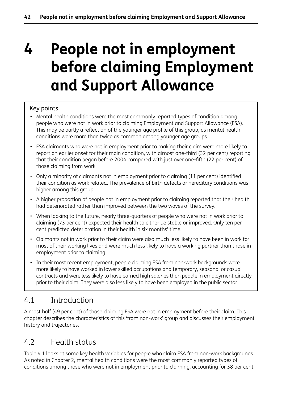# **4 People not in employment before claiming Employment and Support Allowance**

## Key points

- Mental health conditions were the most commonly reported types of condition among people who were not in work prior to claiming Employment and Support Allowance (ESA). This may be partly a reflection of the younger age profile of this group, as mental health conditions were more than twice as common among younger age groups.
- ESA claimants who were not in employment prior to making their claim were more likely to report an earlier onset for their main condition, with almost one-third (32 per cent) reporting that their condition began before 2004 compared with just over one-fifth (22 per cent) of those claiming from work.
- Only a minority of claimants not in employment prior to claiming (11 per cent) identified their condition as work related. The prevalence of birth defects or hereditary conditions was higher among this group.
- A higher proportion of people not in employment prior to claiming reported that their health had deteriorated rather than improved between the two waves of the survey.
- When looking to the future, nearly three-quarters of people who were not in work prior to claiming (73 per cent) expected their health to either be stable or improved. Only ten per cent predicted deterioration in their health in six months' time.
- Claimants not in work prior to their claim were also much less likely to have been in work for most of their working lives and were much less likely to have a working partner than those in employment prior to claiming.
- In their most recent employment, people claiming ESA from non-work backgrounds were more likely to have worked in lower skilled occupations and temporary, seasonal or casual contracts and were less likely to have earned high salaries than people in employment directly prior to their claim. They were also less likely to have been employed in the public sector.

# 4.1 Introduction

Almost half (49 per cent) of those claiming ESA were not in employment before their claim. This chapter describes the characteristics of this 'from non-work' group and discusses their employment history and trajectories.

# 4.2 Health status

Table 4.1 looks at some key health variables for people who claim ESA from non-work backgrounds. As noted in Chapter 2, mental health conditions were the most commonly reported types of conditions among those who were not in employment prior to claiming, accounting for 38 per cent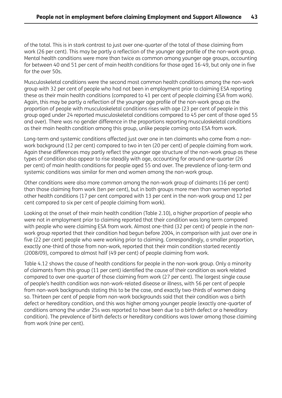of the total. This is in stark contrast to just over one-quarter of the total of those claiming from work (26 per cent). This may be partly a reflection of the younger age profile of the non-work group. Mental health conditions were more than twice as common among younger age groups, accounting for between 40 and 51 per cent of main health conditions for those aged 16-49, but only one in five for the over 50s.

Musculoskeletal conditions were the second most common health conditions among the non-work group with 32 per cent of people who had not been in employment prior to claiming ESA reporting these as their main health conditions (compared to 41 per cent of people claiming ESA from work). Again, this may be partly a reflection of the younger age profile of the non-work group as the proportion of people with musculoskeletal conditions rises with age (23 per cent of people in this group aged under 24 reported musculoskeletal conditions compared to 45 per cent of those aged 55 and over). There was no gender difference in the proportions reporting musculoskeletal conditions as their main health condition among this group, unlike people coming onto ESA from work.

Long-term and systemic conditions affected just over one in ten claimants who come from a nonwork background (12 per cent) compared to two in ten (20 per cent) of people claiming from work. Again these differences may partly reflect the younger age structure of the non-work group as these types of condition also appear to rise steadily with age, accounting for around one-quarter (26 per cent) of main health conditions for people aged 55 and over. The prevalence of long-term and systemic conditions was similar for men and women among the non-work group.

Other conditions were also more common among the non-work group of claimants (16 per cent) than those claiming from work (ten per cent), but in both groups more men than women reported other health conditions (17 per cent compared with 13 per cent in the non-work group and 12 per cent compared to six per cent of people claiming from work).

Looking at the onset of their main health condition (Table 2.10), a higher proportion of people who were not in employment prior to claiming reported that their condition was long term compared with people who were claiming ESA from work. Almost one-third (32 per cent) of people in the nonwork group reported that their condition had begun before 2004, in comparison with just over one in five (22 per cent) people who were working prior to claiming. Correspondingly, a smaller proportion, exactly one-third of those from non-work, reported that their main condition started recently (2008/09), compared to almost half (49 per cent) of people claiming from work.

Table 4.12 shows the cause of health conditions for people in the non-work group. Only a minority of claimants from this group (11 per cent) identified the cause of their condition as work related compared to over one-quarter of those claiming from work (27 per cent). The largest single cause of people's health condition was non-work-related disease or illness, with 56 per cent of people from non-work backgrounds stating this to be the case, and exactly two-thirds of women doing so. Thirteen per cent of people from non-work backgrounds said that their condition was a birth defect or hereditary condition, and this was higher among younger people (exactly one-quarter of conditions among the under 25s was reported to have been due to a birth defect or a hereditary condition). The prevalence of birth defects or hereditary conditions was lower among those claiming from work (nine per cent).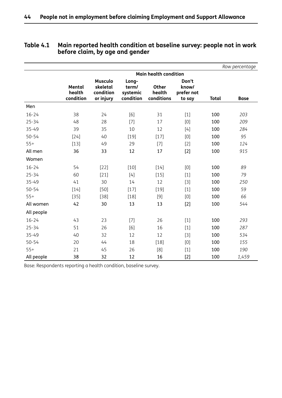|            |                               |                                                      |                                         |                                      |                                        |              | Row percentage |
|------------|-------------------------------|------------------------------------------------------|-----------------------------------------|--------------------------------------|----------------------------------------|--------------|----------------|
|            |                               |                                                      |                                         | <b>Main health condition</b>         |                                        |              |                |
|            | Mental<br>health<br>condition | <b>Musculo</b><br>skeletal<br>condition<br>or injury | Long-<br>term/<br>systemic<br>condition | <b>Other</b><br>health<br>conditions | Don't<br>know/<br>prefer not<br>to say | <b>Total</b> | <b>Base</b>    |
| Men        |                               |                                                      |                                         |                                      |                                        |              |                |
| $16 - 24$  | 38                            | 24                                                   | [6]                                     | 31                                   | $[1]$                                  | 100          | 203            |
| $25 - 34$  | 48                            | 28                                                   | $[7]$                                   | 17                                   | [0]                                    | 100          | 209            |
| 35-49      | 39                            | 35                                                   | 10                                      | 12                                   | $[4]$                                  | 100          | 284            |
| $50 - 54$  | $[24]$                        | 40                                                   | $[19]$                                  | $[17]$                               | [0]                                    | 100          | 95             |
| $55+$      | $[13]$                        | 49                                                   | 29                                      | $[7]$                                | $[2]$                                  | 100          | 124            |
| All men    | 36                            | 33                                                   | 12                                      | 17                                   | $[2]$                                  | 100          | 915            |
| Women      |                               |                                                      |                                         |                                      |                                        |              |                |
| $16 - 24$  | 54                            | $[22]$                                               | $[10]$                                  | $[14]$                               | [0]                                    | 100          | 89             |
| $25 - 34$  | 60                            | $[21]$                                               | $[4]$                                   | $[15]$                               | $[1]$                                  | 100          | 79             |
| $35 - 49$  | 41                            | 30                                                   | 14                                      | 12                                   | $[3]$                                  | 100          | 250            |
| $50 - 54$  | $[14]$                        | $[50]$                                               | $[17]$                                  | $[19]$                               | $[1]$                                  | 100          | 59             |
| $55+$      | $[35]$                        | [38]                                                 | $[18]$                                  | $[9]$                                | [0]                                    | 100          | 66             |
| All women  | 42                            | 30                                                   | 13                                      | 13                                   | $[2]$                                  | 100          | 544            |
| All people |                               |                                                      |                                         |                                      |                                        |              |                |
| $16 - 24$  | 43                            | 23                                                   | $[7]$                                   | 26                                   | $[1]$                                  | 100          | 293            |
| $25 - 34$  | 51                            | 26                                                   | [6]                                     | 16                                   | $[1]$                                  | 100          | 287            |
| 35-49      | 40                            | 32                                                   | 12                                      | 12                                   | $[3]$                                  | 100          | 534            |
| $50 - 54$  | 20                            | 44                                                   | 18                                      | $[18]$                               | [0]                                    | 100          | 155            |
| $55+$      | 21                            | 45                                                   | 26                                      | [8]                                  | $[1]$                                  | 100          | 190            |
| All people | 38                            | 32                                                   | 12                                      | 16                                   | $[2]$                                  | 100          | 1,459          |

#### **Table 4.1 Main reported health condition at baseline survey: people not in work before claim, by age and gender**

Base: Respondents reporting a health condition, baseline survey.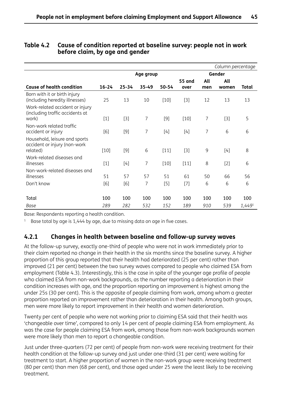| Table 4.2  Cause of condition reported at baseline survey: people not in work |
|-------------------------------------------------------------------------------|
| before claim, by age and gender                                               |

|                                                                           |           |           |       |        |                       |            | Column percentage |        |
|---------------------------------------------------------------------------|-----------|-----------|-------|--------|-----------------------|------------|-------------------|--------|
|                                                                           | Age group |           |       |        | Gender                |            |                   |        |
| <b>Cause of health condition</b>                                          | $16 - 24$ | $25 - 34$ | 35-49 | 50-54  | <b>55 and</b><br>over | All<br>men | All<br>women      | Total  |
| Born with it or birth injury<br>(including heredity illnesses)            | 25        | 13        | 10    | $[10]$ | $[3]$                 | 12         | 13                | 13     |
| Work-related accident or injury<br>(including traffic accidents at        |           |           | 7     | $[9]$  |                       | 7          |                   | 5      |
| work)                                                                     | $[1]$     | $[3]$     |       |        | $[10]$                |            | $[3]$             |        |
| Non-work related traffic<br>accident or injury                            | [6]       | $[9]$     | 7     | $[4]$  | $[4]$                 | 7          | 6                 | 6      |
| Household, leisure and sports<br>accident or injury (non-work<br>related) | $[10]$    | $[9]$     | 6     | $[11]$ | $[3]$                 | 9          | $[4]$             | 8      |
| Work-related diseases and<br>illnesses                                    | $[1]$     | $[4]$     | 7     | $[10]$ | $[11]$                | 8          | $[2]$             | 6      |
| Non-work-related diseases and<br>illnesses                                | 51        | 57        | 57    | 51     | 61                    | 50         | 66                | 56     |
| Don't know                                                                | [6]       | [6]       | 7     | $[5]$  | $[7]$                 | 6          | 6                 | 6      |
| Total                                                                     | 100       | 100       | 100   | 100    | 100                   | 100        | 100               | 100    |
| Base                                                                      | 289       | 282       | 532   | 152    | 189                   | 910        | 539               | 1,4491 |

Base: Respondents reporting a health condition.

 $1$  Base total by age is 1,444 by age, due to missing data on age in five cases.

#### **4.2.1 Changes in health between baseline and follow-up survey waves**

At the follow-up survey, exactly one-third of people who were not in work immediately prior to their claim reported no change in their health in the six months since the baseline survey. A higher proportion of this group reported that their health had deteriorated (25 per cent) rather than improved (21 per cent) between the two survey waves compared to people who claimed ESA from employment (Table 4.3). Interestingly, this is the case in spite of the younger age profile of people who claimed ESA from non-work backgrounds, as the number reporting a deterioration in their condition increases with age, and the proportion reporting an improvement is highest among the under 25s (30 per cent). This is the opposite of people claiming from work, among whom a greater proportion reported an improvement rather than deterioration in their health. Among both groups, men were more likely to report improvement in their health and women deterioration.

Twenty per cent of people who were not working prior to claiming ESA said that their health was 'changeable over time', compared to only 14 per cent of people claiming ESA from employment. As was the case for people claiming ESA from work, among those from non-work backgrounds women were more likely than men to report a changeable condition.

Just under three-quarters (72 per cent) of people from non-work were receiving treatment for their health condition at the follow-up survey and just under one-third (31 per cent) were waiting for treatment to start. A higher proportion of women in the non-work group were receiving treatment (80 per cent) than men (68 per cent), and those aged under 25 were the least likely to be receiving treatment.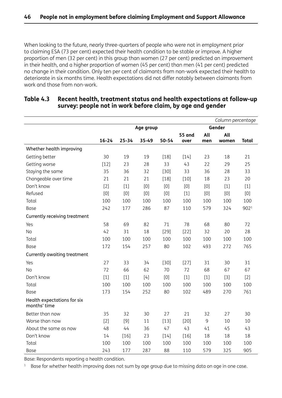When looking to the future, nearly three-quarters of people who were not in employment prior to claiming ESA (73 per cent) expected their health condition to be stable or improve. A higher proportion of men (32 per cent) in this group than women (27 per cent) predicted an improvement in their health, and a higher proportion of women (45 per cent) than men (41 per cent) predicted no change in their condition. Only ten per cent of claimants from non-work expected their health to deteriorate in six months time. Health expectations did not differ notably between claimants from work and those from non-work.

|                                             |           |           |           |        |               |       | Column percentage |              |
|---------------------------------------------|-----------|-----------|-----------|--------|---------------|-------|-------------------|--------------|
|                                             |           |           | Age group |        |               |       | Gender            |              |
|                                             |           |           |           |        | <b>55 and</b> | All   | All               |              |
|                                             | $16 - 24$ | $25 - 34$ | 35-49     | 50-54  | over          | men   | women             | <b>Total</b> |
| Whether health improving                    |           |           |           |        |               |       |                   |              |
| Getting better                              | 30        | 19        | 19        | $[18]$ | $[14]$        | 23    | 18                | 21           |
| Getting worse                               | $[12]$    | 23        | 28        | 33     | 43            | 22    | 29                | 25           |
| Staying the same                            | 35        | 36        | 32        | $[30]$ | 33            | 36    | 28                | 33           |
| Changeable over time                        | 21        | 21        | 21        | $[18]$ | $[10]$        | 18    | 23                | 20           |
| Don't know                                  | $[2]$     | $[1]$     | [0]       | [0]    | [0]           | $[0]$ | $[1]$             | $[1]$        |
| Refused                                     | [0]       | [0]       | [0]       | [0]    | $[1]$         | [0]   | [0]               | $[0]$        |
| Total                                       | 100       | 100       | 100       | 100    | 100           | 100   | 100               | 100          |
| Base                                        | 242       | 177       | 286       | 87     | 110           | 579   | 324               | 9021         |
| Currently receiving treatment               |           |           |           |        |               |       |                   |              |
| Yes                                         | 58        | 69        | 82        | 71     | 78            | 68    | 80                | 72           |
| <b>No</b>                                   | 42        | 31        | 18        | $[29]$ | $[22]$        | 32    | 20                | 28           |
| Total                                       | 100       | 100       | 100       | 100    | 100           | 100   | 100               | 100          |
| Base                                        | 172       | 154       | 257       | 80     | 102           | 493   | 272               | 765          |
| Currently awaiting treatment                |           |           |           |        |               |       |                   |              |
| Yes                                         | 27        | 33        | 34        | $[30]$ | $[27]$        | 31    | 30                | 31           |
| <b>No</b>                                   | 72        | 66        | 62        | 70     | 72            | 68    | 67                | 67           |
| Don't know                                  | $[1]$     | $[1]$     | [4]       | [0]    | $[1]$         | $[1]$ | $[3]$             | $[2]$        |
| Total                                       | 100       | 100       | 100       | 100    | 100           | 100   | 100               | 100          |
| Base                                        | 173       | 154       | 252       | 80     | 102           | 489   | 270               | 761          |
| Health expectations for six<br>months' time |           |           |           |        |               |       |                   |              |
| Better than now                             | 35        | 32        | 30        | 27     | 21            | 32    | 27                | 30           |
| Worse than now                              | $[2]$     | $[9]$     | 11        | $[13]$ | $[20]$        | 9     | 10                | 10           |
| About the same as now                       | 48        | 44        | 36        | 47     | 43            | 41    | 45                | 43           |
| Don't know                                  | 14        | $[16]$    | 23        | $[14]$ | $[16]$        | 18    | 18                | 18           |
| Total                                       | 100       | 100       | 100       | 100    | 100           | 100   | 100               | 100          |
| Base                                        | 243       | 177       | 287       | 88     | 110           | 579   | 325               | 905          |

#### **Table 4.3 Recent health, treatment status and health expectations at follow-up survey: people not in work before claim, by age and gender**

Base: Respondents reporting a health condition.

<sup>1</sup> Base for whether health improving does not sum by age group due to missing data on age in one case.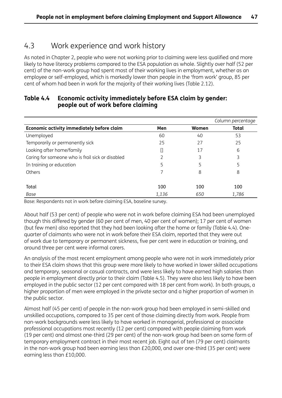## 4.3 Work experience and work history

As noted in Chapter 2, people who were not working prior to claiming were less qualified and more likely to have literacy problems compared to the ESA population as whole. Slightly over half (52 per cent) of the non-work group had spent most of their working lives in employment, whether as an employee or self-employed, which is markedly lower than people in the 'from work' group, 85 per cent of whom had been in work for the majority of their working lives (Table 2.12).

|                                                  |       |       | Column percentage |
|--------------------------------------------------|-------|-------|-------------------|
| Economic activity immediately before claim       | Men   | Women | <b>Total</b>      |
| Unemployed                                       | 60    | 40    | 53                |
| Temporarily or permanently sick                  | 25    | 27    | 25                |
| Looking after home/family                        |       | 17    | 6                 |
| Caring for someone who is frail sick or disabled |       | 3     | 3                 |
| In training or education                         | 5     |       | 5                 |
| Others                                           |       | 8     | 8                 |
|                                                  |       |       |                   |
| Total                                            | 100   | 100   | 100               |
| Base                                             | 1,136 | 650   | 1,786             |

#### **Table 4.4 Economic activity immediately before ESA claim by gender: people out of work before claiming**

Base: Respondents not in work before claiming ESA, baseline survey.

About half (53 per cent) of people who were not in work before claiming ESA had been unemployed though this differed by gender (60 per cent of men, 40 per cent of women); 17 per cent of women (but few men) also reported that they had been looking after the home or family (Table 4.4). Onequarter of claimants who were not in work before their ESA claim, reported that they were out of work due to temporary or permanent sickness, five per cent were in education or training, and around three per cent were informal carers.

An analysis of the most recent employment among people who were not in work immediately prior to their ESA claim shows that this group were more likely to have worked in lower skilled occupations and temporary, seasonal or casual contracts, and were less likely to have earned high salaries than people in employment directly prior to their claim (Table 4.5). They were also less likely to have been employed in the public sector (12 per cent compared with 18 per cent from work). In both groups, a higher proportion of men were employed in the private sector and a higher proportion of women in the public sector.

Almost half (45 per cent) of people in the non-work group had been employed in semi-skilled and unskilled occupations, compared to 35 per cent of those claiming directly from work. People from non-work backgrounds were less likely to have worked in managerial, professional or associate professional occupations most recently (12 per cent) compared with people claiming from work (19 per cent) and almost one-third (29 per cent) of the non-work group had been on some form of temporary employment contract in their most recent job. Eight out of ten (79 per cent) claimants in the non-work group had been earning less than £20,000, and over one-third (35 per cent) were earning less than £10,000.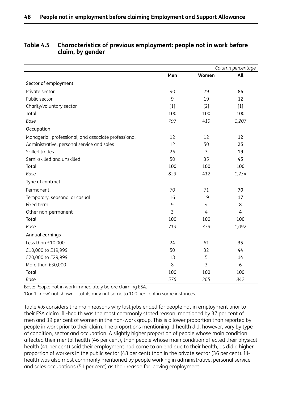|                                                      |       |       | Column percentage |
|------------------------------------------------------|-------|-------|-------------------|
|                                                      | Men   | Women | All               |
| Sector of employment                                 |       |       |                   |
| Private sector                                       | 90    | 79    | 86                |
| Public sector                                        | 9     | 19    | 12                |
| Charity/voluntary sector                             | $[1]$ | $[2]$ | $[1]$             |
| Total                                                | 100   | 100   | 100               |
| Base                                                 | 797   | 410   | 1,207             |
| Occupation                                           |       |       |                   |
| Managerial, professional, and associate professional | 12    | 12    | 12                |
| Administrative, personal service and sales           | 12    | 50    | 25                |
| Skilled trades                                       | 26    | 3     | 19                |
| Semi-skilled and unskilled                           | 50    | 35    | 45                |
| Total                                                | 100   | 100   | 100               |
| Base                                                 | 823   | 412   | 1,234             |
| Type of contract                                     |       |       |                   |
| Permanent                                            | 70    | 71    | 70                |
| Temporary, seasonal or casual                        | 16    | 19    | 17                |
| Fixed term                                           | 9     | 4     | 8                 |
| Other non-permanent                                  | 3     | 4     | 4                 |
| Total                                                | 100   | 100   | 100               |
| Base                                                 | 713   | 379   | 1,092             |
| Annual earnings                                      |       |       |                   |
| Less than £10,000                                    | 24    | 61    | 35                |
| £10,000 to £19,999                                   | 50    | 32    | 44                |
| £20,000 to £29,999                                   | 18    | 5     | 14                |
| More than £30,000                                    | 8     | 3     | 6                 |
| Total                                                | 100   | 100   | 100               |
| Base                                                 | 576   | 265   | 842               |

#### **Table 4.5 Characteristics of previous employment: people not in work before claim, by gender**

Base: People not in work immediately before claiming ESA.

'Don't know' not shown – totals may not some to 100 per cent in some instances.

Table 4.6 considers the main reasons why last jobs ended for people not in employment prior to their ESA claim. Ill-health was the most commonly stated reason, mentioned by 37 per cent of men and 39 per cent of women in the non-work group. This is a lower proportion than reported by people in work prior to their claim. The proportions mentioning ill-health did, however, vary by type of condition, sector and occupation. A slightly higher proportion of people whose main condition affected their mental health (46 per cent), than people whose main condition affected their physical health (41 per cent) said their employment had come to an end due to their health, as did a higher proportion of workers in the public sector (48 per cent) than in the private sector (36 per cent). Illhealth was also most commonly mentioned by people working in administrative, personal service and sales occupations (51 per cent) as their reason for leaving employment.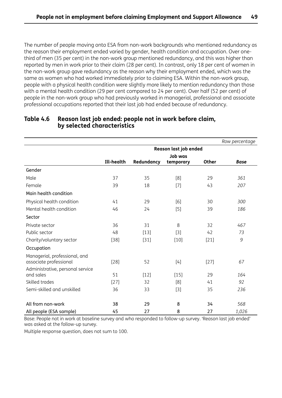The number of people moving onto ESA from non-work backgrounds who mentioned redundancy as the reason their employment ended varied by gender, health condition and occupation. Over onethird of men (35 per cent) in the non-work group mentioned redundancy, and this was higher than reported by men in work prior to their claim (28 per cent). In contrast, only 18 per cent of women in the non-work group gave redundancy as the reason why their employment ended, which was the same as women who had worked immediately prior to claiming ESA. Within the non-work group, people with a physical health condition were slightly more likely to mention redundancy than those with a mental health condition (29 per cent compared to 24 per cent). Over half (52 per cent) of people in the non-work group who had previously worked in managerial, professional and associate professional occupations reported that their last job had ended because of redundancy.

|                                                         |            |            |                       |              | Row percentage |
|---------------------------------------------------------|------------|------------|-----------------------|--------------|----------------|
|                                                         |            |            | Reason last job ended |              |                |
|                                                         |            |            | <b>Job was</b>        |              |                |
|                                                         | Ill-health | Redundancy | temporary             | <b>Other</b> | <b>Base</b>    |
| Gender                                                  |            |            |                       |              |                |
| Male                                                    | 37         | 35         | [8]                   | 29           | 361            |
| Female                                                  | 39         | 18         | $[7]$                 | 43           | 207            |
| Main health condition                                   |            |            |                       |              |                |
| Physical health condition                               | 41         | 29         | [6]                   | 30           | 300            |
| Mental health condition                                 | 46         | 24         | $[5]$                 | 39           | 186            |
| Sector                                                  |            |            |                       |              |                |
| Private sector                                          | 36         | 31         | 8                     | 32           | 467            |
| Public sector                                           | 48         | $[13]$     | $[3]$                 | 42           | 73             |
| Charity/voluntary sector                                | $[38]$     | $[31]$     | $[10]$                | $[21]$       | $\mathcal G$   |
| Occupation                                              |            |            |                       |              |                |
| Managerial, professional, and<br>associate professional | $[28]$     | 52         | [4]                   | $[27]$       | 67             |
| Administrative, personal service<br>and sales           | 51         | $[12]$     | $[15]$                | 29           | 164            |
| Skilled trades                                          | $[27]$     | 32         | [8]                   | 41           | 92             |
| Semi-skilled and unskilled                              | 36         | 33         | $[3]$                 | 35           | 236            |
| All from non-work                                       | 38         | 29         | 8                     | 34           | 568            |
| All people (ESA sample)                                 | 45         | 27         | 8                     | 27           | 1,026          |

#### **Table 4.6 Reason last job ended: people not in work before claim, by selected characteristics**

Base: People not in work at baseline survey and who responded to follow-up survey. 'Reason last job ended' was asked at the follow-up survey.

Multiple response question, does not sum to 100.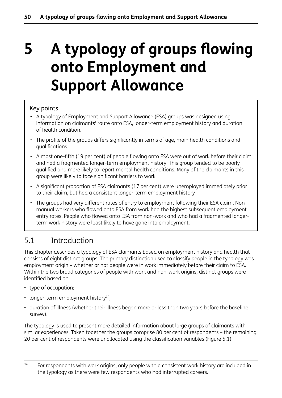# **5 A typology of groups flowing onto Employment and Support Allowance**

#### Key points

- A typology of Employment and Support Allowance (ESA) groups was designed using information on claimants' route onto ESA, longer-term employment history and duration of health condition.
- The profile of the groups differs significantly in terms of age, main health conditions and qualifications.
- Almost one-fifth (19 per cent) of people flowing onto ESA were out of work before their claim and had a fragmented longer-term employment history. This group tended to be poorly qualified and more likely to report mental health conditions. Many of the claimants in this group were likely to face significant barriers to work.
- A significant proportion of ESA claimants (17 per cent) were unemployed immediately prior to their claim, but had a consistent longer-term employment history
- The groups had very different rates of entry to employment following their ESA claim. Nonmanual workers who flowed onto ESA from work had the highest subsequent employment entry rates. People who flowed onto ESA from non-work and who had a fragmented longerterm work history were least likely to have gone into employment.

# 5.1 Introduction

This chapter describes a typology of ESA claimants based on employment history and health that consists of eight distinct groups. The primary distinction used to classify people in the typology was employment origin – whether or not people were in work immediately before their claim to ESA. Within the two broad categories of people with work and non-work origins, distinct groups were identified based on:

- type of occupation;
- longer-term employment history $14$ ;
- duration of illness (whether their illness began more or less than two years before the baseline survey).

The typology is used to present more detailed information about large groups of claimants with similar experiences. Taken together the groups comprise 80 per cent of respondents – the remaining 20 per cent of respondents were unallocated using the classification variables (Figure 5.1).

 $14$  For respondents with work origins, only people with a consistent work history are included in the typology as there were few respondents who had interrupted careers.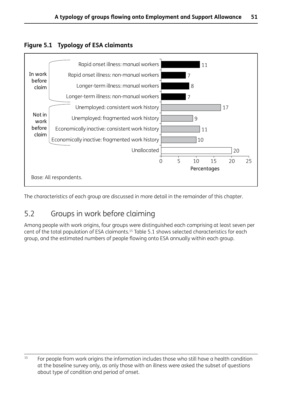



The characteristics of each group are discussed in more detail in the remainder of this chapter.

# 5.2 Groups in work before claiming

Among people with work origins, four groups were distinguished each comprising at least seven per cent of the total population of ESA claimants.15 Table 5.1 shows selected characteristics for each group, and the estimated numbers of people flowing onto ESA annually within each group.

<sup>&</sup>lt;sup>15</sup> For people from work origins the information includes those who still have a health condition at the baseline survey only, as only those with an illness were asked the subset of questions about type of condition and period of onset.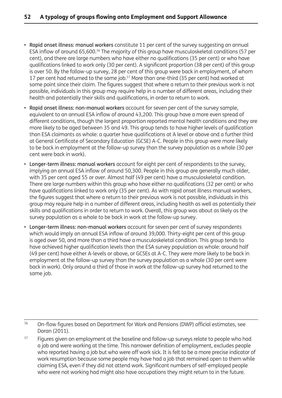- Rapid onset illness: manual workers constitute 11 per cent of the survey suggesting an annual ESA inflow of around 65,600.16 The majority of this group have musculoskeletal conditions (57 per cent), and there are large numbers who have either no qualifications (35 per cent) or who have qualifications linked to work only (30 per cent). A significant proportion (38 per cent) of this group is over 50. By the follow-up survey, 28 per cent of this group were back in employment, of whom 17 per cent had returned to the same job.<sup>17</sup> More than one-third (35 per cent) had worked at some point since their claim. The figures suggest that where a return to their previous work is not possible, individuals in this group may require help in a number of different areas, including their health and potentially their skills and qualifications, in order to return to work.
- Rapid onset illness: non-manual workers account for seven per cent of the survey sample, equivalent to an annual ESA inflow of around 43,200. This group have a more even spread of different conditions, though the largest proportion reported mental health conditions and they are more likely to be aged between 35 and 49. This group tends to have higher levels of qualification than ESA claimants as whole: a quarter have qualifications at A level or above and a further third at General Certificate of Secondary Education (GCSE) A-C. People in this group were more likely to be back in employment at the follow-up survey than the survey population as a whole (30 per cent were back in work).
- Longer-term illness: manual workers account for eight per cent of respondents to the survey, implying an annual ESA inflow of around 50,300. People in this group are generally much older, with 35 per cent aged 55 or over. Almost half (49 per cent) have a musculoskeletal condition. There are large numbers within this group who have either no qualifications (32 per cent) or who have qualifications linked to work only (35 per cent). As with rapid onset illness manual workers, the figures suggest that where a return to their previous work is not possible, individuals in this group may require help in a number of different areas, including health as well as potentially their skills and qualifications in order to return to work. Overall, this group was about as likely as the survey population as a whole to be back in work at the follow-up survey.
- Longer-term illness: non-manual workers account for seven per cent of survey respondents which would imply an annual ESA inflow of around 39,000. Thirty-eight per cent of this group is aged over 50, and more than a third have a musculoskeletal condition. This group tends to have achieved higher qualification levels than the ESA survey population as whole: around half (49 per cent) have either A-levels or above, or GCSEs at A-C. They were more likely to be back in employment at the follow-up survey than the survey population as a whole (30 per cent were back in work). Only around a third of those in work at the follow-up survey had returned to the same job.

<sup>16</sup> On-flow figures based on Department for Work and Pensions (DWP) official estimates, see Doran (2011).

<sup>17</sup> Figures given on employment at the baseline and follow-up surveys relate to people who had a job and were working at the time. This narrower definition of employment, excludes people who reported having a job but who were off work sick. It is felt to be a more precise indicator of work resumption because some people may have had a job that remained open to them while claiming ESA, even if they did not attend work. Significant numbers of self-employed people who were not working had might also have occupations they might return to in the future.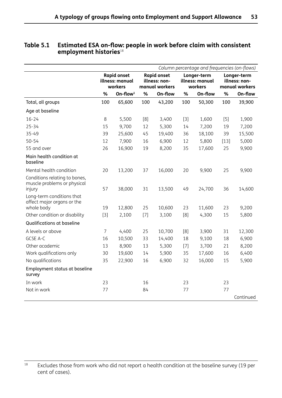|                                                                        |       |                                       | Column percentage and frequencies (on-flows) |                                     |       |                                |        |                              |
|------------------------------------------------------------------------|-------|---------------------------------------|----------------------------------------------|-------------------------------------|-------|--------------------------------|--------|------------------------------|
|                                                                        |       | <b>Rapid onset</b><br>illness: manual |                                              | <b>Rapid onset</b><br>illness: non- |       | Longer-term<br>illness: manual |        | Longer-term<br>illness: non- |
|                                                                        |       | workers                               |                                              | manual workers                      |       | workers                        |        | manual workers               |
|                                                                        | %     | $On$ -flow $1$                        | %                                            | On-flow                             | %     | On-flow                        | %      | On-flow                      |
| Total, all groups                                                      | 100   | 65,600                                | 100                                          | 43,200                              | 100   | 50,300                         | 100    | 39,900                       |
| Age at baseline                                                        |       |                                       |                                              |                                     |       |                                |        |                              |
| $16 - 24$                                                              | 8     | 5,500                                 | [8]                                          | 3,400                               | $[3]$ | 1,600                          | $[5]$  | 1,900                        |
| $25 - 34$                                                              | 15    | 9,700                                 | 12                                           | 5,300                               | 14    | 7,200                          | 19     | 7,200                        |
| 35-49                                                                  | 39    | 25,600                                | 45                                           | 19,400                              | 36    | 18,100                         | 39     | 15,500                       |
| $50 - 54$                                                              | 12    | 7,900                                 | 16                                           | 6,900                               | 12    | 5,800                          | $[13]$ | 5,000                        |
| 55 and over                                                            | 26    | 16,900                                | 19                                           | 8,200                               | 35    | 17,600                         | 25     | 9,900                        |
| Main health condition at<br>baseline                                   |       |                                       |                                              |                                     |       |                                |        |                              |
| Mental health condition                                                | 20    | 13,200                                | 37                                           | 16,000                              | 20    | 9,900                          | 25     | 9,900                        |
| Conditions relating to bones,<br>muscle problems or physical<br>injury | 57    | 38,000                                | 31                                           | 13,500                              | 49    | 24,700                         | 36     | 14,600                       |
| Long-term conditions that<br>affect major organs or the<br>whole body  | 19    | 12,800                                | 25                                           | 10,600                              | 23    | 11,600                         | 23     | 9,200                        |
| Other condition or disability                                          | $[3]$ | 2,100                                 | $[7]$                                        | 3,100                               | [8]   | 4,300                          | 15     | 5,800                        |
| Qualifications at baseline                                             |       |                                       |                                              |                                     |       |                                |        |                              |
| A levels or above                                                      | 7     | 4,400                                 | 25                                           | 10,700                              | [8]   | 3,900                          | 31     | 12,300                       |
| GCSE A-C                                                               | 16    | 10,500                                | 33                                           | 14,400                              | 18    | 9,100                          | 18     | 6,900                        |
| Other academic                                                         | 13    | 8,900                                 | 13                                           | 5,300                               | $[7]$ | 3,700                          | 21     | 8,200                        |
| Work qualifications only                                               | 30    | 19,600                                | 14                                           | 5,900                               | 35    | 17,600                         | 16     | 6,400                        |
| No qualifications                                                      | 35    | 22,900                                | 16                                           | 6,900                               | 32    | 16,000                         | 15     | 5,900                        |
| Employment status at baseline<br>survey                                |       |                                       |                                              |                                     |       |                                |        |                              |
| In work                                                                | 23    |                                       | 16                                           |                                     | 23    |                                | 23     |                              |
| Not in work                                                            | 77    |                                       | 84                                           |                                     | 77    |                                | 77     |                              |
|                                                                        |       |                                       |                                              |                                     |       |                                |        | Continued                    |

#### **Table 5.1 Estimated ESA on-flow: people in work before claim with consistent employment histories**<sup>18</sup>

<sup>18</sup> Excludes those from work who did not report a health condition at the baseline survey (19 per cent of cases).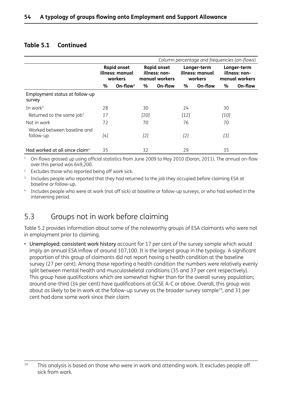#### **Table 5.1 Continued**

|                                            |                                                  |             | Column percentage and frequencies (on-flows) |                                                       |        |                                           |        |                                                |
|--------------------------------------------|--------------------------------------------------|-------------|----------------------------------------------|-------------------------------------------------------|--------|-------------------------------------------|--------|------------------------------------------------|
|                                            | <b>Rapid onset</b><br>illness: manual<br>workers |             |                                              | <b>Rapid onset</b><br>illness: non-<br>manual workers |        | Longer-term<br>illness: manual<br>workers |        | Longer-term<br>illness: non-<br>manual workers |
|                                            | %                                                | On-flow $1$ | %                                            | On-flow                                               | %      | On-flow                                   | ℅      | On-flow                                        |
| Employment status at follow-up<br>survey   |                                                  |             |                                              |                                                       |        |                                           |        |                                                |
| In work $2$                                | 28                                               |             | 30                                           |                                                       | 24     |                                           | 30     |                                                |
| Returned to the same job <sup>3</sup>      | 17                                               |             | $[20]$                                       |                                                       | $[12]$ |                                           | $[10]$ |                                                |
| Not in work                                | 72                                               |             | 70                                           |                                                       | 76     |                                           | 70     |                                                |
| Worked between baseline and<br>follow-up   | [4]                                              |             | [2]                                          |                                                       | [2]    |                                           | [3]    |                                                |
| Had worked at all since claim <sup>4</sup> | 35                                               |             | 32                                           |                                                       | 29     |                                           | 35     |                                                |

<sup>1</sup> On-flows grossed up using official statistics from June 2009 to May 2010 (Doran, 2011). The annual on-flow over this period was 649,200.

<sup>2</sup> Excludes those who reported being off work sick.

<sup>3</sup> Includes people who reported that they had returned to the job they occupied before claiming ESA at baseline or follow-up.

<sup>4</sup> Includes people who were at work (not off sick) at baseline or follow-up surveys, or who had worked in the intervening period.

# 5.3 Groups not in work before claiming

Table 5.2 provides information about some of the noteworthy groups of ESA claimants who were not in employment prior to claiming.

• Unemployed: consistent work history account for 17 per cent of the survey sample which would imply an annual ESA inflow of around 107,100. It is the largest group in the typology. A significant proportion of this group of claimants did not report having a health condition at the baseline survey (27 per cent). Among those reporting a health condition the numbers were relatively evenly split between mental health and musculoskeletal conditions (35 and 37 per cent respectively). This group have qualifications which are somewhat higher than for the overall survey population; around one-third (34 per cent) have qualifications at GCSE A-C or above. Overall, this group was about as likely to be in work at the follow-up survey as the broader survey sample<sup>19</sup>, and 31 per cent had done some work since their claim.

 $19$  This analysis is based on those who were in work and attending work. It excludes people off sick from work.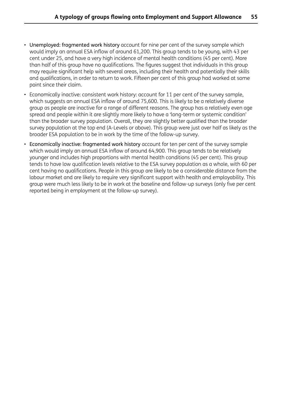- Unemployed: fragmented work history account for nine per cent of the survey sample which would imply an annual ESA inflow of around 61,200. This group tends to be young, with 43 per cent under 25, and have a very high incidence of mental health conditions (45 per cent). More than half of this group have no qualifications. The figures suggest that individuals in this group may require significant help with several areas, including their health and potentially their skills and qualifications, in order to return to work. Fifteen per cent of this group had worked at some point since their claim.
- Economically inactive: consistent work history: account for 11 per cent of the survey sample, which suggests an annual ESA inflow of around 75,600. This is likely to be a relatively diverse group as people are inactive for a range of different reasons. The group has a relatively even age spread and people within it are slightly more likely to have a 'long-term or systemic condition' than the broader survey population. Overall, they are slightly better qualified than the broader survey population at the top end (A-Levels or above). This group were just over half as likely as the broader ESA population to be in work by the time of the follow-up survey.
- Economically inactive: fragmented work history account for ten per cent of the survey sample which would imply an annual ESA inflow of around 64,900. This group tends to be relatively younger and includes high proportions with mental health conditions (45 per cent). This group tends to have low qualification levels relative to the ESA survey population as a whole, with 60 per cent having no qualifications. People in this group are likely to be a considerable distance from the labour market and are likely to require very significant support with health and employability. This group were much less likely to be in work at the baseline and follow-up surveys (only five per cent reported being in employment at the follow-up survey).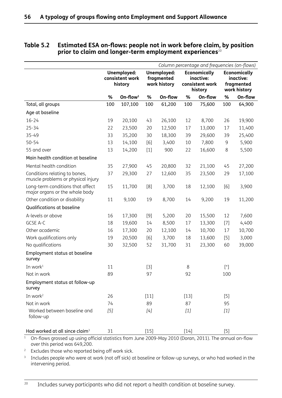|                                                                     |     |                                           |        |                                           |        | Column percentage and frequencies (on-flows)                   |        |                                                                |
|---------------------------------------------------------------------|-----|-------------------------------------------|--------|-------------------------------------------|--------|----------------------------------------------------------------|--------|----------------------------------------------------------------|
|                                                                     |     | Unemployed:<br>consistent work<br>history |        | Unemployed:<br>fragmented<br>work history |        | <b>Economically</b><br>inactive:<br>consistent work<br>history |        | <b>Economically</b><br>inactive:<br>fragmented<br>work history |
|                                                                     | %   | On-flow $1$                               | %      | On-flow                                   | %      | On-flow                                                        | %      | On-flow                                                        |
| Total, all groups                                                   | 100 | 107,100                                   | 100    | 61,200                                    | 100    | 75,600                                                         | 100    | 64,900                                                         |
| Age at baseline                                                     |     |                                           |        |                                           |        |                                                                |        |                                                                |
| $16 - 24$                                                           | 19  | 20,100                                    | 43     | 26,100                                    | 12     | 8,700                                                          | 26     | 19,900                                                         |
| $25 - 34$                                                           | 22  | 23,500                                    | 20     | 12,500                                    | 17     | 13,000                                                         | 17     | 11,400                                                         |
| 35-49                                                               | 33  | 35,200                                    | 30     | 18,300                                    | 39     | 29,600                                                         | 39     | 25,400                                                         |
| $50 - 54$                                                           | 13  | 14,100                                    | [6]    | 3,400                                     | 10     | 7,800                                                          | 9      | 5,900                                                          |
| 55 and over                                                         | 13  | 14,200                                    | $[1]$  | 900                                       | 22     | 16,600                                                         | 8      | 5,500                                                          |
| Main health condition at baseline                                   |     |                                           |        |                                           |        |                                                                |        |                                                                |
| Mental health condition                                             | 35  | 27,900                                    | 45     | 20,800                                    | 32     | 21,100                                                         | 45     | 27,200                                                         |
| Conditions relating to bones,<br>muscle problems or physical injury | 37  | 29,300                                    | 27     | 12,600                                    | 35     | 23,500                                                         | 29     | 17,100                                                         |
| Long-term conditions that affect<br>major organs or the whole body  | 15  | 11,700                                    | [8]    | 3,700                                     | 18     | 12,100                                                         | [6]    | 3,900                                                          |
| Other condition or disability                                       | 11  | 9,100                                     | 19     | 8,700                                     | 14     | 9,200                                                          | 19     | 11,200                                                         |
| Qualifications at baseline                                          |     |                                           |        |                                           |        |                                                                |        |                                                                |
| A-levels or above                                                   | 16  | 17,300                                    | $[9]$  | 5,200                                     | 20     | 15,500                                                         | 12     | 7,600                                                          |
| GCSE A-C                                                            | 18  | 19,600                                    | 14     | 8,500                                     | 17     | 13,300                                                         | $[7]$  | 4,400                                                          |
| Other academic                                                      | 16  | 17,300                                    | 20     | 12,100                                    | 14     | 10,700                                                         | 17     | 10,700                                                         |
| Work qualifications only                                            | 19  | 20,500                                    | [6]    | 3,700                                     | 18     | 13,600                                                         | $[5]$  | 3,000                                                          |
| No qualifications                                                   | 30  | 32,500                                    | 52     | 31,700                                    | 31     | 23,300                                                         | 60     | 39,000                                                         |
| Employment status at baseline<br>survey                             |     |                                           |        |                                           |        |                                                                |        |                                                                |
| In work <sup>1</sup>                                                | 11  |                                           | $[3]$  |                                           | 8      |                                                                | $[$ ^* |                                                                |
| Not in work                                                         | 89  |                                           | 97     |                                           | 92     |                                                                | 100    |                                                                |
| Employment status at follow-up<br>survey                            |     |                                           |        |                                           |        |                                                                |        |                                                                |
| In work $2$                                                         | 26  |                                           | $[11]$ |                                           | $[13]$ |                                                                | $[5]$  |                                                                |
| Not in work                                                         | 74  |                                           | 89     |                                           | 87     |                                                                | 95     |                                                                |
| Worked between baseline and<br>follow-up                            | [5] |                                           | [4]    |                                           | $[1]$  |                                                                | $[1]$  |                                                                |
| Had worked at all since claim <sup>3</sup>                          | 31  |                                           | $[15]$ |                                           | $[14]$ |                                                                | $[5]$  |                                                                |

#### **Table 5.2 Estimated ESA on-flows: people not in work before claim, by position**  prior to claim and longer-term employment experiences<sup>20</sup>

<sup>1</sup> On-flows grossed up using official statistics from June 2009-May 2010 (Doran, 2011). The annual on-flow over this period was 649,200.

<sup>2</sup> Excludes those who reported being off work sick.

<sup>3</sup> Includes people who were at work (not off sick) at baseline or follow-up surveys, or who had worked in the intervening period.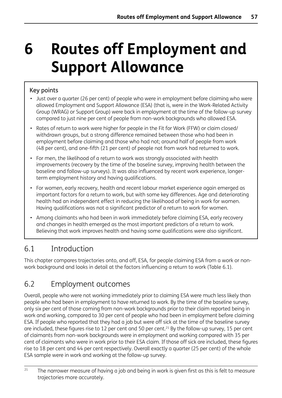# **6 Routes off Employment and Support Allowance**

## Key points

- Just over a quarter (26 per cent) of people who were in employment before claiming who were allowed Employment and Support Allowance (ESA) (that is, were in the Work-Related Activity Group (WRAG) or Support Group) were back in employment at the time of the follow-up survey compared to just nine per cent of people from non-work backgrounds who allowed ESA.
- Rates of return to work were higher for people in the Fit for Work (FFW) or claim closed/ withdrawn groups, but a strong difference remained between those who had been in employment before claiming and those who had not; around half of people from work (48 per cent), and one-fifth (21 per cent) of people not from work had returned to work.
- For men, the likelihood of a return to work was strongly associated with health improvements (recovery by the time of the baseline survey, improving health between the baseline and follow-up surveys). It was also influenced by recent work experience, longerterm employment history and having qualifications.
- For women, early recovery, health and recent labour market experience again emerged as important factors for a return to work, but with some key differences. Age and deteriorating health had an independent effect in reducing the likelihood of being in work for women. Having qualifications was not a significant predictor of a return to work for women.
- Among claimants who had been in work immediately before claiming ESA, early recovery and changes in health emerged as the most important predictors of a return to work. Believing that work improves health and having some qualifications were also significant.

# 6.1 Introduction

This chapter compares trajectories onto, and off, ESA, for people claiming ESA from a work or nonwork background and looks in detail at the factors influencing a return to work (Table 6.1).

# 6.2 Employment outcomes

Overall, people who were not working immediately prior to claiming ESA were much less likely than people who had been in employment to have returned to work. By the time of the baseline survey, only six per cent of those coming from non-work backgrounds prior to their claim reported being in work and working, compared to 30 per cent of people who had been in employment before claiming ESA. If people who reported that they had a job but were off sick at the time of the baseline survey are included, these figures rise to 12 per cent and 50 per cent.<sup>21</sup> By the follow-up survey, 15 per cent of claimants from non-work backgrounds were in employment and working compared with 35 per cent of claimants who were in work prior to their ESA claim. If those off sick are included, these figures rise to 18 per cent and 44 per cent respectively. Overall exactly a quarter (25 per cent) of the whole ESA sample were in work and working at the follow-up survey.

<sup>&</sup>lt;sup>21</sup> The narrower measure of having a job and being in work is given first as this is felt to measure trajectories more accurately.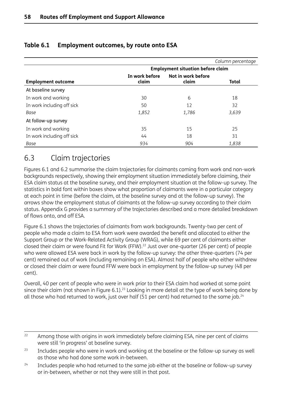|                            |                         |                                          | Column percentage |
|----------------------------|-------------------------|------------------------------------------|-------------------|
|                            |                         | <b>Employment situation before claim</b> |                   |
| <b>Employment outcome</b>  | In work before<br>claim | Not in work before<br>claim              | <b>Total</b>      |
| At baseline survey         |                         |                                          |                   |
| In work and working        | 30                      | 6                                        | 18                |
| In work including off sick | 50                      | 12                                       | 32                |
| Base                       | 1,852                   | 1,786                                    | 3,639             |
| At follow-up survey        |                         |                                          |                   |
| In work and working        | 35                      | 15                                       | 25                |
| In work including off sick | 44                      | 18                                       | 31                |
| Base                       | 934                     | 904                                      | 1,838             |

## **Table 6.1 Employment outcomes, by route onto ESA**

# 6.3 Claim trajectories

Figures 6.1 and 6.2 summarise the claim trajectories for claimants coming from work and non-work backgrounds respectively, showing their employment situation immediately before claiming, their ESA claim status at the baseline survey, and their employment situation at the follow-up survey. The statistics in bold font within boxes show what proportion of claimants were in a particular category at each point in time (before the claim, at the baseline survey and at the follow-up survey). The arrows show the employment status of claimants at the follow-up survey according to their claim status. Appendix G provides a summary of the trajectories described and a more detailed breakdown of flows onto, and off ESA.

Figure 6.1 shows the trajectories of claimants from work backgrounds. Twenty-two per cent of people who made a claim to ESA from work were awarded the benefit and allocated to either the Support Group or the Work-Related Activity Group (WRAG), while 69 per cent of claimants either closed their claim or were found Fit for Work (FFW).<sup>22</sup> Just over one-quarter (26 per cent) of people who were allowed ESA were back in work by the follow-up survey: the other three-quarters (74 per cent) remained out of work (including remaining on ESA). Almost half of people who either withdrew or closed their claim or were found FFW were back in employment by the follow-up survey (48 per cent).

Overall, 40 per cent of people who were in work prior to their ESA claim had worked at some point since their claim (not shown in Figure 6.1).<sup>23</sup> Looking in more detail at the type of work being done by all those who had returned to work, just over half (51 per cent) had returned to the same job.<sup>24</sup>

- <sup>22</sup> Among those with origins in work immediately before claiming ESA, nine per cent of claims were still 'in progress' at baseline survey.
- <sup>23</sup> Includes people who were in work and working at the baseline or the follow-up survey as well as those who had done some work in-between.
- $24$  Includes people who had returned to the same job either at the baseline or follow-up survey or in-between, whether or not they were still in that post.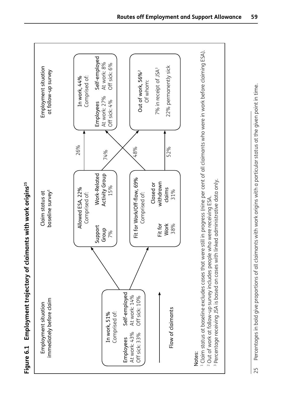Employment trajectory of claimants with work origins<sup>25</sup> **Figure 6.1 Employment trajectory of claimants with work origins25** Figure 6.1

25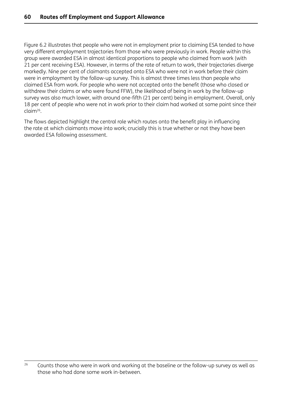Figure 6.2 illustrates that people who were not in employment prior to claiming ESA tended to have very different employment trajectories from those who were previously in work. People within this group were awarded ESA in almost identical proportions to people who claimed from work (with 21 per cent receiving ESA). However, in terms of the rate of return to work, their trajectories diverge markedly. Nine per cent of claimants accepted onto ESA who were not in work before their claim were in employment by the follow-up survey. This is almost three times less than people who claimed ESA from work. For people who were not accepted onto the benefit (those who closed or withdrew their claims or who were found FFW), the likelihood of being in work by the follow-up survey was also much lower, with around one-fifth (21 per cent) being in employment. Overall, only 18 per cent of people who were not in work prior to their claim had worked at some point since their claim26.

The flows depicted highlight the central role which routes onto the benefit play in influencing the rate at which claimants move into work; crucially this is true whether or not they have been awarded ESA following assessment.

 $26$  Counts those who were in work and working at the baseline or the follow-up survey as well as those who had done some work in-between.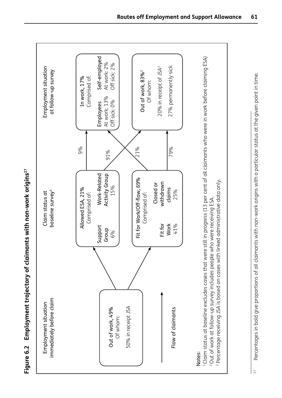| Employment situation                                                                                                                                                                                                                                                                                 | Claim status at                                                                                                                                                      | Employment situation                                                                                                                                                                                                                                             |  |
|------------------------------------------------------------------------------------------------------------------------------------------------------------------------------------------------------------------------------------------------------------------------------------------------------|----------------------------------------------------------------------------------------------------------------------------------------------------------------------|------------------------------------------------------------------------------------------------------------------------------------------------------------------------------------------------------------------------------------------------------------------|--|
| immediately before claim                                                                                                                                                                                                                                                                             | baseline survey <sup>1</sup>                                                                                                                                         | at follow-up survey                                                                                                                                                                                                                                              |  |
| Fit for<br><b>Work</b><br>41%<br>Support<br>Group<br>6%<br>50% in receipt JSA<br>Out of work, 49%<br>Flow of claimants<br>Of whom:                                                                                                                                                                   | Work-Related<br>Activity Group<br>Fit for Work/Off-flow, 69%<br>withdrawn<br>Closed or<br>15%<br>Allowed ESA, 21%<br>claims<br>25%<br>Comprised of:<br>Comprised of: | Self-employed<br>At work: 2%<br>Off sick: 2%<br>27% permanently sick<br>20% in receipt of JSA <sup>3</sup><br>Out of work, 83% <sup>2</sup><br>Comprised of:<br>In work, 17%<br>Of whom:<br>At work: 13%<br>Off sick: 0%<br>Employees<br>9%<br>21%<br>79%<br>91% |  |
| 1 Claim status at baseline excludes cases that were still in progress (13 per cent of all claimants who were in work before claiming ESA)<br><sup>2</sup> Out of work at follow-up survey includes people who were receiving ESA.<br><sup>3</sup> Percentage receiving JSA is based on cases with li | inked administrative data only.                                                                                                                                      |                                                                                                                                                                                                                                                                  |  |

Percentages in bold give proportions of all claimants with non-work origins with a particular status at the given point in time.  $^{27}$  Percentages in bold give proportions of all claimants with non-work origins with a particular status at the given point in time.  $\frac{1}{2}$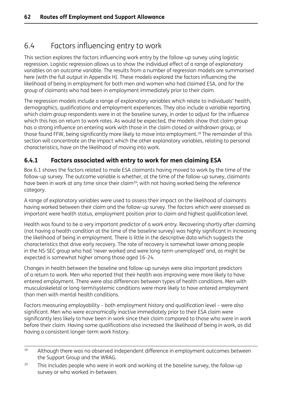# 6.4 Factors influencing entry to work

This section explores the factors influencing work entry by the follow-up survey using logistic regression. Logistic regression allows us to show the individual effect of a range of explanatory variables on an outcome variable. The results from a number of regression models are summarised here (with the full output in Appendix H). These models explored the factors influencing the likelihood of being in employment for both men and women who had claimed ESA, and for the group of claimants who had been in employment immediately prior to their claim.

The regression models include a range of explanatory variables which relate to individuals' health, demographics, qualifications and employment experiences. They also include a variable reporting which claim group respondents were in at the baseline survey, in order to adjust for the influence which this has on return to work rates. As would be expected, the models show that claim group has a strong influence on entering work with those in the claim closed or withdrawn group, or those found FFW, being significantly more likely to move into employment.<sup>28</sup> The remainder of this section will concentrate on the impact which the other explanatory variables, relating to personal characteristics, have on the likelihood of moving into work.

## **6.4.1 Factors associated with entry to work for men claiming ESA**

Box 6.1 shows the factors related to male ESA claimants having moved to work by the time of the follow-up survey. The outcome variable is whether, at the time of the follow-up survey, claimants have been in work at any time since their claim<sup>29</sup>; with not having worked being the reference category.

A range of explanatory variables were used to assess their impact on the likelihood of claimants having worked between their claim and the follow-up survey. The factors which were assessed as important were health status, employment position prior to claim and highest qualification level.

Health was found to be a very important predictor of a work entry. Recovering shortly after claiming (not having a health condition at the time of the baseline survey) was highly significant in increasing the likelihood of being in employment. There is little in the descriptive data which suggests the characteristics that drive early recovery. The rate of recovery is somewhat lower among people in the NS-SEC group who had 'never worked and were long-term unemployed' and, as might be expected is somewhat higher among those aged 16-24.

Changes in health between the baseline and follow-up surveys were also important predictors of a return to work. Men who reported that their health was improving were more likely to have entered employment. There were also differences between types of health conditions. Men with musculoskeletal or long-term/systemic conditions were more likely to have entered employment than men with mental health conditions.

Factors measuring employability – both employment history and qualification level – were also significant. Men who were economically inactive immediately prior to their ESA claim were significantly less likely to have been in work since their claim compared to those who were in work before their claim. Having some qualifications also increased the likelihood of being in work, as did having a consistent longer-term work history.

<sup>&</sup>lt;sup>28</sup> Although there was no observed independent difference in employment outcomes between the Support Group and the WRAG.

 $29$  This includes people who were in work and working at the baseline survey, the follow-up survey or who worked in-between.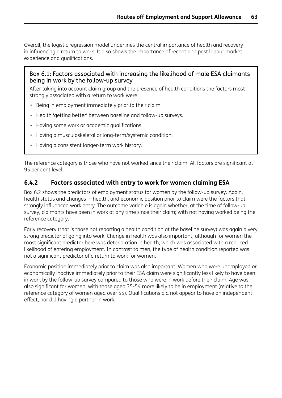Overall, the logistic regression model underlines the central importance of health and recovery in influencing a return to work. It also shows the importance of recent and past labour market experience and qualifications.

#### Box 6.1: Factors associated with increasing the likelihood of male ESA claimants being in work by the follow-up survey

After taking into account claim group and the presence of health conditions the factors most strongly associated with a return to work were:

- Being in employment immediately prior to their claim.
- Health 'getting better' between baseline and follow-up surveys.
- Having some work or academic qualifications.
- Having a musculoskeletal or long-term/systemic condition.
- Having a consistent longer-term work history.

The reference category is those who have not worked since their claim. All factors are significant at 95 per cent level.

#### **6.4.2 Factors associated with entry to work for women claiming ESA**

Box 6.2 shows the predictors of employment status for women by the follow-up survey. Again, health status and changes in health, and economic position prior to claim were the factors that strongly influenced work entry. The outcome variable is again whether, at the time of follow-up survey, claimants have been in work at any time since their claim; with not having worked being the reference category.

Early recovery (that is those not reporting a health condition at the baseline survey) was again a very strong predictor of going into work. Change in health was also important, although for women the most significant predictor here was deterioration in health, which was associated with a reduced likelihood of entering employment. In contrast to men, the type of health condition reported was not a significant predictor of a return to work for women.

Economic position immediately prior to claim was also important. Women who were unemployed or economically inactive immediately prior to their ESA claim were significantly less likely to have been in work by the follow-up survey compared to those who were in work before their claim. Age was also significant for women, with those aged 35-54 more likely to be in employment (relative to the reference category of women aged over 55). Qualifications did not appear to have an independent effect, nor did having a partner in work.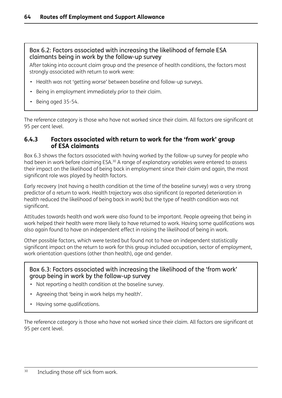#### Box 6.2: Factors associated with increasing the likelihood of female ESA claimants being in work by the follow-up survey

After taking into account claim group and the presence of health conditions, the factors most strongly associated with return to work were:

- Health was not 'getting worse' between baseline and follow-up surveys.
- Being in employment immediately prior to their claim.
- Being aged 35-54.

The reference category is those who have not worked since their claim. All factors are significant at 95 per cent level.

#### **6.4.3 Factors associated with return to work for the 'from work' group of ESA claimants**

Box 6.3 shows the factors associated with having worked by the follow-up survey for people who had been in work before claiming ESA.<sup>30</sup> A range of explanatory variables were entered to assess their impact on the likelihood of being back in employment since their claim and again, the most significant role was played by health factors.

Early recovery (not having a health condition at the time of the baseline survey) was a very strong predictor of a return to work. Health trajectory was also significant (a reported deterioration in health reduced the likelihood of being back in work) but the type of health condition was not significant.

Attitudes towards health and work were also found to be important. People agreeing that being in work helped their health were more likely to have returned to work. Having some qualifications was also again found to have an independent effect in raising the likelihood of being in work.

Other possible factors, which were tested but found not to have an independent statistically significant impact on the return to work for this group included occupation, sector of employment, work orientation questions (other than health), age and gender.

#### Box 6.3: Factors associated with increasing the likelihood of the 'from work' group being in work by the follow-up survey

- Not reporting a health condition at the baseline survey.
- Agreeing that 'being in work helps my health'.
- Having some qualifications.

The reference category is those who have not worked since their claim. All factors are significant at 95 per cent level.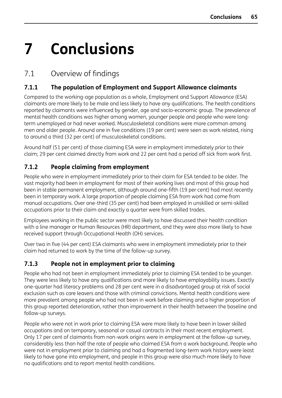# **7 Conclusions**

# 7.1 Overview of findings

# **7.1.1 The population of Employment and Support Allowance claimants**

Compared to the working-age population as a whole, Employment and Support Allowance (ESA) claimants are more likely to be male and less likely to have any qualifications. The health conditions reported by claimants were influenced by gender, age and socio-economic group. The prevalence of mental health conditions was higher among women, younger people and people who were longterm unemployed or had never worked. Musculoskeletal conditions were more common among men and older people. Around one in five conditions (19 per cent) were seen as work related, rising to around a third (32 per cent) of musculoskeletal conditions.

Around half (51 per cent) of those claiming ESA were in employment immediately prior to their claim; 29 per cent claimed directly from work and 22 per cent had a period off sick from work first.

## **7.1.2 People claiming from employment**

People who were in employment immediately prior to their claim for ESA tended to be older. The vast majority had been in employment for most of their working lives and most of this group had been in stable permanent employment, although around one-fifth (19 per cent) had most recently been in temporary work. A large proportion of people claiming ESA from work had come from manual occupations. Over one-third (35 per cent) had been employed in unskilled or semi-skilled occupations prior to their claim and exactly a quarter were from skilled trades.

Employees working in the public sector were most likely to have discussed their health condition with a line manager or Human Resources (HR) department, and they were also more likely to have received support through Occupational Health (OH) services.

Over two in five (44 per cent) ESA claimants who were in employment immediately prior to their claim had returned to work by the time of the follow-up survey.

### **7.1.3 People not in employment prior to claiming**

People who had not been in employment immediately prior to claiming ESA tended to be younger. They were less likely to have any qualifications and more likely to have employability issues. Exactly one-quarter had literacy problems and 28 per cent were in a disadvantaged group at risk of social exclusion such as care leavers and those with criminal convictions. Mental health conditions were more prevalent among people who had not been in work before claiming and a higher proportion of this group reported deterioration, rather than improvement in their health between the baseline and follow-up surveys.

People who were not in work prior to claiming ESA were more likely to have been in lower skilled occupations and on temporary, seasonal or casual contracts in their most recent employment. Only 17 per cent of claimants from non-work origins were in employment at the follow-up survey, considerably less than half the rate of people who claimed ESA from a work background. People who were not in employment prior to claiming and had a fragmented long-term work history were least likely to have gone into employment, and people in this group were also much more likely to have no qualifications and to report mental health conditions.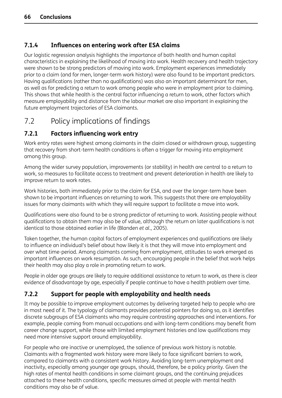### **7.1.4 Influences on entering work after ESA claims**

Our logistic regression analysis highlights the importance of both health and human capital characteristics in explaining the likelihood of moving into work. Health recovery and health trajectory were shown to be strong predictors of moving into work. Employment experiences immediately prior to a claim (and for men, longer-term work history) were also found to be important predictors. Having qualifications (rather than no qualifications) was also an important determinant for men, as well as for predicting a return to work among people who were in employment prior to claiming. This shows that while health is the central factor influencing a return to work, other factors which measure employability and distance from the labour market are also important in explaining the future employment trajectories of ESA claimants.

# 7.2 Policy implications of findings

### **7.2.1 Factors influencing work entry**

Work entry rates were highest among claimants in the claim closed or withdrawn group, suggesting that recovery from short-term health conditions is often a trigger for moving into employment among this group.

Among the wider survey population, improvements (or stability) in health are central to a return to work, so measures to facilitate access to treatment and prevent deterioration in health are likely to improve return to work rates.

Work histories, both immediately prior to the claim for ESA, and over the longer-term have been shown to be important influences on returning to work. This suggests that there are employability issues for many claimants with which they will require support to facilitate a move into work.

Qualifications were also found to be a strong predictor of returning to work. Assisting people without qualifications to obtain them may also be of value, although the return on later qualifications is not identical to those obtained earlier in life (Blanden *et al.*, 2005).

Taken together, the human capital factors of employment experiences and qualifications are likely to influence an individual's belief about how likely it is that they will move into employment and over what time-period. Among claimants coming from employment, attitudes to work emerged as important influences on work resumption. As such, encouraging people in the belief that work helps their health may also play a role in promoting return to work.

People in older age groups are likely to require additional assistance to return to work, as there is clear evidence of disadvantage by age, especially if people continue to have a health problem over time.

## **7.2.2 Support for people with employability and health needs**

It may be possible to improve employment outcomes by delivering targeted help to people who are in most need of it. The typology of claimants provides potential pointers for doing so, as it identifies discrete subgroups of ESA claimants who may require contrasting approaches and interventions. For example, people coming from manual occupations and with long-term conditions may benefit from career change support, while those with limited employment histories and low qualifications may need more intensive support around employability.

For people who are inactive or unemployed, the salience of previous work history is notable. Claimants with a fragmented work history were more likely to face significant barriers to work, compared to claimants with a consistent work history. Avoiding long-term unemployment and inactivity, especially among younger age groups, should, therefore, be a policy priority. Given the high rates of mental health conditions in some claimant groups, and the continuing prejudices attached to these health conditions, specific measures aimed at people with mental health conditions may also be of value.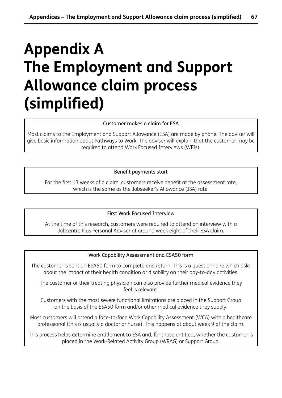# **Appendix A The Employment and Support Allowance claim process (simplified)**

Customer makes a claim for ESA

Most claims to the Employment and Support Allowance (ESA) are made by phone. The adviser will give basic information about Pathways to Work. The adviser will explain that the customer may be required to attend Work Focused Interviews (WFIs).

#### Benefit payments start

For the first 13 weeks of a claim, customers receive benefit at the assessment rate, which is the same as the Jobseeker's Allowance (JSA) rate.

First Work Focused Interview

At the time of this research, customers were required to attend an interview with a Jobcentre Plus Personal Adviser at around week eight of their ESA claim.

#### Work Capability Assessment and ESA50 form

The customer is sent an ESA50 form to complete and return. This is a questionnaire which asks about the impact of their health condition or disability on their day-to-day activities.

The customer or their treating physician can also provide further medical evidence they feel is relevant.

Customers with the most severe functional limitations are placed in the Support Group on the basis of the ESA50 form and/or other medical evidence they supply.

Most customers will attend a face-to-face Work Capability Assessment (WCA) with a healthcare professional (this is usually a doctor or nurse). This happens at about week 9 of the claim.

This process helps determine entitlement to ESA and, for those entitled, whether the customer is placed in the Work-Related Activity Group (WRAG) or Support Group.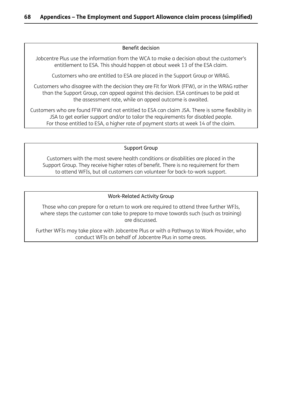#### Benefit decision

Jobcentre Plus use the information from the WCA to make a decision about the customer's entitlement to ESA. This should happen at about week 13 of the ESA claim.

Customers who are entitled to ESA are placed in the Support Group or WRAG.

Customers who disagree with the decision they are Fit for Work (FFW), or in the WRAG rather than the Support Group, can appeal against this decision. ESA continues to be paid at the assessment rate, while an appeal outcome is awaited.

Customers who are found FFW and not entitled to ESA can claim JSA. There is some flexibility in JSA to get earlier support and/or to tailor the requirements for disabled people. For those entitled to ESA, a higher rate of payment starts at week 14 of the claim.

#### Support Group

Customers with the most severe health conditions or disabilities are placed in the Support Group. They receive higher rates of benefit. There is no requirement for them to attend WFIs, but all customers can volunteer for back-to-work support.

#### Work-Related Activity Group

Those who can prepare for a return to work are required to attend three further WFIs, where steps the customer can take to prepare to move towards such (such as training) are discussed.

Further WFIs may take place with Jobcentre Plus or with a Pathways to Work Provider, who conduct WFIs on behalf of Jobcentre Plus in some areas.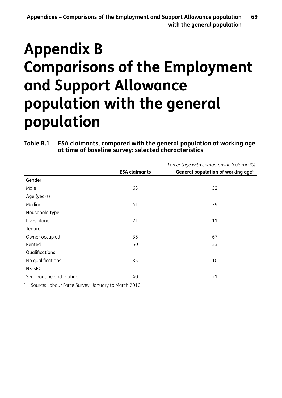# **Appendix B Comparisons of the Employment and Support Allowance population with the general population**

#### **Table B.1 ESA claimants, compared with the general population of working age at time of baseline survey: selected characteristics**

|                          |                      | Percentage with characteristic (column %)      |
|--------------------------|----------------------|------------------------------------------------|
|                          | <b>ESA claimants</b> | General population of working age <sup>1</sup> |
| Gender                   |                      |                                                |
| Male                     | 63                   | 52                                             |
| Age (years)              |                      |                                                |
| Median                   | 41                   | 39                                             |
| Household type           |                      |                                                |
| Lives alone              | 21                   | 11                                             |
| Tenure                   |                      |                                                |
| Owner occupied           | 35                   | 67                                             |
| Rented                   | 50                   | 33                                             |
| Qualifications           |                      |                                                |
| No qualifications        | 35                   | 10                                             |
| NS-SEC                   |                      |                                                |
| Semi routine and routine | 40                   | 21                                             |

<sup>1</sup> Source: Labour Force Survey, January to March 2010.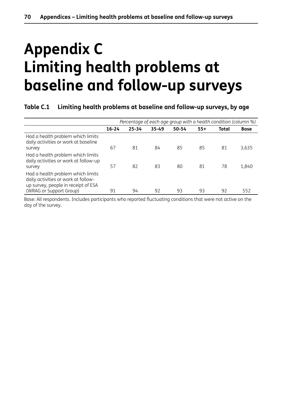# **Appendix C Limiting health problems at baseline and follow-up surveys**

#### **Table C.1 Limiting health problems at baseline and follow-up surveys, by age**

|                                                                                                                                            | Percentage of each age group with a health condition (column %) |           |           |           |       |              |             |
|--------------------------------------------------------------------------------------------------------------------------------------------|-----------------------------------------------------------------|-----------|-----------|-----------|-------|--------------|-------------|
|                                                                                                                                            | $16 - 24$                                                       | $25 - 34$ | $35 - 49$ | $50 - 54$ | $55+$ | <b>Total</b> | <b>Base</b> |
| Had a health problem which limits<br>daily activities or work at baseline<br>survey                                                        | 67                                                              | 81        | 84        | 85        | 85    | 81           | 3,635       |
| Had a health problem which limits<br>daily activities or work at follow-up<br>survey                                                       | 57                                                              | 82        | 83        | 80        | 81    | 78           | 1,840       |
| Had a health problem which limits<br>daily activities or work at follow-<br>up survey, people in receipt of ESA<br>(WRAG or Support Group) | 91                                                              | 94        | 92        | 93        | 93    | 92           | 552         |

Base: All respondents. Includes participants who reported fluctuating conditions that were not active on the day of the survey.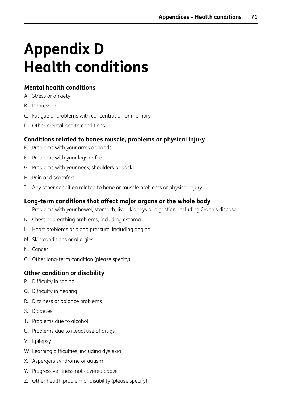# **Appendix D Health conditions**

### **Mental health conditions**

- A. Stress or anxiety
- B. Depression
- C. Fatigue or problems with concentration or memory
- D. Other mental health conditions

### **Conditions related to bones muscle, problems or physical injury**

- E. Problems with your arms or hands
- F. Problems with your legs or feet
- G. Problems with your neck, shoulders or back
- H. Pain or discomfort
- I. Any other condition related to bone or muscle problems or physical injury

### **Long-term conditions that affect major organs or the whole body**

- J. Problems with your bowel, stomach, liver, kidneys or digestion, including Crohn's disease
- K. Chest or breathing problems, including asthma
- L. Heart problems or blood pressure, including angina
- M. Skin conditions or allergies
- N. Cancer
- O. Other long-term condition (please specify)

### **Other condition or disability**

- P. Difficulty in seeing
- Q. Difficulty in hearing
- R. Dizziness or balance problems
- S. Diabetes
- T. Problems due to alcohol
- U. Problems due to illegal use of drugs
- V. Epilepsy
- W. Learning difficulties, including dyslexia
- X. Aspergers syndrome or autism
- Y. Progressive illness not covered above
- Z. Other health problem or disability (please specify)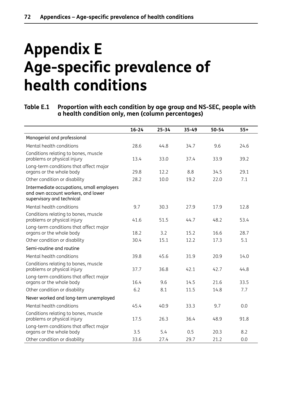# **Appendix E Age-specific prevalence of health conditions**

**Table E.1 Proportion with each condition by age group and NS-SEC, people with a health condition only, men (column percentages)**

|                                                                                                              | $16 - 24$ | $25 - 34$ | 35-49 | $50 - 54$ | $55+$ |
|--------------------------------------------------------------------------------------------------------------|-----------|-----------|-------|-----------|-------|
| Managerial and professional                                                                                  |           |           |       |           |       |
| Mental health conditions                                                                                     | 28.6      | 44.8      | 34.7  | 9.6       | 24.6  |
| Conditions relating to bones, muscle<br>problems or physical injury                                          | 13.4      | 33.0      | 37.4  | 33.9      | 39.2  |
| Long-term conditions that affect major<br>organs or the whole body                                           | 29.8      | 12.2      | 8.8   | 34.5      | 29.1  |
| Other condition or disability                                                                                | 28.2      | 10.0      | 19.2  | 22.0      | 7.1   |
| Intermediate occupations, small employers<br>and own account workers, and lower<br>supervisory and technical |           |           |       |           |       |
| Mental health conditions                                                                                     | 9.7       | 30.3      | 27.9  | 17.9      | 12.8  |
| Conditions relating to bones, muscle<br>problems or physical injury                                          | 41.6      | 51.5      | 44.7  | 48.2      | 53.4  |
| Long-term conditions that affect major<br>organs or the whole body                                           | 18.2      | 3.2       | 15.2  | 16.6      | 28.7  |
| Other condition or disability                                                                                | 30.4      | 15.1      | 12.2  | 17.3      | 5.1   |
| Semi-routine and routine                                                                                     |           |           |       |           |       |
| Mental health conditions                                                                                     | 39.8      | 45.6      | 31.9  | 20.9      | 14.0  |
| Conditions relating to bones, muscle<br>problems or physical injury                                          | 37.7      | 36.8      | 42.1  | 42.7      | 44.8  |
| Long-term conditions that affect major<br>organs or the whole body                                           | 16.4      | 9.6       | 14.5  | 21.6      | 33.5  |
| Other condition or disability                                                                                | 6.2       | 8.1       | 11.5  | 14.8      | 7.7   |
| Never worked and long-term unemployed                                                                        |           |           |       |           |       |
| Mental health conditions                                                                                     | 45.4      | 40.9      | 33.3  | 9.7       | 0.0   |
| Conditions relating to bones, muscle<br>problems or physical injury                                          | 17.5      | 26.3      | 36.4  | 48.9      | 91.8  |
| Long-term conditions that affect major<br>organs or the whole body                                           | 3.5       | 5.4       | 0.5   | 20.3      | 8.2   |
| Other condition or disability                                                                                | 33.6      | 27.4      | 29.7  | 21.2      | 0.0   |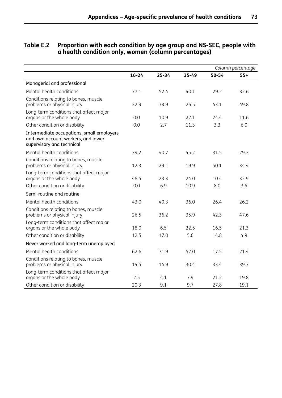|                                                                                                              |           |           |       |       | Column percentage |
|--------------------------------------------------------------------------------------------------------------|-----------|-----------|-------|-------|-------------------|
|                                                                                                              | $16 - 24$ | $25 - 34$ | 35-49 | 50-54 | $55+$             |
| Managerial and professional                                                                                  |           |           |       |       |                   |
| Mental health conditions                                                                                     | 77.1      | 52.4      | 40.1  | 29.2  | 32.6              |
| Conditions relating to bones, muscle<br>problems or physical injury                                          | 22.9      | 33.9      | 26.5  | 43.1  | 49.8              |
| Long-term conditions that affect major<br>organs or the whole body                                           | 0.0       | 10.9      | 22.1  | 24.4  | 11.6              |
| Other condition or disability                                                                                | 0.0       | 2.7       | 11.3  | 3.3   | 6.0               |
| Intermediate occupations, small employers<br>and own account workers, and lower<br>supervisory and technical |           |           |       |       |                   |
| Mental health conditions                                                                                     | 39.2      | 40.7      | 45.2  | 31.5  | 29.2              |
| Conditions relating to bones, muscle<br>problems or physical injury                                          | 12.3      | 29.1      | 19.9  | 50.1  | 34.4              |
| Long-term conditions that affect major<br>organs or the whole body                                           | 48.5      | 23.3      | 24.0  | 10.4  | 32.9              |
| Other condition or disability                                                                                | 0.0       | 6.9       | 10.9  | 8.0   | 3.5               |
| Semi-routine and routine                                                                                     |           |           |       |       |                   |
| Mental health conditions                                                                                     | 43.0      | 40.3      | 36.0  | 26.4  | 26.2              |
| Conditions relating to bones, muscle<br>problems or physical injury                                          | 26.5      | 36.2      | 35.9  | 42.3  | 47.6              |
| Long-term conditions that affect major<br>organs or the whole body                                           | 18.0      | 6.5       | 22.5  | 16.5  | 21.3              |
| Other condition or disability                                                                                | 12.5      | 17.0      | 5.6   | 14.8  | 4.9               |
| Never worked and long-term unemployed                                                                        |           |           |       |       |                   |
| Mental health conditions                                                                                     | 62.6      | 71.9      | 52.0  | 17.5  | 21.4              |
| Conditions relating to bones, muscle<br>problems or physical injury                                          | 14.5      | 14.9      | 30.4  | 33.4  | 39.7              |
| Long-term conditions that affect major<br>organs or the whole body                                           | 2.5       | 4.1       | 7.9   | 21.2  | 19.8              |
| Other condition or disability                                                                                | 20.3      | 9.1       | 9.7   | 27.8  | 19.1              |

#### **Table E.2 Proportion with each condition by age group and NS-SEC, people with a health condition only, women (column percentages)**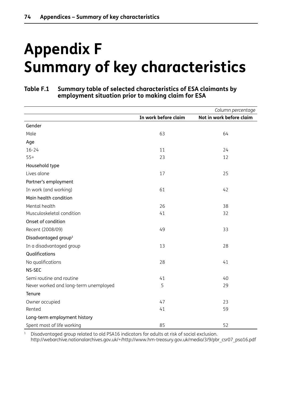# **Appendix F Summary of key characteristics**

#### **Table F.1 Summary table of selected characteristics of ESA claimants by employment situation prior to making claim for ESA**

|                                       |                      | Column percentage        |
|---------------------------------------|----------------------|--------------------------|
|                                       | In work before claim | Not in work before claim |
| Gender                                |                      |                          |
| Male                                  | 63                   | 64                       |
| Age                                   |                      |                          |
| $16 - 24$                             | 11                   | 24                       |
| $55+$                                 | 23                   | 12                       |
| Household type                        |                      |                          |
| Lives alone                           | 17                   | 25                       |
| Partner's employment                  |                      |                          |
| In work (and working)                 | 61                   | 42                       |
| Main health condition                 |                      |                          |
| Mental health                         | 26                   | 38                       |
| Musculoskeletal condition             | 41                   | 32                       |
| Onset of condition                    |                      |                          |
| Recent (2008/09)                      | 49                   | 33                       |
| Disadvantaged group <sup>1</sup>      |                      |                          |
| In a disadvantaged group              | 13                   | 28                       |
| Qualifications                        |                      |                          |
| No qualifications                     | 28                   | 41                       |
| NS-SEC                                |                      |                          |
| Semi routine and routine              | 41                   | 40                       |
| Never worked and long-term unemployed | 5                    | 29                       |
| Tenure                                |                      |                          |
| Owner occupied                        | 47                   | 23                       |
| Rented                                | 41                   | 59                       |
| Long-term employment history          |                      |                          |
| Spent most of life working            | 85                   | 52                       |

<sup>1</sup> Disadvantaged group related to old PSA16 indicators for adults at risk of social exclusion.

http://webarchive.nationalarchives.gov.uk/+/http://www.hm-treasury.gov.uk/media/3/9/pbr\_csr07\_psa16.pdf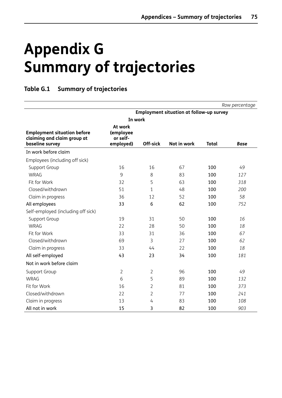# **Appendix G Summary of trajectories**

### **Table G.1 Summary of trajectories**

|                                                                                      |                                               |                |             |              | Row percentage |
|--------------------------------------------------------------------------------------|-----------------------------------------------|----------------|-------------|--------------|----------------|
| <b>Employment situation at follow-up survey</b>                                      |                                               |                |             |              |                |
|                                                                                      | In work                                       |                |             |              |                |
| <b>Employment situation before</b><br>claiming and claim group at<br>baseline survey | At work<br>(employee<br>or self-<br>employed) | Off-sick       | Not in work | <b>Total</b> | <b>Base</b>    |
| In work before claim                                                                 |                                               |                |             |              |                |
| Employees (including off sick)                                                       |                                               |                |             |              |                |
| Support Group                                                                        | 16                                            | 16             | 67          | 100          | 49             |
| <b>WRAG</b>                                                                          | 9                                             | 8              | 83          | 100          | 127            |
| Fit for Work                                                                         | 32                                            | 5              | 63          | 100          | 318            |
| Closed/withdrawn                                                                     | 51                                            | 1              | 48          | 100          | 200            |
| Claim in progress                                                                    | 36                                            | 12             | 52          | 100          | 58             |
| All employees                                                                        | 33                                            | 6              | 62          | 100          | 752            |
| Self-employed (including off sick)                                                   |                                               |                |             |              |                |
| Support Group                                                                        | 19                                            | 31             | 50          | 100          | 16             |
| <b>WRAG</b>                                                                          | 22                                            | 28             | 50          | 100          | 18             |
| Fit for Work                                                                         | 33                                            | 31             | 36          | 100          | 67             |
| Closed/withdrawn                                                                     | 69                                            | 3              | 27          | 100          | 62             |
| Claim in progress                                                                    | 33                                            | 44             | 22          | 100          | 18             |
| All self-employed                                                                    | 43                                            | 23             | 34          | 100          | 181            |
| Not in work before claim                                                             |                                               |                |             |              |                |
| Support Group                                                                        | 2                                             | $\overline{2}$ | 96          | 100          | 49             |
| <b>WRAG</b>                                                                          | 6                                             | 5              | 89          | 100          | 132            |
| Fit for Work                                                                         | 16                                            | $\overline{2}$ | 81          | 100          | 373            |
| Closed/withdrawn                                                                     | 22                                            | 2              | 77          | 100          | 241            |
| Claim in progress                                                                    | 13                                            | 4              | 83          | 100          | 108            |
| All not in work                                                                      | 15                                            | 3              | 82          | 100          | 903            |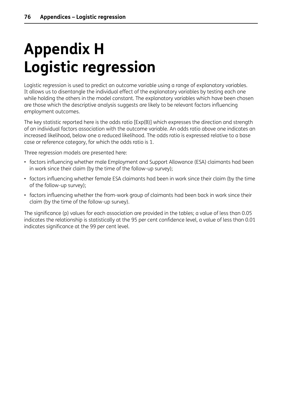# **Appendix H Logistic regression**

Logistic regression is used to predict an outcome variable using a range of explanatory variables. It allows us to disentangle the individual effect of the explanatory variables by testing each one while holding the others in the model constant. The explanatory variables which have been chosen are those which the descriptive analysis suggests are likely to be relevant factors influencing employment outcomes.

The key statistic reported here is the odds ratio [Exp(B)] which expresses the direction and strength of an individual factors association with the outcome variable. An odds ratio above one indicates an increased likelihood, below one a reduced likelihood. The odds ratio is expressed relative to a base case or reference category, for which the odds ratio is 1.

Three regression models are presented here:

- factors influencing whether male Employment and Support Allowance (ESA) claimants had been in work since their claim (by the time of the follow-up survey);
- factors influencing whether female ESA claimants had been in work since their claim (by the time of the follow-up survey);
- factors influencing whether the from-work group of claimants had been back in work since their claim (by the time of the follow-up survey).

The significance (p) values for each association are provided in the tables; a value of less than 0.05 indicates the relationship is statistically at the 95 per cent confidence level, a value of less than 0.01 indicates significance at the 99 per cent level.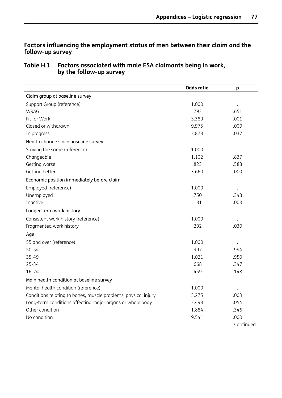### **Factors influencing the employment status of men between their claim and the follow-up survey**

#### **Table H.1 Factors associated with male ESA claimants being in work, by the follow-up survey**

|                                                                | <b>Odds ratio</b> | p                    |
|----------------------------------------------------------------|-------------------|----------------------|
| Claim group at baseline survey                                 |                   |                      |
| Support Group (reference)                                      | 1.000             | $\ddot{\phantom{0}}$ |
| <b>WRAG</b>                                                    | .793              | .651                 |
| Fit for Work                                                   | 3.389             | .001                 |
| Closed or withdrawn                                            | 9.975             | .000                 |
| In progress                                                    | 2.878             | .037                 |
| Health change since baseline survey                            |                   |                      |
| Staying the same (reference)                                   | 1.000             |                      |
| Changeable                                                     | 1.102             | .837                 |
| Getting worse                                                  | .823              | .588                 |
| Getting better                                                 | 3.660             | .000                 |
| Economic position immediately before claim                     |                   |                      |
| Employed (reference)                                           | 1.000             | $\ddot{\phantom{a}}$ |
| Unemployed                                                     | .750              | .348                 |
| Inactive                                                       | .181              | .003                 |
| Longer-term work history                                       |                   |                      |
| Consistent work history (reference)                            | 1.000             |                      |
| Fragmented work history                                        | .292              | .030                 |
| Age                                                            |                   |                      |
| 55 and over (reference)                                        | 1.000             |                      |
| $50 - 54$                                                      | .997              | .994                 |
| 35-49                                                          | 1.021             | .950                 |
| $25 - 34$                                                      | .668              | .347                 |
| $16 - 24$                                                      | .459              | .148                 |
| Main health condition at baseline survey                       |                   |                      |
| Mental health condition (reference)                            | 1.000             |                      |
| Conditions relating to bones, muscle problems, physical injury | 3.275             | .003                 |
| Long-term conditions affecting major organs or whole body      | 2.498             | .054                 |
| Other condition                                                | 1.884             | .346                 |
| No condition                                                   | 9.541             | .000                 |
|                                                                |                   | Continued            |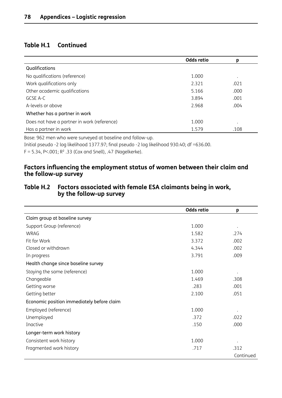### **Table H.1 Continued**

|                                             | <b>Odds ratio</b> | р         |
|---------------------------------------------|-------------------|-----------|
| Qualifications                              |                   |           |
| No qualifications (reference)               | 1.000             | $\bullet$ |
| Work qualifications only                    | 2.321             | .021      |
| Other academic qualifications               | 5.166             | .000      |
| GCSE A-C                                    | 3.894             | .001      |
| A-levels or above                           | 2.968             | .004      |
| Whether has a partner in work               |                   |           |
| Does not have a partner in work (reference) | 1.000             | $\bullet$ |
| Has a partner in work                       | 1.579             | .108      |

Base: 962 men who were surveyed at baseline and follow-up.

Initial pseudo -2 log likelihood 1377.97; final pseudo -2 log likelihood 930.40; df =636.00.

 $F = 5.34$ , P<.001; R<sup>2</sup>.33 (Cox and Snell), .47 (Nagelkerke).

#### **Factors influencing the employment status of women between their claim and the follow-up survey**

#### **Table H.2 Factors associated with female ESA claimants being in work, by the follow-up survey**

|                                            | <b>Odds ratio</b> | p         |
|--------------------------------------------|-------------------|-----------|
| Claim group at baseline survey             |                   |           |
| Support Group (reference)                  | 1.000             |           |
| <b>WRAG</b>                                | 1.582             | .274      |
| Fit for Work                               | 3.372             | .002      |
| Closed or withdrawn                        | 4.344             | .002      |
| In progress                                | 3.791             | .009      |
| Health change since baseline survey        |                   |           |
| Staying the same (reference)               | 1.000             |           |
| Changeable                                 | 1.469             | .308      |
| Getting worse                              | .283              | .001      |
| Getting better                             | 2.100             | .051      |
| Economic position immediately before claim |                   |           |
| Employed (reference)                       | 1.000             |           |
| Unemployed                                 | .372              | .022      |
| Inactive                                   | .150              | .000      |
| Longer-term work history                   |                   |           |
| Consistent work history                    | 1.000             |           |
| Fragmented work history                    | .717              | .312      |
|                                            |                   | Continued |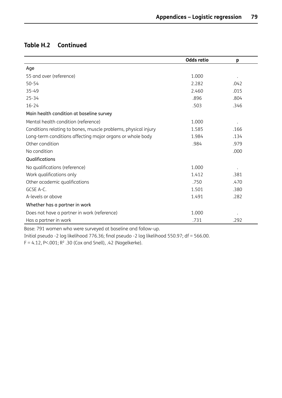# **Table H.2 Continued**

|                                                                | <b>Odds ratio</b> | p    |
|----------------------------------------------------------------|-------------------|------|
| Age                                                            |                   |      |
| 55 and over (reference)                                        | 1.000             |      |
| $50 - 54$                                                      | 2.282             | .042 |
| $35 - 49$                                                      | 2.460             | .015 |
| $25 - 34$                                                      | .896              | .804 |
| $16 - 24$                                                      | .503              | .346 |
| Main health condition at baseline survey                       |                   |      |
| Mental health condition (reference)                            | 1.000             |      |
| Conditions relating to bones, muscle problems, physical injury | 1.585             | .166 |
| Long-term conditions affecting major organs or whole body      | 1.984             | .134 |
| Other condition                                                | .984              | .979 |
| No condition                                                   |                   | .000 |
| Qualifications                                                 |                   |      |
| No qualifications (reference)                                  | 1.000             |      |
| Work qualifications only                                       | 1.412             | .381 |
| Other academic qualifications                                  | .750              | .470 |
| GCSE A-C.                                                      | 1.501             | .380 |
| A-levels or above                                              | 1.491             | .282 |
| Whether has a partner in work                                  |                   |      |
| Does not have a partner in work (reference)                    | 1.000             |      |
| Has a partner in work                                          | .731              | .292 |

Base: 791 women who were surveyed at baseline and follow-up.

Initial pseudo -2 log likelihood 776.36; final pseudo -2 log likelihood 550.97; df = 566.00.  $F = 4.12$ , P<.001; R<sup>2</sup>.30 (Cox and Snell), .42 (Nagelkerke).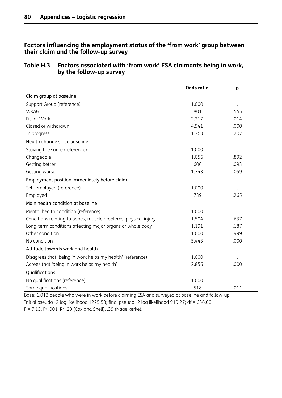#### **Factors influencing the employment status of the 'from work' group between their claim and the follow-up survey**

#### **Table H.3 Factors associated with 'from work' ESA claimants being in work, by the follow-up survey**

|                                                                | <b>Odds ratio</b> | p    |
|----------------------------------------------------------------|-------------------|------|
| Claim group at baseline                                        |                   |      |
| Support Group (reference)                                      | 1.000             |      |
| <b>WRAG</b>                                                    | .801              | .545 |
| Fit for Work                                                   | 2.217             | .014 |
| Closed or withdrawn                                            | 4.941             | .000 |
| In progress                                                    | 1.763             | .207 |
| Health change since baseline                                   |                   |      |
| Staying the same (reference)                                   | 1.000             |      |
| Changeable                                                     | 1.056             | .892 |
| Getting better                                                 | .606              | .093 |
| Getting worse                                                  | 1.743             | .059 |
| Employment position immediately before claim                   |                   |      |
| Self-employed (reference)                                      | 1.000             |      |
| Employed                                                       | .739              | .265 |
| Main health condition at baseline                              |                   |      |
| Mental health condition (reference)                            | 1.000             |      |
| Conditions relating to bones, muscle problems, physical injury | 1.504             | .637 |
| Long-term conditions affecting major organs or whole body      | 1.191             | .187 |
| Other condition                                                | 1.000             | .999 |
| No condition                                                   | 5.443             | .000 |
| Attitude towards work and health                               |                   |      |
| Disagrees that 'being in work helps my health' (reference)     | 1.000             |      |
| Agrees that 'being in work helps my health'                    | 2.856             | .000 |
| Qualifications                                                 |                   |      |
| No qualifications (reference)                                  | 1.000             |      |
| Some qualifications                                            | .518              | .011 |

Base: 1,013 people who were in work before claiming ESA and surveyed at baseline and follow-up. Initial pseudo -2 log likelihood 1225.53; final pseudo -2 log likelihood 919.27; df = 636.00. F = 7.13, P<.001. R² .29 (Cox and Snell), .39 (Nagelkerke).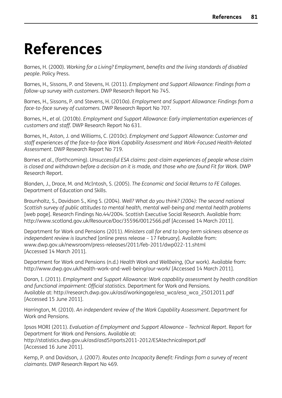# **References**

Barnes, H. (2000). *Working for a Living? Employment, benefits and the living standards of disabled people*. Policy Press.

Barnes, H., Sissons, P. and Stevens, H. (2011). *Employment and Support Allowance: Findings from a follow-up survey with customers*. DWP Research Report No 745.

Barnes, H., Sissons, P. and Stevens, H. (2010a). *Employment and Support Allowance: Findings from a face-to-face survey of customers*. DWP Research Report No 707.

Barnes, H., *et al.* (2010b). *Employment and Support Allowance: Early implementation experiences of customers and staff*. DWP Research Report No 631.

Barnes, H., Aston, J. and Williams, C. (2010c). *Employment and Support Allowance: Customer and staff experiences of the face-to-face Work Capability Assessment and Work-Focused Health-Related Assessment*. DWP Research Report No 719.

Barnes *et al.*, (forthcoming). *Unsuccessful ESA claims: post-claim experiences of people whose claim* is closed and withdrawn before a decision on it is made, and those who are found Fit for Work. DWP Research Report.

Blanden, J., Drace, M. and McIntosh, S. (2005). *The Economic and Social Returns to FE Collages*. Department of Education and Skills.

Braunholtz, S., Davidson S., King S. (2004). *Well? What do you think? (2004): The second national Scottish survey of public attitudes to mental health, mental well-being and mental health problems* [web page]. Research Findings No.44/2004. Scottish Executive Social Research. Available from: http://www.scotland.gov.uk/Resource/Doc/35596/0012566.pdf [Accessed 14 March 2011].

Department for Work and Pensions (2011). *Ministers call for end to long-term sickness absence as independent review is launched* [online press release – 17 February]. Available from: www.dwp.gov.uk/newsroom/press-releases/2011/feb-2011/dwp022-11.shtml [Accessed 14 March 2011].

Department for Work and Pensions (n.d.) *Health Work and Wellbeing*, (Our work). Available from: http://www.dwp.gov.uk/health-work-and-well-being/our-work/ [Accessed 14 March 2011].

Doran, I. (2011). *Employment and Support Allowance: Work capability assessment by health condition and functional impairment: Official statistics*. Department for Work and Pensions. Available at: http://research.dwp.gov.uk/asd/workingage/esa\_wca/esa\_wca\_25012011.pdf [Accessed 15 June 2011].

Harrington, M. (2010). *An independent review of the Work Capability Assessment*. Department for Work and Pensions.

Ipsos MORI (2011). *Evaluation of Employment and Support Allowance – Technical Report*. Report for Department for Work and Pensions. Available at: http://statistics.dwp.gov.uk/asd/asd5/rports2011-2012/ESAtechnicalreport.pdf [Accessed 16 June 2011].

Kemp, P. and Davidson, J. (2007). *Routes onto Incapacity Benefit: Findings from a survey of recent claimants*. DWP Research Report No 469.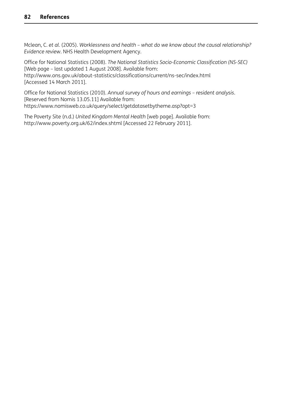Mclean, C. *et al.* (2005). *Worklessness and health – what do we know about the causal relationship? Evidence review*. NHS Health Development Agency.

Office for National Statistics (2008). *The National Statistics Socio-Economic Classification (NS-SEC)* [Web page – last updated 1 August 2008]. Available from: http://www.ons.gov.uk/about-statistics/classifications/current/ns-sec/index.html [Accessed 14 March 2011].

Office for National Statistics (2010). *Annual survey of hours and earnings – resident analysis*. [Reserved from Nomis 13.05.11] Available from: https://www.nomisweb.co.uk/query/select/getdatasetbytheme.asp?opt=3

The Poverty Site (n.d.) *United Kingdom Mental Health* [web page]. Available from: http://www.poverty.org.uk/62/index.shtml [Accessed 22 February 2011].